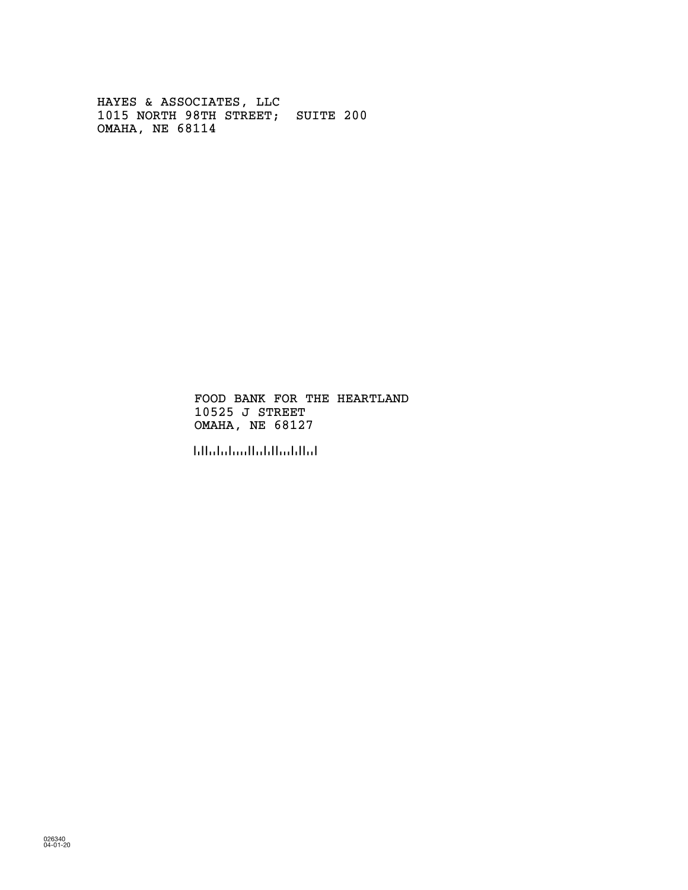HAYES & ASSOCIATES, LLC 1015 NORTH 98TH STREET; SUITE 200 OMAHA, NE 68114

> FOOD BANK FOR THE HEARTLAND 10525 J STREET OMAHA, NE 68127

!681276!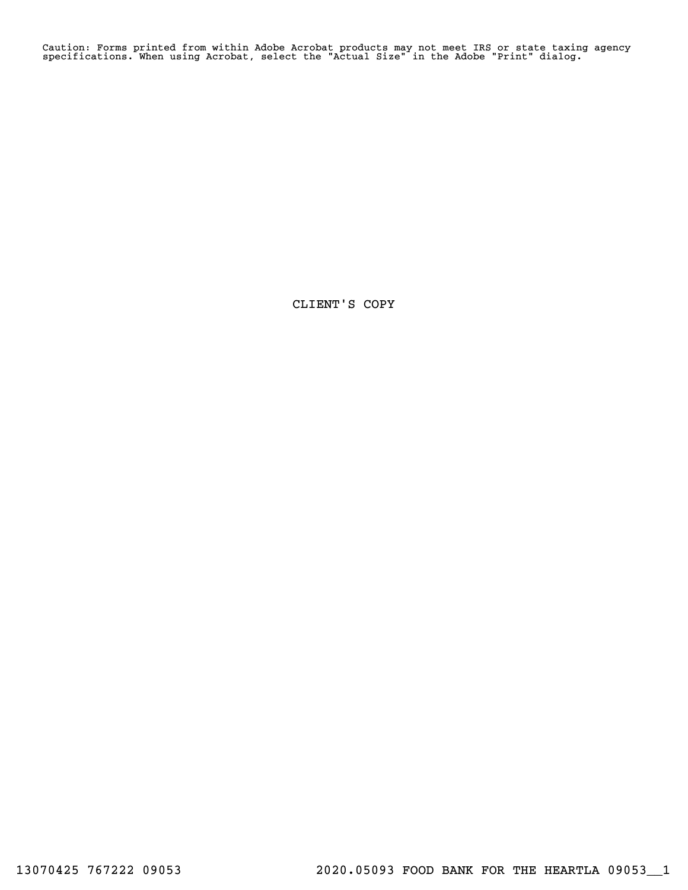Caution: Forms printed from within Adobe Acrobat products may not meet IRS or state taxing agency specifications. When using Acrobat, select the "Actual Size" in the Adobe "Print" dialog.

CLIENT'S COPY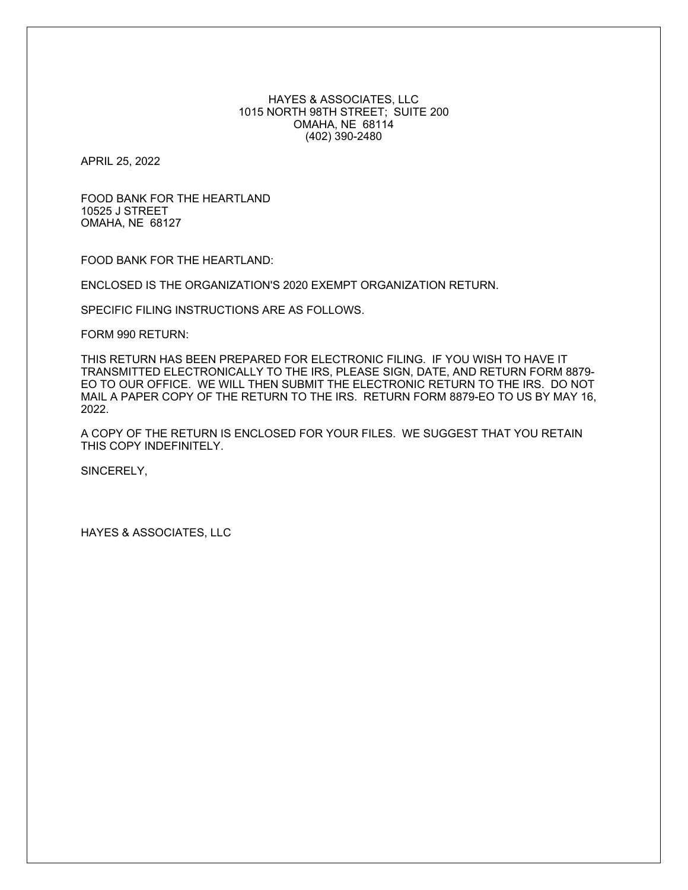## HAYES & ASSOCIATES, LLC 1015 NORTH 98TH STREET; SUITE 200 OMAHA, NE 68114 (402) 390-2480

APRIL 25, 2022

FOOD BANK FOR THE HEARTLAND 10525 J STREET OMAHA, NE 68127

FOOD BANK FOR THE HEARTLAND:

ENCLOSED IS THE ORGANIZATION'S 2020 EXEMPT ORGANIZATION RETURN.

SPECIFIC FILING INSTRUCTIONS ARE AS FOLLOWS.

FORM 990 RETURN:

THIS RETURN HAS BEEN PREPARED FOR ELECTRONIC FILING. IF YOU WISH TO HAVE IT TRANSMITTED ELECTRONICALLY TO THE IRS, PLEASE SIGN, DATE, AND RETURN FORM 8879- EO TO OUR OFFICE. WE WILL THEN SUBMIT THE ELECTRONIC RETURN TO THE IRS. DO NOT MAIL A PAPER COPY OF THE RETURN TO THE IRS. RETURN FORM 8879-EO TO US BY MAY 16, 2022.

A COPY OF THE RETURN IS ENCLOSED FOR YOUR FILES. WE SUGGEST THAT YOU RETAIN THIS COPY INDEFINITELY.

SINCERELY,

HAYES & ASSOCIATES, LLC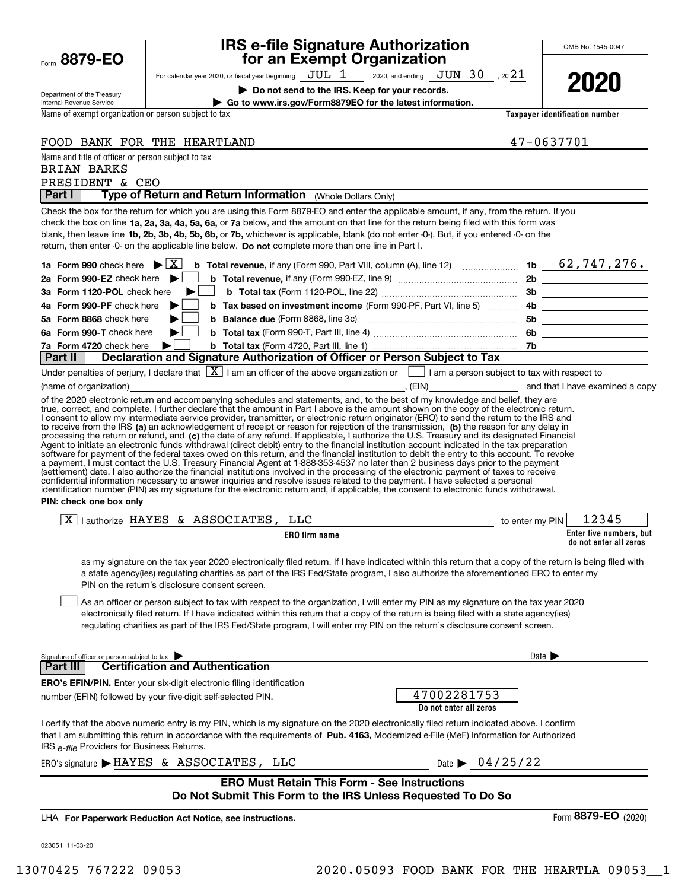| Form 8879-EO                                              | for an Exempt Organization                                                                                                                                                                                                                                                                                                                                                                                                                                                                                                                                                                                                                                                                                                                                |                            |                                                   |
|-----------------------------------------------------------|-----------------------------------------------------------------------------------------------------------------------------------------------------------------------------------------------------------------------------------------------------------------------------------------------------------------------------------------------------------------------------------------------------------------------------------------------------------------------------------------------------------------------------------------------------------------------------------------------------------------------------------------------------------------------------------------------------------------------------------------------------------|----------------------------|---------------------------------------------------|
|                                                           | For calendar year 2020, or fiscal year beginning $JUL$ $1$ , 2020, and ending $JUN$ $30$ , 20 $21$                                                                                                                                                                                                                                                                                                                                                                                                                                                                                                                                                                                                                                                        |                            |                                                   |
| Department of the Treasury                                | Do not send to the IRS. Keep for your records.                                                                                                                                                                                                                                                                                                                                                                                                                                                                                                                                                                                                                                                                                                            |                            | 2021                                              |
| Internal Revenue Service                                  | Go to www.irs.gov/Form8879EO for the latest information.                                                                                                                                                                                                                                                                                                                                                                                                                                                                                                                                                                                                                                                                                                  |                            |                                                   |
| Name of exempt organization or person subject to tax      |                                                                                                                                                                                                                                                                                                                                                                                                                                                                                                                                                                                                                                                                                                                                                           |                            | Taxpayer identification number                    |
|                                                           | FOOD BANK FOR THE HEARTLAND                                                                                                                                                                                                                                                                                                                                                                                                                                                                                                                                                                                                                                                                                                                               | 47-0637701                 |                                                   |
| Name and title of officer or person subject to tax        |                                                                                                                                                                                                                                                                                                                                                                                                                                                                                                                                                                                                                                                                                                                                                           |                            |                                                   |
| <b>BRIAN BARKS</b>                                        |                                                                                                                                                                                                                                                                                                                                                                                                                                                                                                                                                                                                                                                                                                                                                           |                            |                                                   |
| PRESIDENT & CEO                                           |                                                                                                                                                                                                                                                                                                                                                                                                                                                                                                                                                                                                                                                                                                                                                           |                            |                                                   |
| Part I                                                    | Type of Return and Return Information (Whole Dollars Only)                                                                                                                                                                                                                                                                                                                                                                                                                                                                                                                                                                                                                                                                                                |                            |                                                   |
|                                                           | Check the box for the return for which you are using this Form 8879-EO and enter the applicable amount, if any, from the return. If you<br>check the box on line 1a, 2a, 3a, 4a, 5a, 6a, or 7a below, and the amount on that line for the return being filed with this form was<br>blank, then leave line 1b, 2b, 3b, 4b, 5b, 6b, or 7b, whichever is applicable, blank (do not enter -0-). But, if you entered -0- on the<br>return, then enter -0- on the applicable line below. Do not complete more than one line in Part I.                                                                                                                                                                                                                          |                            |                                                   |
| 1a Form 990 check here $\blacktriangleright \overline{X}$ | <b>b</b> Total revenue, if any (Form 990, Part VIII, column (A), line 12) <b>contain the contained 10 and 50 and 50 and 50 and 50 and 50 and 50 and 50 and 50 and 50 and 50 and 50 and 50 and 50 and 50 and 50 and 50 and 50 and 50 </b>                                                                                                                                                                                                                                                                                                                                                                                                                                                                                                                  |                            |                                                   |
| 2a Form 990-EZ check here $\blacktriangleright$           |                                                                                                                                                                                                                                                                                                                                                                                                                                                                                                                                                                                                                                                                                                                                                           |                            |                                                   |
| 3a Form 1120-POL check here                               |                                                                                                                                                                                                                                                                                                                                                                                                                                                                                                                                                                                                                                                                                                                                                           |                            |                                                   |
| 4a Form 990-PF check here                                 |                                                                                                                                                                                                                                                                                                                                                                                                                                                                                                                                                                                                                                                                                                                                                           |                            |                                                   |
| 5a Form 8868 check here                                   |                                                                                                                                                                                                                                                                                                                                                                                                                                                                                                                                                                                                                                                                                                                                                           |                            |                                                   |
| 6a Form 990-T check here                                  | ▶∣                                                                                                                                                                                                                                                                                                                                                                                                                                                                                                                                                                                                                                                                                                                                                        |                            |                                                   |
| 7a Form 4720 check here                                   | ▶∣                                                                                                                                                                                                                                                                                                                                                                                                                                                                                                                                                                                                                                                                                                                                                        |                            |                                                   |
| Part II                                                   | Declaration and Signature Authorization of Officer or Person Subject to Tax                                                                                                                                                                                                                                                                                                                                                                                                                                                                                                                                                                                                                                                                               |                            |                                                   |
| (name of organization) [1995]                             | Under penalties of perjury, I declare that $\boxed{\mathbf{X}}$ I am an officer of the above organization or $\boxed{\phantom{\mathbf{1}}}$ I am a person subject to tax with respect to                                                                                                                                                                                                                                                                                                                                                                                                                                                                                                                                                                  |                            |                                                   |
| PIN: check one box only                                   | a payment, I must contact the U.S. Treasury Financial Agent at 1-888-353-4537 no later than 2 business days prior to the payment<br>(settlement) date. I also authorize the financial institutions involved in the processing of the electronic payment of taxes to receive<br>confidential information necessary to answer inquiries and resolve issues related to the payment. I have selected a personal<br>identification number (PIN) as my signature for the electronic return and, if applicable, the consent to electronic funds withdrawal.                                                                                                                                                                                                      |                            |                                                   |
|                                                           | $\boxed{\text{X}}$   authorize HAYES & ASSOCIATES, LLC                                                                                                                                                                                                                                                                                                                                                                                                                                                                                                                                                                                                                                                                                                    | to enter my PIN            | 12345                                             |
|                                                           | <b>ERO</b> firm name                                                                                                                                                                                                                                                                                                                                                                                                                                                                                                                                                                                                                                                                                                                                      |                            | Enter five numbers, but<br>do not enter all zeros |
|                                                           | as my signature on the tax year 2020 electronically filed return. If I have indicated within this return that a copy of the return is being filed with<br>a state agency(ies) regulating charities as part of the IRS Fed/State program, I also authorize the aforementioned ERO to enter my<br>PIN on the return's disclosure consent screen.<br>As an officer or person subject to tax with respect to the organization, I will enter my PIN as my signature on the tax year 2020<br>electronically filed return. If I have indicated within this return that a copy of the return is being filed with a state agency(ies)<br>regulating charities as part of the IRS Fed/State program, I will enter my PIN on the return's disclosure consent screen. |                            |                                                   |
| Signature of officer or person subject to tax             |                                                                                                                                                                                                                                                                                                                                                                                                                                                                                                                                                                                                                                                                                                                                                           | Date $\blacktriangleright$ |                                                   |
| Part III                                                  | <b>Certification and Authentication</b>                                                                                                                                                                                                                                                                                                                                                                                                                                                                                                                                                                                                                                                                                                                   |                            |                                                   |
|                                                           | <b>ERO's EFIN/PIN.</b> Enter your six-digit electronic filing identification<br>47002281753<br>number (EFIN) followed by your five-digit self-selected PIN.<br>Do not enter all zeros                                                                                                                                                                                                                                                                                                                                                                                                                                                                                                                                                                     |                            |                                                   |
| IRS e-file Providers for Business Returns.                | I certify that the above numeric entry is my PIN, which is my signature on the 2020 electronically filed return indicated above. I confirm<br>that I am submitting this return in accordance with the requirements of Pub. 4163, Modernized e-File (MeF) Information for Authorized                                                                                                                                                                                                                                                                                                                                                                                                                                                                       |                            |                                                   |
|                                                           | Date $\triangleright$ 04/25/22<br>ERO's signature > HAYES & ASSOCIATES, LLC                                                                                                                                                                                                                                                                                                                                                                                                                                                                                                                                                                                                                                                                               |                            |                                                   |
|                                                           | <b>ERO Must Retain This Form - See Instructions</b>                                                                                                                                                                                                                                                                                                                                                                                                                                                                                                                                                                                                                                                                                                       |                            |                                                   |
|                                                           | Do Not Submit This Form to the IRS Unless Requested To Do So                                                                                                                                                                                                                                                                                                                                                                                                                                                                                                                                                                                                                                                                                              |                            |                                                   |
|                                                           |                                                                                                                                                                                                                                                                                                                                                                                                                                                                                                                                                                                                                                                                                                                                                           |                            | Form 8879-EO (2020)                               |
|                                                           | LHA For Paperwork Reduction Act Notice, see instructions.                                                                                                                                                                                                                                                                                                                                                                                                                                                                                                                                                                                                                                                                                                 |                            |                                                   |
| 023051 11-03-20                                           |                                                                                                                                                                                                                                                                                                                                                                                                                                                                                                                                                                                                                                                                                                                                                           |                            |                                                   |
|                                                           |                                                                                                                                                                                                                                                                                                                                                                                                                                                                                                                                                                                                                                                                                                                                                           |                            |                                                   |

**IRS e-file Signature Authorization**

OMB No. 1545-0047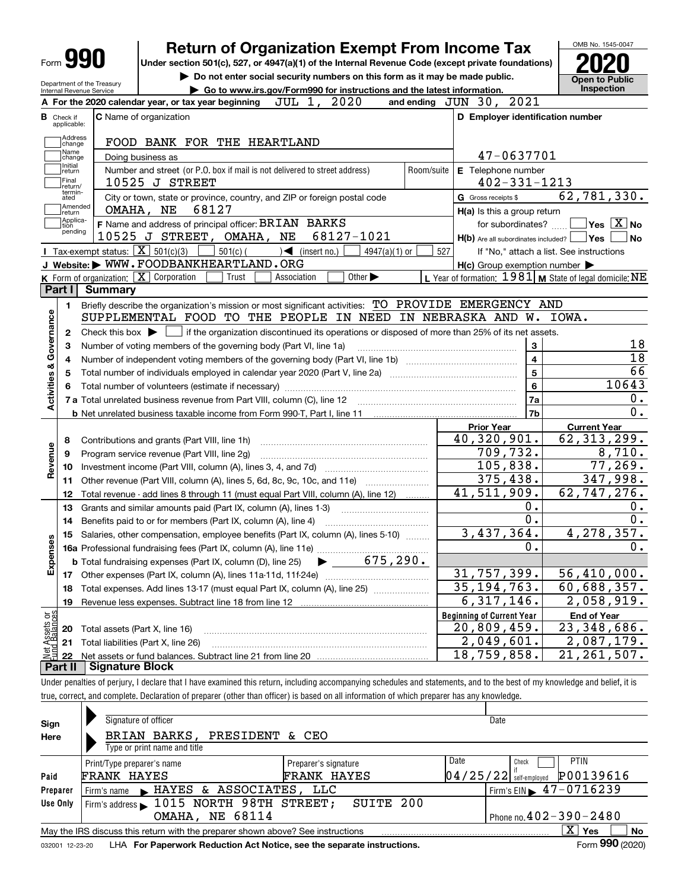| <b>Form 990</b>                       |                                                   | <b>Return of Organization Exempt From Income Tax</b><br>Under section 501(c), 527, or 4947(a)(1) of the Internal Revenue Code (except private foundations) |                                                           | OMB No. 1545-0047                                    |
|---------------------------------------|---------------------------------------------------|------------------------------------------------------------------------------------------------------------------------------------------------------------|-----------------------------------------------------------|------------------------------------------------------|
|                                       | Department of the Treasury                        | Do not enter social security numbers on this form as it may be made public.<br>Go to www.irs.gov/Form990 for instructions and the latest information.      |                                                           | Open to Public<br><b>Inspection</b>                  |
| Internal Revenue Service              |                                                   | 2020<br>JUL 1,<br>A For the 2020 calendar year, or tax year beginning                                                                                      | and ending JUN 30, 2021                                   |                                                      |
| <b>B</b> Check if                     |                                                   | <b>C</b> Name of organization                                                                                                                              | D Employer identification number                          |                                                      |
| applicable:                           |                                                   |                                                                                                                                                            |                                                           |                                                      |
| Address<br>change                     |                                                   | FOOD BANK FOR THE HEARTLAND                                                                                                                                |                                                           |                                                      |
| Name<br>change                        |                                                   | Doing business as                                                                                                                                          | 47-0637701                                                |                                                      |
| Initial<br>return<br>Final<br>return/ |                                                   | Number and street (or P.O. box if mail is not delivered to street address)<br>Room/suite<br>10525 J STREET                                                 | E Telephone number<br>$402 - 331 - 1213$                  |                                                      |
| termin-<br>ated                       |                                                   | City or town, state or province, country, and ZIP or foreign postal code                                                                                   | G Gross receipts \$                                       | 62,781,330.                                          |
| Amended<br>return                     |                                                   | 68127<br>OMAHA, NE                                                                                                                                         | H(a) Is this a group return                               |                                                      |
| Applica-<br>tion                      |                                                   | F Name and address of principal officer: BRIAN BARKS                                                                                                       | for subordinates?                                         | $\overline{\mathsf{Yes}}$ $\overline{\mathsf{X}}$ No |
| pending                               |                                                   | 10525 J STREET, OMAHA, NE<br>68127-1021                                                                                                                    | H(b) Are all subordinates included?   Yes                 | No                                                   |
|                                       | Tax-exempt status: $\boxed{\mathbf{X}}$ 501(c)(3) | $501(c)$ (<br>$\sqrt{\bullet}$ (insert no.)<br>$4947(a)(1)$ or                                                                                             | 527<br>If "No," attach a list. See instructions           |                                                      |
|                                       |                                                   | J Website: WWW.FOODBANKHEARTLAND.ORG                                                                                                                       | $H(c)$ Group exemption number $\blacktriangleright$       |                                                      |
|                                       |                                                   | <b>K</b> Form of organization: $\boxed{\mathbf{X}}$ Corporation<br>Trust<br>Other $\blacktriangleright$<br>Association                                     | L Year of formation: $1981$ M State of legal domicile: NE |                                                      |
| Part I                                | <b>Summary</b>                                    |                                                                                                                                                            |                                                           |                                                      |
| 1.                                    |                                                   | Briefly describe the organization's mission or most significant activities: TO PROVIDE EMERGENCY AND                                                       |                                                           |                                                      |
|                                       |                                                   | SUPPLEMENTAL FOOD TO THE PEOPLE IN NEED IN NEBRASKA AND W. IOWA.                                                                                           |                                                           |                                                      |
| Activities & Governance<br>2          |                                                   | Check this box $\triangleright$ $\blacksquare$ if the organization discontinued its operations or disposed of more than 25% of its net assets.             |                                                           |                                                      |
| 3                                     |                                                   | Number of voting members of the governing body (Part VI, line 1a)                                                                                          | 3                                                         | 18                                                   |
| 4                                     |                                                   |                                                                                                                                                            | 4                                                         | $\overline{18}$                                      |
| 5                                     |                                                   | 5                                                                                                                                                          | 66                                                        |                                                      |
| 6                                     |                                                   | Total number of volunteers (estimate if necessary) manufacture content content to a manufacture content of the                                             | 6                                                         | 10643                                                |
|                                       |                                                   | 7 a Total unrelated business revenue from Part VIII, column (C), line 12                                                                                   | 7a                                                        | 0.                                                   |
|                                       |                                                   |                                                                                                                                                            | 7b                                                        | 0.                                                   |
|                                       |                                                   |                                                                                                                                                            | <b>Prior Year</b>                                         | <b>Current Year</b>                                  |
| 8                                     |                                                   | Contributions and grants (Part VIII, line 1h)                                                                                                              | 40,320,901.                                               | $\overline{62}$ , 313, 299.                          |
| Revenue<br>9                          |                                                   | Program service revenue (Part VIII, line 2g)                                                                                                               | 709,732.                                                  | 8,710.                                               |
| 10                                    |                                                   |                                                                                                                                                            | 105,838.                                                  | 77,269.                                              |
| 11                                    |                                                   | Other revenue (Part VIII, column (A), lines 5, 6d, 8c, 9c, 10c, and 11e)                                                                                   | 375,438.                                                  | 347,998.                                             |
| 12                                    |                                                   | Total revenue - add lines 8 through 11 (must equal Part VIII, column (A), line 12)                                                                         | 41,511,909.                                               | 62,747,276.                                          |
| 13                                    |                                                   | Grants and similar amounts paid (Part IX, column (A), lines 1-3)                                                                                           | 0.                                                        | 0.                                                   |
| 14                                    |                                                   | Benefits paid to or for members (Part IX, column (A), line 4)                                                                                              | $\overline{0}$ .                                          | 0.                                                   |
| 15<br>w                               |                                                   | Salaries, other compensation, employee benefits (Part IX, column (A), lines 5-10)                                                                          | 3,437,364.                                                | 4,278,357.                                           |
|                                       |                                                   |                                                                                                                                                            | 0.                                                        | $0 \cdot$                                            |
| Expense                               |                                                   | $\bullet$ 675,290.<br><b>b</b> Total fundraising expenses (Part IX, column (D), line 25)                                                                   |                                                           |                                                      |
| 17                                    |                                                   |                                                                                                                                                            | 31,757,399.                                               | $\overline{56}$ , 410, 000.                          |
| 18                                    |                                                   | Total expenses. Add lines 13-17 (must equal Part IX, column (A), line 25)                                                                                  | 35, 194, 763.                                             | 60,688,357.                                          |
| 19                                    |                                                   |                                                                                                                                                            | 6,317,146.                                                | 2,058,919.                                           |
|                                       |                                                   |                                                                                                                                                            | <b>Beginning of Current Year</b>                          | <b>End of Year</b>                                   |
| Net Assets or<br>Fund Balances<br>20  | Total assets (Part X, line 16)                    |                                                                                                                                                            | 20,809,459.                                               | 23,348,686.                                          |
| 21                                    |                                                   | Total liabilities (Part X, line 26)                                                                                                                        | 2,049,601.                                                | 2,087,179.                                           |
|                                       |                                                   |                                                                                                                                                            | 18,759,858.                                               | $\overline{21}$ , 261, 507.                          |
| 22                                    | <b>Signature Block</b>                            |                                                                                                                                                            |                                                           |                                                      |

| Sign     | Signature of officer                                                            |                                            | Date                                                                  |
|----------|---------------------------------------------------------------------------------|--------------------------------------------|-----------------------------------------------------------------------|
| Here     | BRIAN BARKS, PRESIDENT & CEO<br>Type or print name and title                    |                                            |                                                                       |
| Paid     | Print/Type preparer's name<br>FRANK HAYES                                       | Preparer's signature<br><b>FRANK HAYES</b> | Date<br><b>PTIN</b><br>Check<br>P00139616<br>$04/25/22$ self-employed |
| Preparer | Firm's name FIAYES & ASSOCIATES, LLC                                            |                                            | Firm's EIN $\blacktriangleright$ 47-0716239                           |
| Use Only | Firm's address > 1015 NORTH 98TH STREET;<br><b>OMAHA, NE 68114</b>              | SUITE 200                                  | Phone no. $402 - 390 - 2480$                                          |
|          | May the IRS discuss this return with the preparer shown above? See instructions |                                            | ΧI<br>No<br>Yes                                                       |
|          |                                                                                 |                                            | $F = 000$ (2222)                                                      |

true, correct, and complete. Declaration of preparer (other than officer) is based on all information of which preparer has any knowledge.

032001 12-23-20 LHA **For Paperwork Reduction Act Notice, see the separate instructions.** Form 990 (2020)

**990**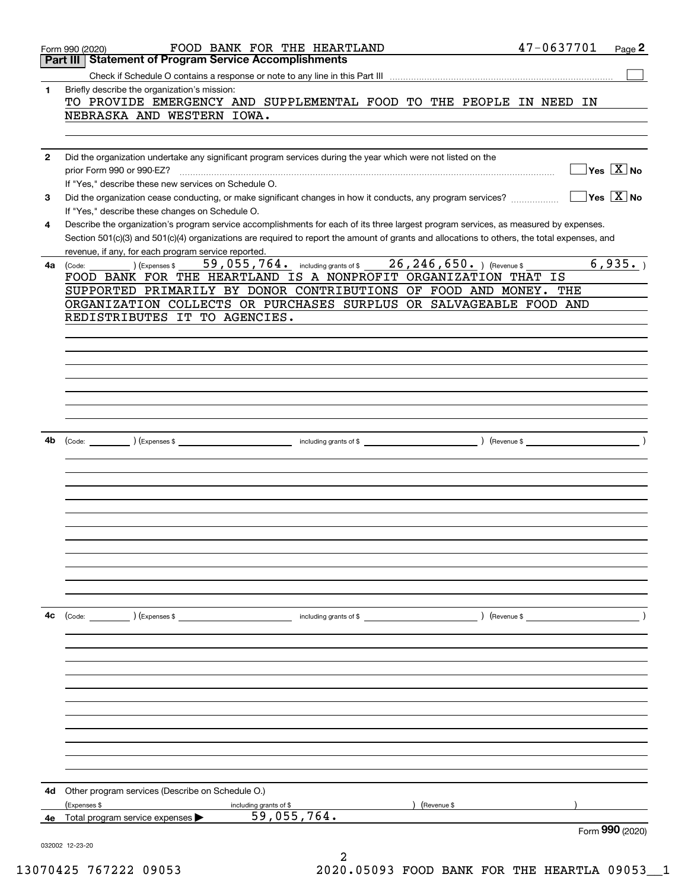|              | Form 990 (2020)                                                                                                                                                                         | FOOD BANK FOR THE HEARTLAND                                     |               | 47-0637701<br>Page 2                                  |
|--------------|-----------------------------------------------------------------------------------------------------------------------------------------------------------------------------------------|-----------------------------------------------------------------|---------------|-------------------------------------------------------|
|              | <b>Statement of Program Service Accomplishments</b><br>Part III                                                                                                                         |                                                                 |               |                                                       |
| 1            | Briefly describe the organization's mission:<br>TO PROVIDE EMERGENCY AND SUPPLEMENTAL FOOD TO THE PEOPLE IN NEED IN                                                                     |                                                                 |               |                                                       |
|              | NEBRASKA AND WESTERN IOWA.                                                                                                                                                              |                                                                 |               |                                                       |
| $\mathbf{2}$ | Did the organization undertake any significant program services during the year which were not listed on the                                                                            |                                                                 |               |                                                       |
|              | prior Form 990 or 990-EZ?<br>If "Yes," describe these new services on Schedule O.                                                                                                       |                                                                 |               | $\overline{\ }$ Yes $\overline{\rm{X}}$ No            |
| 3            | Did the organization cease conducting, or make significant changes in how it conducts, any program services?                                                                            |                                                                 |               | $\overline{\mathsf{Y}}$ es $\overline{\mathsf{X}}$ No |
| 4            | If "Yes," describe these changes on Schedule O.<br>Describe the organization's program service accomplishments for each of its three largest program services, as measured by expenses. |                                                                 |               |                                                       |
|              | Section 501(c)(3) and 501(c)(4) organizations are required to report the amount of grants and allocations to others, the total expenses, and                                            |                                                                 |               |                                                       |
| 4a           | revenue, if any, for each program service reported.<br>) (Expenses \$<br>(Code:                                                                                                         | 59, 055, 764. including grants of \$26, 246, 650. ) (Revenue \$ |               | 6,935.                                                |
|              | FOOD BANK FOR THE HEARTLAND IS A NONPROFIT ORGANIZATION THAT IS                                                                                                                         |                                                                 |               |                                                       |
|              | SUPPORTED PRIMARILY BY DONOR CONTRIBUTIONS OF FOOD AND MONEY. THE                                                                                                                       |                                                                 |               |                                                       |
|              | ORGANIZATION COLLECTS OR PURCHASES SURPLUS OR SALVAGEABLE FOOD AND<br>REDISTRIBUTES IT TO AGENCIES.                                                                                     |                                                                 |               |                                                       |
|              |                                                                                                                                                                                         |                                                                 |               |                                                       |
|              |                                                                                                                                                                                         |                                                                 |               |                                                       |
|              |                                                                                                                                                                                         |                                                                 |               |                                                       |
|              |                                                                                                                                                                                         |                                                                 |               |                                                       |
|              |                                                                                                                                                                                         |                                                                 |               |                                                       |
|              |                                                                                                                                                                                         |                                                                 |               |                                                       |
|              |                                                                                                                                                                                         |                                                                 |               |                                                       |
| 4b           |                                                                                                                                                                                         |                                                                 |               |                                                       |
|              |                                                                                                                                                                                         |                                                                 |               |                                                       |
|              |                                                                                                                                                                                         |                                                                 |               |                                                       |
|              |                                                                                                                                                                                         |                                                                 |               |                                                       |
|              |                                                                                                                                                                                         |                                                                 |               |                                                       |
|              |                                                                                                                                                                                         |                                                                 |               |                                                       |
|              |                                                                                                                                                                                         |                                                                 |               |                                                       |
|              |                                                                                                                                                                                         |                                                                 |               |                                                       |
|              |                                                                                                                                                                                         |                                                                 |               |                                                       |
|              |                                                                                                                                                                                         |                                                                 |               |                                                       |
|              |                                                                                                                                                                                         |                                                                 |               |                                                       |
| 4c           | (Code: ) (Expenses \$                                                                                                                                                                   | including grants of \$                                          | ) (Revenue \$ | $\overline{\phantom{a}}$                              |
|              |                                                                                                                                                                                         |                                                                 |               |                                                       |
|              |                                                                                                                                                                                         |                                                                 |               |                                                       |
|              |                                                                                                                                                                                         |                                                                 |               |                                                       |
|              |                                                                                                                                                                                         |                                                                 |               |                                                       |
|              |                                                                                                                                                                                         |                                                                 |               |                                                       |
|              |                                                                                                                                                                                         |                                                                 |               |                                                       |
|              |                                                                                                                                                                                         |                                                                 |               |                                                       |
|              |                                                                                                                                                                                         |                                                                 |               |                                                       |
|              |                                                                                                                                                                                         |                                                                 |               |                                                       |
|              |                                                                                                                                                                                         |                                                                 |               |                                                       |
| 4d           | Other program services (Describe on Schedule O.)                                                                                                                                        |                                                                 |               |                                                       |
|              | (Expenses \$                                                                                                                                                                            | including grants of \$                                          | (Revenue \$   |                                                       |
| 4е           | Total program service expenses                                                                                                                                                          | 59,055,764.                                                     |               |                                                       |
|              |                                                                                                                                                                                         |                                                                 |               | Form 990 (2020)                                       |
|              | 032002 12-23-20                                                                                                                                                                         |                                                                 |               |                                                       |

13070425 767222 09053 2020.05093 FOOD BANK FOR THE HEARTLA 09053\_\_1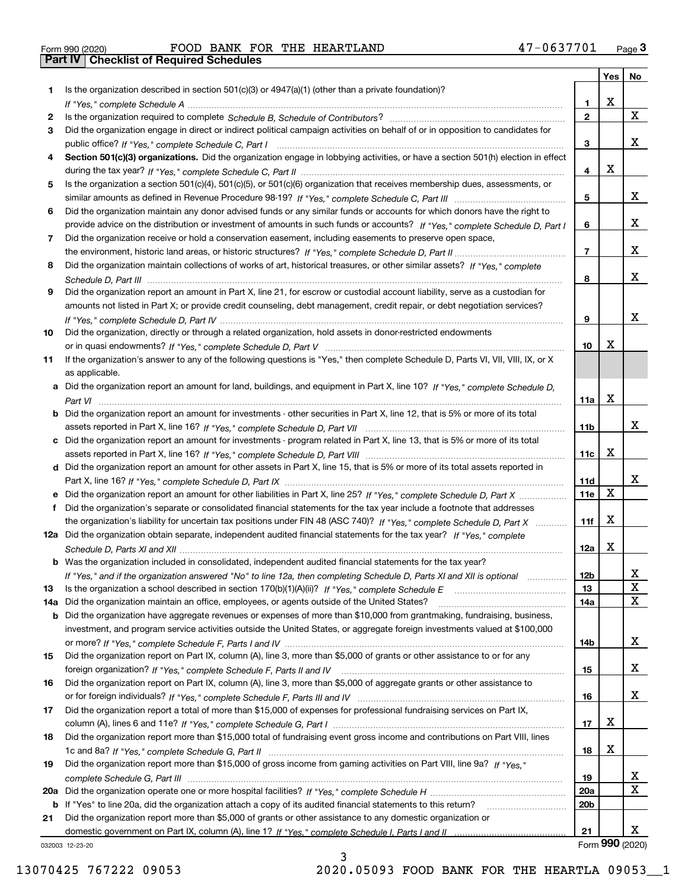| 90 (2020) | FOOD B |  |
|-----------|--------|--|

|     |                                                                                                                                  |                 | Yes $ $ | No              |
|-----|----------------------------------------------------------------------------------------------------------------------------------|-----------------|---------|-----------------|
| 1   | Is the organization described in section $501(c)(3)$ or $4947(a)(1)$ (other than a private foundation)?                          |                 |         |                 |
|     | If "Yes," complete Schedule A measured and the complete schedule A measured and the Schedule A measured and the                  | 1.              | х       |                 |
| 2   |                                                                                                                                  | $\mathbf{2}$    |         | X               |
| 3   | Did the organization engage in direct or indirect political campaign activities on behalf of or in opposition to candidates for  |                 |         |                 |
|     |                                                                                                                                  | 3               |         | x               |
| 4   | Section 501(c)(3) organizations. Did the organization engage in lobbying activities, or have a section 501(h) election in effect |                 |         |                 |
|     |                                                                                                                                  | 4               | х       |                 |
| 5   | Is the organization a section 501(c)(4), 501(c)(5), or 501(c)(6) organization that receives membership dues, assessments, or     |                 |         |                 |
|     |                                                                                                                                  | 5               |         | x               |
| 6   | Did the organization maintain any donor advised funds or any similar funds or accounts for which donors have the right to        |                 |         |                 |
|     | provide advice on the distribution or investment of amounts in such funds or accounts? If "Yes," complete Schedule D, Part I     | 6               |         | x               |
| 7   | Did the organization receive or hold a conservation easement, including easements to preserve open space,                        |                 |         |                 |
|     |                                                                                                                                  | $\overline{7}$  |         | x               |
| 8   | Did the organization maintain collections of works of art, historical treasures, or other similar assets? If "Yes," complete     |                 |         |                 |
|     |                                                                                                                                  | 8               |         | x               |
| 9   | Did the organization report an amount in Part X, line 21, for escrow or custodial account liability, serve as a custodian for    |                 |         |                 |
|     | amounts not listed in Part X; or provide credit counseling, debt management, credit repair, or debt negotiation services?        |                 |         | x               |
|     |                                                                                                                                  | 9               |         |                 |
| 10  | Did the organization, directly or through a related organization, hold assets in donor-restricted endowments                     |                 | х       |                 |
|     |                                                                                                                                  | 10              |         |                 |
| 11  | If the organization's answer to any of the following questions is "Yes," then complete Schedule D, Parts VI, VII, VIII, IX, or X |                 |         |                 |
|     | as applicable.                                                                                                                   |                 |         |                 |
|     | a Did the organization report an amount for land, buildings, and equipment in Part X, line 10? If "Yes," complete Schedule D.    | 11a             | х       |                 |
|     | Did the organization report an amount for investments - other securities in Part X, line 12, that is 5% or more of its total     |                 |         |                 |
|     |                                                                                                                                  | 11b             |         | x               |
|     | c Did the organization report an amount for investments - program related in Part X, line 13, that is 5% or more of its total    |                 |         |                 |
|     |                                                                                                                                  | 11c             | х       |                 |
|     | d Did the organization report an amount for other assets in Part X, line 15, that is 5% or more of its total assets reported in  |                 |         |                 |
|     |                                                                                                                                  | 11d             |         | x               |
|     |                                                                                                                                  | <b>11e</b>      | X       |                 |
| f   | Did the organization's separate or consolidated financial statements for the tax year include a footnote that addresses          |                 |         |                 |
|     | the organization's liability for uncertain tax positions under FIN 48 (ASC 740)? If "Yes," complete Schedule D, Part X           | 11f             | X       |                 |
|     | 12a Did the organization obtain separate, independent audited financial statements for the tax year? If "Yes," complete          |                 |         |                 |
|     |                                                                                                                                  | 12a             | х       |                 |
|     | <b>b</b> Was the organization included in consolidated, independent audited financial statements for the tax year?               |                 |         |                 |
|     | If "Yes," and if the organization answered "No" to line 12a, then completing Schedule D, Parts XI and XII is optional            | 12 <sub>b</sub> |         | 47              |
| 13  |                                                                                                                                  | 13              |         | X               |
| 14a | Did the organization maintain an office, employees, or agents outside of the United States?                                      | 14a             |         | X               |
| b   | Did the organization have aggregate revenues or expenses of more than \$10,000 from grantmaking, fundraising, business,          |                 |         |                 |
|     | investment, and program service activities outside the United States, or aggregate foreign investments valued at \$100,000       |                 |         |                 |
|     |                                                                                                                                  | 14b             |         | x               |
| 15  | Did the organization report on Part IX, column (A), line 3, more than \$5,000 of grants or other assistance to or for any        |                 |         |                 |
|     |                                                                                                                                  | 15              |         | x               |
| 16  | Did the organization report on Part IX, column (A), line 3, more than \$5,000 of aggregate grants or other assistance to         |                 |         |                 |
|     |                                                                                                                                  | 16              |         | x               |
| 17  | Did the organization report a total of more than \$15,000 of expenses for professional fundraising services on Part IX,          |                 |         |                 |
|     |                                                                                                                                  | 17              | X       |                 |
| 18  | Did the organization report more than \$15,000 total of fundraising event gross income and contributions on Part VIII, lines     |                 |         |                 |
|     |                                                                                                                                  | 18              | x       |                 |
| 19  | Did the organization report more than \$15,000 of gross income from gaming activities on Part VIII, line 9a? If "Yes."           |                 |         |                 |
|     |                                                                                                                                  | 19              |         | X               |
| 20a |                                                                                                                                  | 20a             |         | X               |
|     | b If "Yes" to line 20a, did the organization attach a copy of its audited financial statements to this return?                   | 20b             |         |                 |
| 21  | Did the organization report more than \$5,000 of grants or other assistance to any domestic organization or                      |                 |         |                 |
|     |                                                                                                                                  | 21              |         | x               |
|     | 032003 12-23-20                                                                                                                  |                 |         | Form 990 (2020) |

032003 12-23-20

3 13070425 767222 09053 2020.05093 FOOD BANK FOR THE HEARTLA 09053\_\_1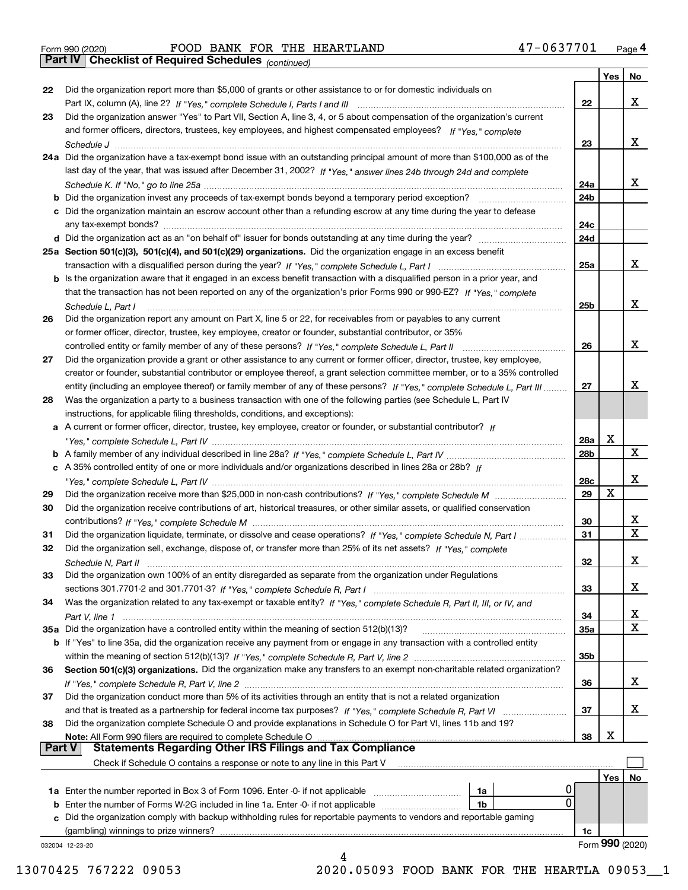Form 990 (2020) Page **4Part IV Checklist of Required Schedules** FOOD BANK FOR THE HEARTLAND 47-0637701

*(continued)*

|               |                                                                                                                              |     | Yes        | No               |
|---------------|------------------------------------------------------------------------------------------------------------------------------|-----|------------|------------------|
| 22            | Did the organization report more than \$5,000 of grants or other assistance to or for domestic individuals on                |     |            |                  |
|               |                                                                                                                              | 22  |            | x                |
| 23            | Did the organization answer "Yes" to Part VII, Section A, line 3, 4, or 5 about compensation of the organization's current   |     |            |                  |
|               | and former officers, directors, trustees, key employees, and highest compensated employees? If "Yes," complete               |     |            |                  |
|               |                                                                                                                              | 23  |            | x                |
|               | 24a Did the organization have a tax-exempt bond issue with an outstanding principal amount of more than \$100,000 as of the  |     |            |                  |
|               | last day of the year, that was issued after December 31, 2002? If "Yes," answer lines 24b through 24d and complete           |     |            |                  |
|               |                                                                                                                              | 24a |            | x                |
|               | <b>b</b> Did the organization invest any proceeds of tax-exempt bonds beyond a temporary period exception?                   | 24b |            |                  |
|               | c Did the organization maintain an escrow account other than a refunding escrow at any time during the year to defease       |     |            |                  |
|               | any tax-exempt bonds?                                                                                                        | 24c |            |                  |
|               | d Did the organization act as an "on behalf of" issuer for bonds outstanding at any time during the year?                    | 24d |            |                  |
|               | 25a Section 501(c)(3), 501(c)(4), and 501(c)(29) organizations. Did the organization engage in an excess benefit             |     |            |                  |
|               |                                                                                                                              | 25a |            | x                |
|               | b Is the organization aware that it engaged in an excess benefit transaction with a disqualified person in a prior year, and |     |            |                  |
|               | that the transaction has not been reported on any of the organization's prior Forms 990 or 990-EZ? If "Yes," complete        |     |            |                  |
|               | Schedule L, Part I                                                                                                           | 25b |            | x                |
| 26            | Did the organization report any amount on Part X, line 5 or 22, for receivables from or payables to any current              |     |            |                  |
|               | or former officer, director, trustee, key employee, creator or founder, substantial contributor, or 35%                      |     |            |                  |
|               |                                                                                                                              | 26  |            | х                |
| 27            | Did the organization provide a grant or other assistance to any current or former officer, director, trustee, key employee,  |     |            |                  |
|               | creator or founder, substantial contributor or employee thereof, a grant selection committee member, or to a 35% controlled  |     |            |                  |
|               | entity (including an employee thereof) or family member of any of these persons? If "Yes," complete Schedule L, Part III     | 27  |            | х                |
| 28            | Was the organization a party to a business transaction with one of the following parties (see Schedule L, Part IV            |     |            |                  |
|               | instructions, for applicable filing thresholds, conditions, and exceptions):                                                 |     |            |                  |
|               | a A current or former officer, director, trustee, key employee, creator or founder, or substantial contributor? If           |     |            |                  |
|               |                                                                                                                              |     | X          |                  |
|               |                                                                                                                              | 28a |            | X                |
|               |                                                                                                                              | 28b |            |                  |
|               | c A 35% controlled entity of one or more individuals and/or organizations described in lines 28a or 28b? If                  |     |            | х                |
|               |                                                                                                                              | 28c |            |                  |
| 29            |                                                                                                                              | 29  | х          |                  |
| 30            | Did the organization receive contributions of art, historical treasures, or other similar assets, or qualified conservation  |     |            |                  |
|               |                                                                                                                              | 30  |            | x<br>$\mathbf x$ |
| 31            | Did the organization liquidate, terminate, or dissolve and cease operations? If "Yes," complete Schedule N, Part I           | 31  |            |                  |
| 32            | Did the organization sell, exchange, dispose of, or transfer more than 25% of its net assets? If "Yes," complete             |     |            |                  |
|               | Schedule N, Part II                                                                                                          | 32  |            | х                |
| 33            | Did the organization own 100% of an entity disregarded as separate from the organization under Regulations                   |     |            |                  |
|               |                                                                                                                              | 33  |            | х                |
| 34            | Was the organization related to any tax-exempt or taxable entity? If "Yes," complete Schedule R, Part II, III, or IV, and    |     |            |                  |
|               |                                                                                                                              | 34  |            | X                |
|               | 35a Did the organization have a controlled entity within the meaning of section 512(b)(13)?                                  | 35a |            | X                |
|               | b If "Yes" to line 35a, did the organization receive any payment from or engage in any transaction with a controlled entity  |     |            |                  |
|               |                                                                                                                              | 35b |            |                  |
| 36            | Section 501(c)(3) organizations. Did the organization make any transfers to an exempt non-charitable related organization?   |     |            |                  |
|               |                                                                                                                              | 36  |            | x                |
| 37            | Did the organization conduct more than 5% of its activities through an entity that is not a related organization             |     |            |                  |
|               | and that is treated as a partnership for federal income tax purposes? If "Yes," complete Schedule R, Part VI                 | 37  |            | x                |
| 38            | Did the organization complete Schedule O and provide explanations in Schedule O for Part VI, lines 11b and 19?               |     |            |                  |
|               | Note: All Form 990 filers are required to complete Schedule O                                                                | 38  | х          |                  |
| <b>Part V</b> | <b>Statements Regarding Other IRS Filings and Tax Compliance</b>                                                             |     |            |                  |
|               | Check if Schedule O contains a response or note to any line in this Part V                                                   |     |            |                  |
|               |                                                                                                                              |     | <b>Yes</b> | No               |
|               | U<br><b>1a</b> Enter the number reported in Box 3 of Form 1096. Enter -0- if not applicable <i>manumumumum</i><br>1a         |     |            |                  |
|               | 0<br><b>b</b> Enter the number of Forms W-2G included in line 1a. Enter -0- if not applicable <i>manumumumum</i><br>1b       |     |            |                  |
|               | c Did the organization comply with backup withholding rules for reportable payments to vendors and reportable gaming         |     |            |                  |
|               | (gambling) winnings to prize winners?                                                                                        | 1c  |            |                  |
|               | 032004 12-23-20                                                                                                              |     |            | Form 990 (2020)  |
|               | 4                                                                                                                            |     |            |                  |

13070425 767222 09053 2020.05093 FOOD BANK FOR THE HEARTLA 09053\_\_1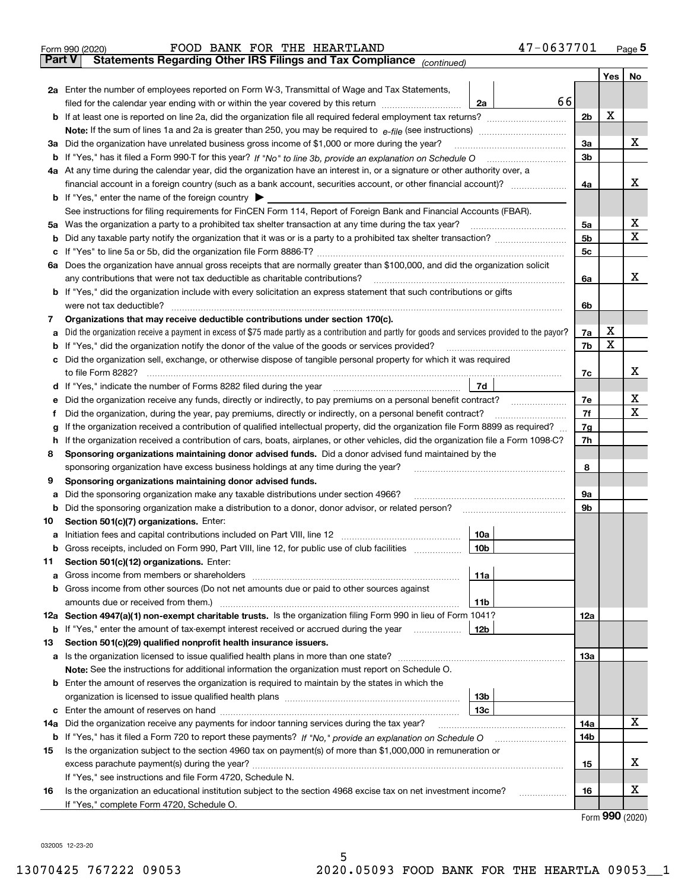|               | 47-0637701<br>FOOD BANK FOR THE HEARTLAND<br>Form 990 (2020)                                                                                                                                                                         |                |     | $_{\text{Page}}$ 5 |  |  |  |  |  |  |  |
|---------------|--------------------------------------------------------------------------------------------------------------------------------------------------------------------------------------------------------------------------------------|----------------|-----|--------------------|--|--|--|--|--|--|--|
| <b>Part V</b> | Statements Regarding Other IRS Filings and Tax Compliance (continued)                                                                                                                                                                |                |     |                    |  |  |  |  |  |  |  |
|               |                                                                                                                                                                                                                                      |                | Yes | No                 |  |  |  |  |  |  |  |
|               | 2a Enter the number of employees reported on Form W-3, Transmittal of Wage and Tax Statements,                                                                                                                                       |                |     |                    |  |  |  |  |  |  |  |
|               | 66<br>filed for the calendar year ending with or within the year covered by this return<br>2a                                                                                                                                        |                |     |                    |  |  |  |  |  |  |  |
|               |                                                                                                                                                                                                                                      | 2b             | х   |                    |  |  |  |  |  |  |  |
|               |                                                                                                                                                                                                                                      |                |     |                    |  |  |  |  |  |  |  |
| За            | Did the organization have unrelated business gross income of \$1,000 or more during the year?                                                                                                                                        |                |     |                    |  |  |  |  |  |  |  |
|               |                                                                                                                                                                                                                                      | 3 <sub>b</sub> |     |                    |  |  |  |  |  |  |  |
|               | 4a At any time during the calendar year, did the organization have an interest in, or a signature or other authority over, a                                                                                                         |                |     |                    |  |  |  |  |  |  |  |
|               |                                                                                                                                                                                                                                      | 4a             |     | х                  |  |  |  |  |  |  |  |
|               | <b>b</b> If "Yes," enter the name of the foreign country $\blacktriangleright$                                                                                                                                                       |                |     |                    |  |  |  |  |  |  |  |
|               | See instructions for filing requirements for FinCEN Form 114, Report of Foreign Bank and Financial Accounts (FBAR).                                                                                                                  |                |     |                    |  |  |  |  |  |  |  |
| 5a            | Was the organization a party to a prohibited tax shelter transaction at any time during the tax year?                                                                                                                                | 5а             |     | х                  |  |  |  |  |  |  |  |
| b             |                                                                                                                                                                                                                                      | 5 <sub>b</sub> |     | X                  |  |  |  |  |  |  |  |
| с             |                                                                                                                                                                                                                                      | 5c             |     |                    |  |  |  |  |  |  |  |
|               | 6a Does the organization have annual gross receipts that are normally greater than \$100,000, and did the organization solicit                                                                                                       |                |     |                    |  |  |  |  |  |  |  |
|               | any contributions that were not tax deductible as charitable contributions?                                                                                                                                                          | 6a             |     | x                  |  |  |  |  |  |  |  |
|               | <b>b</b> If "Yes," did the organization include with every solicitation an express statement that such contributions or gifts                                                                                                        |                |     |                    |  |  |  |  |  |  |  |
|               | were not tax deductible?                                                                                                                                                                                                             | 6b             |     |                    |  |  |  |  |  |  |  |
| 7             | Organizations that may receive deductible contributions under section 170(c).                                                                                                                                                        |                |     |                    |  |  |  |  |  |  |  |
| а             | Did the organization receive a payment in excess of \$75 made partly as a contribution and partly for goods and services provided to the payor?                                                                                      | 7a             | х   |                    |  |  |  |  |  |  |  |
| b             | If "Yes," did the organization notify the donor of the value of the goods or services provided?                                                                                                                                      | 7b             | X   |                    |  |  |  |  |  |  |  |
| с             | Did the organization sell, exchange, or otherwise dispose of tangible personal property for which it was required                                                                                                                    |                |     |                    |  |  |  |  |  |  |  |
|               |                                                                                                                                                                                                                                      | 7c             |     | х                  |  |  |  |  |  |  |  |
|               | 7d<br>d If "Yes," indicate the number of Forms 8282 filed during the year [11] [11] The System manuscription of Forms 8282 filed during the year [11] [11] The System manuscription of the Wales of the Wales of the Wales of the Wa |                |     |                    |  |  |  |  |  |  |  |
| е             |                                                                                                                                                                                                                                      | 7e             |     | х                  |  |  |  |  |  |  |  |
| f             | Did the organization, during the year, pay premiums, directly or indirectly, on a personal benefit contract?                                                                                                                         | 7f             |     | х                  |  |  |  |  |  |  |  |
| g             | If the organization received a contribution of qualified intellectual property, did the organization file Form 8899 as required?                                                                                                     | 7g             |     |                    |  |  |  |  |  |  |  |
| h             | If the organization received a contribution of cars, boats, airplanes, or other vehicles, did the organization file a Form 1098-C?                                                                                                   | 7h             |     |                    |  |  |  |  |  |  |  |
| 8             | Sponsoring organizations maintaining donor advised funds. Did a donor advised fund maintained by the                                                                                                                                 |                |     |                    |  |  |  |  |  |  |  |
|               | sponsoring organization have excess business holdings at any time during the year?                                                                                                                                                   | 8              |     |                    |  |  |  |  |  |  |  |
| 9             | Sponsoring organizations maintaining donor advised funds.                                                                                                                                                                            |                |     |                    |  |  |  |  |  |  |  |
| а             | Did the sponsoring organization make any taxable distributions under section 4966?                                                                                                                                                   | 9а             |     |                    |  |  |  |  |  |  |  |
| b             | Did the sponsoring organization make a distribution to a donor, donor advisor, or related person?                                                                                                                                    | 9b             |     |                    |  |  |  |  |  |  |  |
| 10            | Section 501(c)(7) organizations. Enter:                                                                                                                                                                                              |                |     |                    |  |  |  |  |  |  |  |
| а             | 10a<br>Initiation fees and capital contributions included on Part VIII, line 12 [111] [11] [11] [12] [11] [12] [11] [                                                                                                                |                |     |                    |  |  |  |  |  |  |  |
|               | 10b <br>Gross receipts, included on Form 990, Part VIII, line 12, for public use of club facilities                                                                                                                                  |                |     |                    |  |  |  |  |  |  |  |
| 11            | Section 501(c)(12) organizations. Enter:                                                                                                                                                                                             |                |     |                    |  |  |  |  |  |  |  |
| a             | Gross income from members or shareholders<br>11a                                                                                                                                                                                     |                |     |                    |  |  |  |  |  |  |  |
| b             | Gross income from other sources (Do not net amounts due or paid to other sources against<br>11 <sub>b</sub>                                                                                                                          |                |     |                    |  |  |  |  |  |  |  |
|               | 12a Section 4947(a)(1) non-exempt charitable trusts. Is the organization filing Form 990 in lieu of Form 1041?                                                                                                                       | 12a            |     |                    |  |  |  |  |  |  |  |
|               | 12b<br><b>b</b> If "Yes," enter the amount of tax-exempt interest received or accrued during the year <i>manument</i>                                                                                                                |                |     |                    |  |  |  |  |  |  |  |
| 13            | Section 501(c)(29) qualified nonprofit health insurance issuers.                                                                                                                                                                     |                |     |                    |  |  |  |  |  |  |  |
|               | a Is the organization licensed to issue qualified health plans in more than one state?                                                                                                                                               | <b>13a</b>     |     |                    |  |  |  |  |  |  |  |
|               | Note: See the instructions for additional information the organization must report on Schedule O.                                                                                                                                    |                |     |                    |  |  |  |  |  |  |  |
| b             | Enter the amount of reserves the organization is required to maintain by the states in which the                                                                                                                                     |                |     |                    |  |  |  |  |  |  |  |
|               | 13 <sub>b</sub>                                                                                                                                                                                                                      |                |     |                    |  |  |  |  |  |  |  |
| с             | 13c                                                                                                                                                                                                                                  |                |     |                    |  |  |  |  |  |  |  |
| 14a           | Did the organization receive any payments for indoor tanning services during the tax year?                                                                                                                                           | 14a            |     | x                  |  |  |  |  |  |  |  |
|               | <b>b</b> If "Yes," has it filed a Form 720 to report these payments? If "No," provide an explanation on Schedule O                                                                                                                   | 14b            |     |                    |  |  |  |  |  |  |  |
| 15            | Is the organization subject to the section 4960 tax on payment(s) of more than \$1,000,000 in remuneration or                                                                                                                        |                |     |                    |  |  |  |  |  |  |  |
|               |                                                                                                                                                                                                                                      | 15             |     | x                  |  |  |  |  |  |  |  |
|               | If "Yes," see instructions and file Form 4720, Schedule N.                                                                                                                                                                           |                |     |                    |  |  |  |  |  |  |  |
| 16            | Is the organization an educational institution subject to the section 4968 excise tax on net investment income?                                                                                                                      | 16             |     | х                  |  |  |  |  |  |  |  |
|               | If "Yes," complete Form 4720, Schedule O.                                                                                                                                                                                            |                |     |                    |  |  |  |  |  |  |  |

5

Form (2020) **990**

032005 12-23-20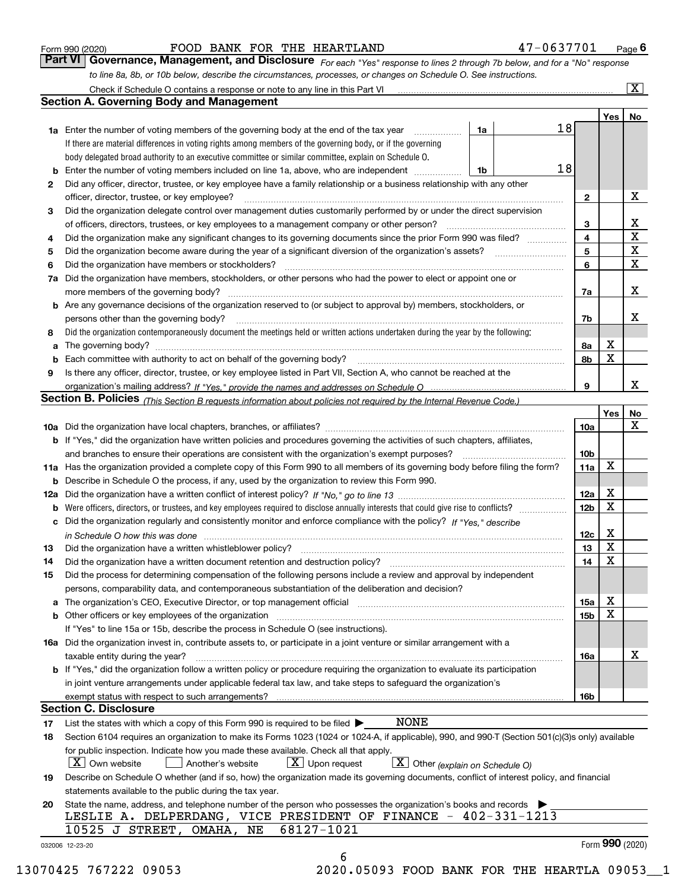|  | Form 990 (2020) |
|--|-----------------|
|  |                 |

FOOD BANK FOR THE HEARTLAND 47-0637701

*For each "Yes" response to lines 2 through 7b below, and for a "No" response to line 8a, 8b, or 10b below, describe the circumstances, processes, or changes on Schedule O. See instructions.* Form 990 (2020) **FOOD BANK FOR THE HEARTLAND** 47 – 0637701 <sub>Page</sub> 6<br>**Part VI Governance, Management, and Disclosure** For each "Yes" response to lines 2 through 7b below, and for a "No" response

|              |                                                                                                                                                                         |    |    |                         | Yes               | No                      |
|--------------|-------------------------------------------------------------------------------------------------------------------------------------------------------------------------|----|----|-------------------------|-------------------|-------------------------|
|              | <b>1a</b> Enter the number of voting members of the governing body at the end of the tax year <i>manumum</i>                                                            | 1a | 18 |                         |                   |                         |
|              | If there are material differences in voting rights among members of the governing body, or if the governing                                                             |    |    |                         |                   |                         |
|              | body delegated broad authority to an executive committee or similar committee, explain on Schedule O.                                                                   |    |    |                         |                   |                         |
|              | <b>b</b> Enter the number of voting members included on line 1a, above, who are independent <i>manument</i> in                                                          | 1b | 18 |                         |                   |                         |
| $\mathbf{2}$ | Did any officer, director, trustee, or key employee have a family relationship or a business relationship with any other                                                |    |    |                         |                   |                         |
|              | officer, director, trustee, or key employee?                                                                                                                            |    |    | $\mathbf{2}$            |                   | х                       |
| 3            | Did the organization delegate control over management duties customarily performed by or under the direct supervision                                                   |    |    |                         |                   |                         |
|              |                                                                                                                                                                         |    |    | 3                       |                   | х                       |
| 4            | Did the organization make any significant changes to its governing documents since the prior Form 990 was filed?                                                        |    |    | $\overline{\mathbf{4}}$ |                   | $\overline{\texttt{x}}$ |
| 5            |                                                                                                                                                                         |    |    | 5                       |                   | $\overline{\textbf{x}}$ |
| 6            | Did the organization have members or stockholders?                                                                                                                      |    |    | 6                       |                   | $\overline{\mathbf{x}}$ |
|              | 7a Did the organization have members, stockholders, or other persons who had the power to elect or appoint one or                                                       |    |    |                         |                   |                         |
|              |                                                                                                                                                                         |    |    | 7a                      |                   | x                       |
|              | <b>b</b> Are any governance decisions of the organization reserved to (or subject to approval by) members, stockholders, or                                             |    |    |                         |                   |                         |
|              | persons other than the governing body?                                                                                                                                  |    |    | 7b                      |                   | х                       |
| 8            | Did the organization contemporaneously document the meetings held or written actions undertaken during the year by the following:                                       |    |    |                         |                   |                         |
|              |                                                                                                                                                                         |    |    | 8а                      | Х                 |                         |
|              |                                                                                                                                                                         |    |    | 8b                      | $\mathbf X$       |                         |
| 9            | Is there any officer, director, trustee, or key employee listed in Part VII, Section A, who cannot be reached at the                                                    |    |    |                         |                   |                         |
|              |                                                                                                                                                                         |    |    | 9                       |                   | x                       |
|              | Section B. Policies (This Section B requests information about policies not required by the Internal Revenue Code.)                                                     |    |    |                         |                   |                         |
|              |                                                                                                                                                                         |    |    |                         | Yes               | No                      |
|              |                                                                                                                                                                         |    |    | 10a                     |                   | X                       |
|              | b If "Yes," did the organization have written policies and procedures governing the activities of such chapters, affiliates,                                            |    |    |                         |                   |                         |
|              |                                                                                                                                                                         |    |    | 10 <sub>b</sub>         |                   |                         |
|              | 11a Has the organization provided a complete copy of this Form 990 to all members of its governing body before filing the form?                                         |    |    | 11a                     | x                 |                         |
|              | <b>b</b> Describe in Schedule O the process, if any, used by the organization to review this Form 990.                                                                  |    |    |                         |                   |                         |
|              |                                                                                                                                                                         |    |    | 12a                     | Х                 |                         |
|              | <b>b</b> Were officers, directors, or trustees, and key employees required to disclose annually interests that could give rise to conflicts?                            |    |    | 12 <sub>b</sub>         | X                 |                         |
|              | c Did the organization regularly and consistently monitor and enforce compliance with the policy? If "Yes," describe                                                    |    |    |                         |                   |                         |
|              | in Schedule O how this was done measured and the control of the control of the state of the control of the cont                                                         |    |    | 12c                     | Х                 |                         |
| 13           |                                                                                                                                                                         |    |    | 13                      | X                 |                         |
| 14           |                                                                                                                                                                         |    |    | 14                      | X                 |                         |
| 15           | Did the process for determining compensation of the following persons include a review and approval by independent                                                      |    |    |                         |                   |                         |
|              | persons, comparability data, and contemporaneous substantiation of the deliberation and decision?                                                                       |    |    |                         |                   |                         |
|              | a The organization's CEO, Executive Director, or top management official manufactured content of the organization's CEO, Executive Director, or top management official |    |    | 15a                     | х                 |                         |
|              |                                                                                                                                                                         |    |    | 15b                     | X                 |                         |
|              | If "Yes" to line 15a or 15b, describe the process in Schedule O (see instructions).                                                                                     |    |    |                         |                   |                         |
|              | 16a Did the organization invest in, contribute assets to, or participate in a joint venture or similar arrangement with a                                               |    |    |                         |                   |                         |
|              |                                                                                                                                                                         |    |    |                         |                   | х                       |
|              | taxable entity during the year?<br>b If "Yes," did the organization follow a written policy or procedure requiring the organization to evaluate its participation       |    |    | 16a                     |                   |                         |
|              |                                                                                                                                                                         |    |    |                         |                   |                         |
|              | in joint venture arrangements under applicable federal tax law, and take steps to safeguard the organization's                                                          |    |    |                         |                   |                         |
|              | <b>Section C. Disclosure</b>                                                                                                                                            |    |    | 16b                     |                   |                         |
|              | <b>NONE</b>                                                                                                                                                             |    |    |                         |                   |                         |
| 17           | List the states with which a copy of this Form 990 is required to be filed $\blacktriangleright$                                                                        |    |    |                         |                   |                         |
| 18           | Section 6104 requires an organization to make its Forms 1023 (1024 or 1024-A, if applicable), 990, and 990-T (Section 501(c)(3)s only) available                        |    |    |                         |                   |                         |
|              | for public inspection. Indicate how you made these available. Check all that apply.                                                                                     |    |    |                         |                   |                         |
|              | $\vert X \vert$ Own website<br>$X$ Upon request<br>$X$ Other (explain on Schedule O)<br>Another's website                                                               |    |    |                         |                   |                         |
| 19           | Describe on Schedule O whether (and if so, how) the organization made its governing documents, conflict of interest policy, and financial                               |    |    |                         |                   |                         |
|              | statements available to the public during the tax year.                                                                                                                 |    |    |                         |                   |                         |
| 20           | State the name, address, and telephone number of the person who possesses the organization's books and records                                                          |    |    |                         |                   |                         |
|              | LESLIE A. DELPERDANG, VICE PRESIDENT OF FINANCE - 402-331-1213                                                                                                          |    |    |                         |                   |                         |
|              | 68127-1021<br>10525 J STREET, OMAHA,<br>NE                                                                                                                              |    |    |                         | Form $990$ (2020) |                         |
|              | 032006 12-23-20                                                                                                                                                         |    |    |                         |                   |                         |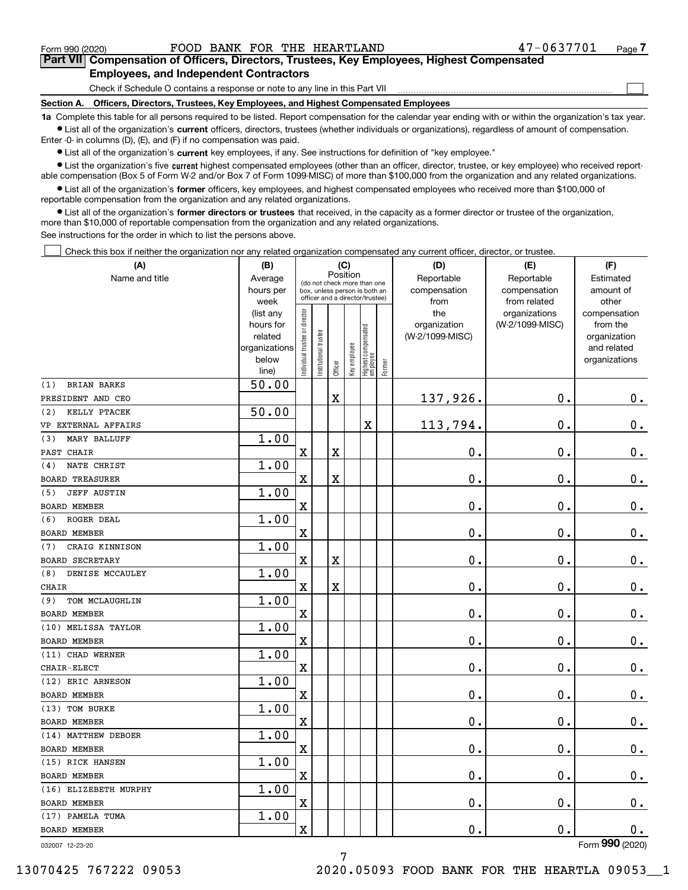$\mathcal{L}^{\text{max}}$ 

# **7Part VII Compensation of Officers, Directors, Trustees, Key Employees, Highest Compensated Employees, and Independent Contractors**

Check if Schedule O contains a response or note to any line in this Part VII

**Section A. Officers, Directors, Trustees, Key Employees, and Highest Compensated Employees**

**1a**  Complete this table for all persons required to be listed. Report compensation for the calendar year ending with or within the organization's tax year. **•** List all of the organization's current officers, directors, trustees (whether individuals or organizations), regardless of amount of compensation.

Enter -0- in columns (D), (E), and (F) if no compensation was paid.

 $\bullet$  List all of the organization's  $\,$ current key employees, if any. See instructions for definition of "key employee."

**•** List the organization's five current highest compensated employees (other than an officer, director, trustee, or key employee) who received reportable compensation (Box 5 of Form W-2 and/or Box 7 of Form 1099-MISC) of more than \$100,000 from the organization and any related organizations.

**•** List all of the organization's former officers, key employees, and highest compensated employees who received more than \$100,000 of reportable compensation from the organization and any related organizations.

**former directors or trustees**  ¥ List all of the organization's that received, in the capacity as a former director or trustee of the organization, more than \$10,000 of reportable compensation from the organization and any related organizations.

See instructions for the order in which to list the persons above.

Check this box if neither the organization nor any related organization compensated any current officer, director, or trustee.  $\mathcal{L}^{\text{max}}$ 

| (A)                       | (B)                  |                               |                                                                  | (C)         |              |                                  |        | (D)                             | (E)             | (F)                         |
|---------------------------|----------------------|-------------------------------|------------------------------------------------------------------|-------------|--------------|----------------------------------|--------|---------------------------------|-----------------|-----------------------------|
| Name and title            | Average              |                               | (do not check more than one                                      | Position    |              |                                  |        | Reportable                      | Reportable      | Estimated                   |
|                           | hours per            |                               | box, unless person is both an<br>officer and a director/trustee) |             |              |                                  |        | compensation                    | compensation    | amount of                   |
|                           | week                 |                               |                                                                  |             |              |                                  |        | from                            | from related    | other                       |
|                           | (list any            |                               |                                                                  |             |              |                                  |        | the                             | organizations   | compensation                |
|                           | hours for<br>related |                               |                                                                  |             |              |                                  |        | organization<br>(W-2/1099-MISC) | (W-2/1099-MISC) | from the                    |
|                           | organizations        |                               |                                                                  |             |              |                                  |        |                                 |                 | organization<br>and related |
|                           | below                |                               |                                                                  |             |              |                                  |        |                                 |                 | organizations               |
|                           | line)                | ndividual trustee or director | Institutional trustee                                            | Officer     | Key employee | Highest compensated<br> employee | Former |                                 |                 |                             |
| <b>BRIAN BARKS</b><br>(1) | 50.00                |                               |                                                                  |             |              |                                  |        |                                 |                 |                             |
| PRESIDENT AND CEO         |                      |                               |                                                                  | $\mathbf X$ |              |                                  |        | 137,926.                        | $\mathbf 0$ .   | 0.                          |
| KELLY PTACEK<br>(2)       | 50.00                |                               |                                                                  |             |              |                                  |        |                                 |                 |                             |
| VP EXTERNAL AFFAIRS       |                      |                               |                                                                  |             |              | Χ                                |        | 113,794.                        | 0.              | $\mathbf 0$ .               |
| MARY BALLUFF<br>(3)       | 1.00                 |                               |                                                                  |             |              |                                  |        |                                 |                 |                             |
| PAST CHAIR                |                      | $\rm X$                       |                                                                  | $\mathbf X$ |              |                                  |        | 0.                              | $\mathbf 0$ .   | $\mathbf 0$ .               |
| NATE CHRIST<br>(4)        | 1.00                 |                               |                                                                  |             |              |                                  |        |                                 |                 |                             |
| <b>BOARD TREASURER</b>    |                      | X                             |                                                                  | $\rm X$     |              |                                  |        | 0.                              | $\mathbf 0$ .   | $\mathbf 0$ .               |
| <b>JEFF AUSTIN</b><br>(5) | 1.00                 |                               |                                                                  |             |              |                                  |        |                                 |                 |                             |
| <b>BOARD MEMBER</b>       |                      | $\overline{\mathbf{X}}$       |                                                                  |             |              |                                  |        | 0.                              | $\mathbf 0$ .   | $0_{.}$                     |
| ROGER DEAL<br>(6)         | 1.00                 |                               |                                                                  |             |              |                                  |        |                                 |                 |                             |
| <b>BOARD MEMBER</b>       |                      | $\overline{\mathbf{X}}$       |                                                                  |             |              |                                  |        | $\mathbf 0$ .                   | $\mathbf 0$ .   | $\mathbf 0$ .               |
| CRAIG KINNISON<br>(7)     | 1.00                 |                               |                                                                  |             |              |                                  |        |                                 |                 |                             |
| <b>BOARD SECRETARY</b>    |                      | X                             |                                                                  | X           |              |                                  |        | $\mathbf 0$ .                   | $\mathbf 0$ .   | $0_{.}$                     |
| DENISE MCCAULEY<br>(8)    | 1.00                 |                               |                                                                  |             |              |                                  |        |                                 |                 |                             |
| CHAIR                     |                      | $\overline{\mathbf{X}}$       |                                                                  | $\mathbf X$ |              |                                  |        | 0.                              | $\mathbf 0$ .   | $\mathbf 0$ .               |
| (9)<br>TOM MCLAUGHLIN     | 1.00                 |                               |                                                                  |             |              |                                  |        |                                 |                 |                             |
| <b>BOARD MEMBER</b>       |                      | X                             |                                                                  |             |              |                                  |        | 0.                              | 0.              | $0_{.}$                     |
| (10) MELISSA TAYLOR       | 1.00                 |                               |                                                                  |             |              |                                  |        |                                 |                 |                             |
| BOARD MEMBER              |                      | $\overline{\text{X}}$         |                                                                  |             |              |                                  |        | 0.                              | $\mathbf 0$ .   | 0.                          |
| (11) CHAD WERNER          | 1.00                 |                               |                                                                  |             |              |                                  |        |                                 |                 |                             |
| CHAIR-ELECT               |                      | X                             |                                                                  |             |              |                                  |        | 0.                              | 0.              | $\mathbf 0$ .               |
| (12) ERIC ARNESON         | 1.00                 |                               |                                                                  |             |              |                                  |        |                                 |                 |                             |
| <b>BOARD MEMBER</b>       |                      | $\overline{\mathbf{X}}$       |                                                                  |             |              |                                  |        | 0.                              | $\mathbf 0$ .   | $0_{.}$                     |
| (13) TOM BURKE            | 1.00                 |                               |                                                                  |             |              |                                  |        |                                 |                 |                             |
| <b>BOARD MEMBER</b>       |                      | X                             |                                                                  |             |              |                                  |        | 0.                              | 0.              | $0_{.}$                     |
| (14) MATTHEW DEBOER       | 1.00                 |                               |                                                                  |             |              |                                  |        |                                 |                 |                             |
| <b>BOARD MEMBER</b>       |                      | $\overline{\mathbf{X}}$       |                                                                  |             |              |                                  |        | $\mathbf 0$ .                   | $\mathbf 0$ .   | $0$ .                       |
| (15) RICK HANSEN          | 1.00                 |                               |                                                                  |             |              |                                  |        |                                 |                 |                             |
| <b>BOARD MEMBER</b>       |                      | X                             |                                                                  |             |              |                                  |        | 0.                              | $\mathbf 0$ .   | 0.                          |
| (16) ELIZEBETH MURPHY     | 1.00                 |                               |                                                                  |             |              |                                  |        |                                 |                 |                             |
| <b>BOARD MEMBER</b>       |                      | X                             |                                                                  |             |              |                                  |        | 0.                              | $\mathbf 0$ .   | 0.                          |
| (17) PAMELA TUMA          | 1.00                 |                               |                                                                  |             |              |                                  |        |                                 |                 |                             |
| <b>BOARD MEMBER</b>       |                      | $\overline{\mathbf{X}}$       |                                                                  |             |              |                                  |        | 0.                              | $\mathbf 0$ .   | 0.<br>$\overline{2}$        |

032007 12-23-20

Form (2020) **990**

7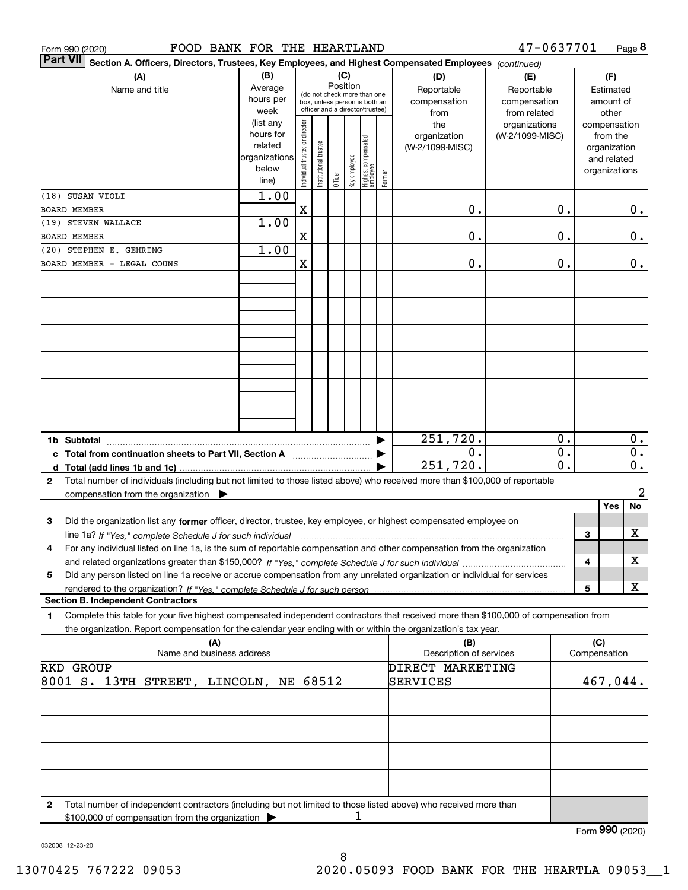| FOOD BANK FOR THE HEARTLAND<br>Form 990 (2020)                                                                                                                                                                                                                                   |                                                                   |                                |                                                                                                 |          |              |                                  |        |                                                                              | 47-0637701                                                                     |                                      |                     | Page 8                                                                      |
|----------------------------------------------------------------------------------------------------------------------------------------------------------------------------------------------------------------------------------------------------------------------------------|-------------------------------------------------------------------|--------------------------------|-------------------------------------------------------------------------------------------------|----------|--------------|----------------------------------|--------|------------------------------------------------------------------------------|--------------------------------------------------------------------------------|--------------------------------------|---------------------|-----------------------------------------------------------------------------|
| <b>Part VII</b><br>Section A. Officers, Directors, Trustees, Key Employees, and Highest Compensated Employees (continued)                                                                                                                                                        |                                                                   |                                |                                                                                                 |          |              |                                  |        |                                                                              |                                                                                |                                      |                     |                                                                             |
| (A)                                                                                                                                                                                                                                                                              | (B)                                                               |                                |                                                                                                 | (C)      |              |                                  |        | (D)                                                                          | (E)                                                                            |                                      |                     | (F)                                                                         |
| Name and title                                                                                                                                                                                                                                                                   | Average<br>hours per<br>week<br>(list any<br>hours for<br>related | Individual trustee or director | (do not check more than one<br>box, unless person is both an<br>officer and a director/trustee) | Position |              |                                  |        | Reportable<br>compensation<br>from<br>the<br>organization<br>(W-2/1099-MISC) | Reportable<br>compensation<br>from related<br>organizations<br>(W-2/1099-MISC) |                                      |                     | Estimated<br>amount of<br>other<br>compensation<br>from the<br>organization |
|                                                                                                                                                                                                                                                                                  | organizations<br>below<br>line)                                   |                                | Institutional trustee                                                                           | Officer  | Key employee | Highest compensated<br> employee | Former |                                                                              |                                                                                |                                      |                     | and related<br>organizations                                                |
| (18) SUSAN VIOLI<br><b>BOARD MEMBER</b>                                                                                                                                                                                                                                          | 1.00                                                              | X                              |                                                                                                 |          |              |                                  |        | 0.                                                                           |                                                                                | 0.                                   |                     | 0.                                                                          |
| (19) STEVEN WALLACE<br><b>BOARD MEMBER</b>                                                                                                                                                                                                                                       | 1.00                                                              | X                              |                                                                                                 |          |              |                                  |        | 0.                                                                           |                                                                                | 0.                                   |                     | 0.                                                                          |
| (20) STEPHEN E. GEHRING                                                                                                                                                                                                                                                          | 1.00                                                              |                                |                                                                                                 |          |              |                                  |        |                                                                              |                                                                                |                                      |                     |                                                                             |
| BOARD MEMBER - LEGAL COUNS                                                                                                                                                                                                                                                       |                                                                   | X                              |                                                                                                 |          |              |                                  |        | 0.                                                                           |                                                                                | 0.                                   |                     | 0.                                                                          |
|                                                                                                                                                                                                                                                                                  |                                                                   |                                |                                                                                                 |          |              |                                  |        |                                                                              |                                                                                |                                      |                     |                                                                             |
|                                                                                                                                                                                                                                                                                  |                                                                   |                                |                                                                                                 |          |              |                                  |        |                                                                              |                                                                                |                                      |                     |                                                                             |
|                                                                                                                                                                                                                                                                                  |                                                                   |                                |                                                                                                 |          |              |                                  |        |                                                                              |                                                                                |                                      |                     |                                                                             |
|                                                                                                                                                                                                                                                                                  |                                                                   |                                |                                                                                                 |          |              |                                  |        |                                                                              |                                                                                |                                      |                     |                                                                             |
|                                                                                                                                                                                                                                                                                  |                                                                   |                                |                                                                                                 |          |              |                                  |        |                                                                              |                                                                                |                                      |                     |                                                                             |
|                                                                                                                                                                                                                                                                                  |                                                                   |                                |                                                                                                 |          |              |                                  |        | 251,720.                                                                     |                                                                                | 0.                                   |                     | 0.                                                                          |
| c Total from continuation sheets to Part VII, Section A                                                                                                                                                                                                                          |                                                                   |                                |                                                                                                 |          |              |                                  |        | 0.<br>251, 720.                                                              |                                                                                | $\overline{0}$ .<br>$\overline{0}$ . |                     | $\overline{0}$ .<br>$0$ .                                                   |
| Total number of individuals (including but not limited to those listed above) who received more than \$100,000 of reportable<br>$\mathbf{2}$<br>compensation from the organization $\blacktriangleright$                                                                         |                                                                   |                                |                                                                                                 |          |              |                                  |        |                                                                              |                                                                                |                                      |                     | 2                                                                           |
| 3<br>Did the organization list any former officer, director, trustee, key employee, or highest compensated employee on                                                                                                                                                           |                                                                   |                                |                                                                                                 |          |              |                                  |        |                                                                              |                                                                                |                                      |                     | Yes<br>No                                                                   |
| line 1a? If "Yes," complete Schedule J for such individual manufactured contained and the line 1a? If "Yes," complete Schedule J for such individual<br>For any individual listed on line 1a, is the sum of reportable compensation and other compensation from the organization |                                                                   |                                |                                                                                                 |          |              |                                  |        |                                                                              |                                                                                |                                      | 3                   | х                                                                           |
|                                                                                                                                                                                                                                                                                  |                                                                   |                                |                                                                                                 |          |              |                                  |        |                                                                              |                                                                                |                                      | 4                   | х                                                                           |
| Did any person listed on line 1a receive or accrue compensation from any unrelated organization or individual for services<br>5                                                                                                                                                  |                                                                   |                                |                                                                                                 |          |              |                                  |        |                                                                              |                                                                                |                                      | 5                   | х                                                                           |
| <b>Section B. Independent Contractors</b>                                                                                                                                                                                                                                        |                                                                   |                                |                                                                                                 |          |              |                                  |        |                                                                              |                                                                                |                                      |                     |                                                                             |
| Complete this table for your five highest compensated independent contractors that received more than \$100,000 of compensation from<br>1<br>the organization. Report compensation for the calendar year ending with or within the organization's tax year.                      |                                                                   |                                |                                                                                                 |          |              |                                  |        |                                                                              |                                                                                |                                      |                     |                                                                             |
| (A)<br>Name and business address                                                                                                                                                                                                                                                 |                                                                   |                                |                                                                                                 |          |              |                                  |        | (B)<br>Description of services                                               |                                                                                |                                      | (C)<br>Compensation |                                                                             |
| <b>RKD GROUP</b><br>8001 S. 13TH STREET, LINCOLN, NE 68512                                                                                                                                                                                                                       |                                                                   |                                |                                                                                                 |          |              |                                  |        | DIRECT MARKETING<br>SERVICES                                                 |                                                                                |                                      |                     | 467,044.                                                                    |
|                                                                                                                                                                                                                                                                                  |                                                                   |                                |                                                                                                 |          |              |                                  |        |                                                                              |                                                                                |                                      |                     |                                                                             |
|                                                                                                                                                                                                                                                                                  |                                                                   |                                |                                                                                                 |          |              |                                  |        |                                                                              |                                                                                |                                      |                     |                                                                             |
|                                                                                                                                                                                                                                                                                  |                                                                   |                                |                                                                                                 |          |              |                                  |        |                                                                              |                                                                                |                                      |                     |                                                                             |
| Total number of independent contractors (including but not limited to those listed above) who received more than<br>2                                                                                                                                                            |                                                                   |                                |                                                                                                 |          |              |                                  |        |                                                                              |                                                                                |                                      |                     |                                                                             |
| \$100,000 of compensation from the organization                                                                                                                                                                                                                                  |                                                                   |                                |                                                                                                 |          | 1            |                                  |        |                                                                              |                                                                                |                                      |                     | Form 990 (2020)                                                             |
|                                                                                                                                                                                                                                                                                  |                                                                   |                                |                                                                                                 |          |              |                                  |        |                                                                              |                                                                                |                                      |                     |                                                                             |

032008 12-23-20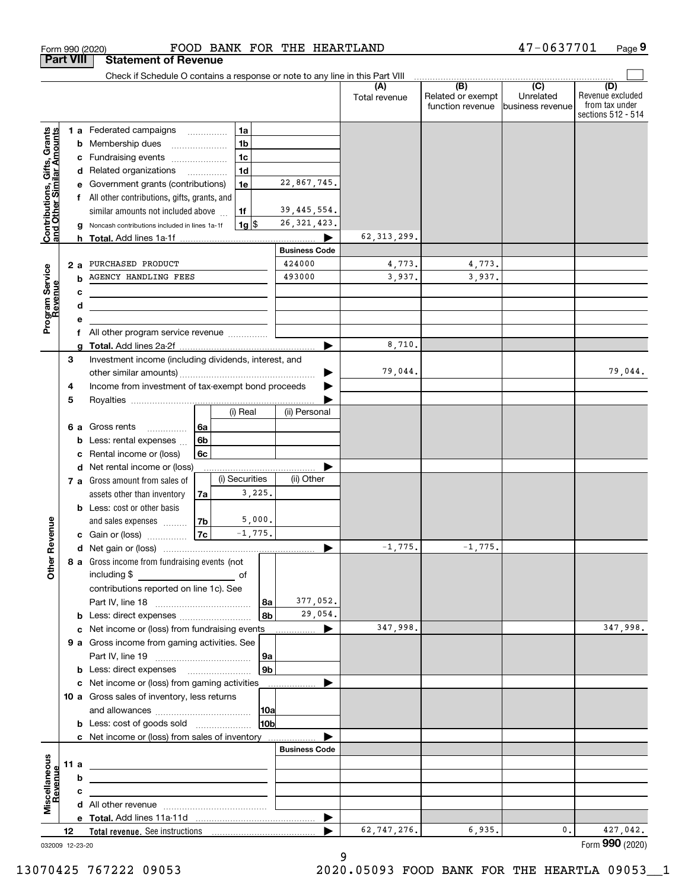| <b>Part VIII</b>                                          |      |    | <b>Statement of Revenue</b>                                                                                           |                |                    |                |                      |                      |                                              |                                                 |                                                                 |
|-----------------------------------------------------------|------|----|-----------------------------------------------------------------------------------------------------------------------|----------------|--------------------|----------------|----------------------|----------------------|----------------------------------------------|-------------------------------------------------|-----------------------------------------------------------------|
|                                                           |      |    | Check if Schedule O contains a response or note to any line in this Part VIII                                         |                |                    |                |                      |                      |                                              |                                                 |                                                                 |
|                                                           |      |    |                                                                                                                       |                |                    |                |                      | (A)<br>Total revenue | (B)<br>Related or exempt<br>function revenue | $\overline{C}$<br>Unrelated<br>business revenue | (D)<br>Revenue excluded<br>from tax under<br>sections 512 - 514 |
|                                                           |      |    | 1 a Federated campaigns                                                                                               |                | 1a                 |                |                      |                      |                                              |                                                 |                                                                 |
| Contributions, Gifts, Grants<br>and Other Similar Amounts |      | b  | Membership dues                                                                                                       |                | 1 <sub>b</sub>     |                |                      |                      |                                              |                                                 |                                                                 |
|                                                           |      | c  | Fundraising events                                                                                                    |                | 1 <sub>c</sub>     |                |                      |                      |                                              |                                                 |                                                                 |
|                                                           |      |    | d Related organizations                                                                                               |                | 1 <sub>d</sub>     |                |                      |                      |                                              |                                                 |                                                                 |
|                                                           |      |    | Government grants (contributions)                                                                                     |                | 1e                 |                | 22,867,745.          |                      |                                              |                                                 |                                                                 |
|                                                           |      |    | All other contributions, gifts, grants, and                                                                           |                |                    |                |                      |                      |                                              |                                                 |                                                                 |
|                                                           |      |    | similar amounts not included above                                                                                    |                | 1f                 |                | 39, 445, 554.        |                      |                                              |                                                 |                                                                 |
|                                                           |      |    | Noncash contributions included in lines 1a-1f                                                                         |                | $1g$ $\frac{1}{3}$ |                | 26, 321, 423.        |                      |                                              |                                                 |                                                                 |
|                                                           |      |    |                                                                                                                       |                |                    |                | 62, 313, 299.        |                      |                                              |                                                 |                                                                 |
|                                                           |      |    | 424000<br>PURCHASED PRODUCT<br>493000<br>AGENCY HANDLING FEES<br>b                                                    |                |                    |                | <b>Business Code</b> |                      |                                              |                                                 |                                                                 |
|                                                           |      | 2a |                                                                                                                       |                |                    |                | 4,773.               | 4,773.               |                                              |                                                 |                                                                 |
|                                                           |      |    |                                                                                                                       |                |                    |                |                      | 3,937.               | 3,937.                                       |                                                 |                                                                 |
|                                                           |      | с  |                                                                                                                       |                |                    |                |                      |                      |                                              |                                                 |                                                                 |
|                                                           |      | d  |                                                                                                                       |                |                    |                |                      |                      |                                              |                                                 |                                                                 |
| Program Service<br>Revenue                                |      |    | All other program service revenue                                                                                     |                |                    |                |                      |                      |                                              |                                                 |                                                                 |
|                                                           |      | f  |                                                                                                                       |                |                    |                | ▶                    | 8,710.               |                                              |                                                 |                                                                 |
|                                                           | 3    |    | Investment income (including dividends, interest, and                                                                 |                |                    |                |                      |                      |                                              |                                                 |                                                                 |
|                                                           |      |    |                                                                                                                       |                |                    |                |                      | 79,044.              |                                              |                                                 | 79,044.                                                         |
|                                                           | 4    |    | Income from investment of tax-exempt bond proceeds                                                                    |                |                    |                |                      |                      |                                              |                                                 |                                                                 |
|                                                           | 5    |    |                                                                                                                       |                |                    |                |                      |                      |                                              |                                                 |                                                                 |
|                                                           |      |    |                                                                                                                       |                | (i) Real           |                | (ii) Personal        |                      |                                              |                                                 |                                                                 |
|                                                           |      | 6а | Gross rents<br>.                                                                                                      | 6a             |                    |                |                      |                      |                                              |                                                 |                                                                 |
|                                                           |      | b  | Less: rental expenses                                                                                                 | 6b             |                    |                |                      |                      |                                              |                                                 |                                                                 |
|                                                           |      | c  | Rental income or (loss)                                                                                               | 6c             |                    |                |                      |                      |                                              |                                                 |                                                                 |
|                                                           |      |    | d Net rental income or (loss)                                                                                         |                |                    |                |                      |                      |                                              |                                                 |                                                                 |
|                                                           |      |    | 7 a Gross amount from sales of                                                                                        |                | (i) Securities     |                | (ii) Other           |                      |                                              |                                                 |                                                                 |
|                                                           |      |    | assets other than inventory                                                                                           | 7a             |                    | 3,225.         |                      |                      |                                              |                                                 |                                                                 |
|                                                           |      |    | <b>b</b> Less: cost or other basis                                                                                    |                |                    |                |                      |                      |                                              |                                                 |                                                                 |
|                                                           |      |    | and sales expenses                                                                                                    | 7 <sub>b</sub> |                    | 5,000.         |                      |                      |                                              |                                                 |                                                                 |
| Revenue                                                   |      |    | c Gain or (loss)                                                                                                      | 7c             |                    | $-1,775.$      |                      |                      |                                              |                                                 |                                                                 |
|                                                           |      |    |                                                                                                                       |                |                    |                |                      | $-1,775.$            | $-1,775.$                                    |                                                 |                                                                 |
| <b>Other</b>                                              |      |    | 8 a Gross income from fundraising events (not                                                                         |                |                    |                |                      |                      |                                              |                                                 |                                                                 |
|                                                           |      |    | including \$                                                                                                          |                |                    |                |                      |                      |                                              |                                                 |                                                                 |
|                                                           |      |    | contributions reported on line 1c). See                                                                               |                |                    |                |                      |                      |                                              |                                                 |                                                                 |
|                                                           |      |    |                                                                                                                       |                |                    | 8a             | 377,052.             |                      |                                              |                                                 |                                                                 |
|                                                           |      |    | <b>b</b> Less: direct expenses <i>manually contained</i>                                                              |                |                    | 8b             | 29,054.              |                      |                                              |                                                 |                                                                 |
|                                                           |      |    |                                                                                                                       |                |                    |                |                      | 347,998.             |                                              |                                                 | 347,998.                                                        |
|                                                           |      |    | 9 a Gross income from gaming activities. See                                                                          |                |                    |                |                      |                      |                                              |                                                 |                                                                 |
|                                                           |      |    |                                                                                                                       |                |                    | 9a             |                      |                      |                                              |                                                 |                                                                 |
|                                                           |      |    | <b>b</b> Less: direct expenses <b>manually</b>                                                                        |                |                    | 9 <sub>b</sub> |                      |                      |                                              |                                                 |                                                                 |
|                                                           |      |    | c Net income or (loss) from gaming activities                                                                         |                |                    |                | .                    |                      |                                              |                                                 |                                                                 |
|                                                           |      |    | 10 a Gross sales of inventory, less returns                                                                           |                |                    |                |                      |                      |                                              |                                                 |                                                                 |
|                                                           |      |    | <b>b</b> Less: cost of goods sold                                                                                     |                |                    | 10a<br>10b     |                      |                      |                                              |                                                 |                                                                 |
|                                                           |      |    |                                                                                                                       |                |                    |                |                      |                      |                                              |                                                 |                                                                 |
|                                                           |      |    | c Net income or (loss) from sales of inventory                                                                        |                |                    |                | <b>Business Code</b> |                      |                                              |                                                 |                                                                 |
|                                                           | 11 a |    |                                                                                                                       |                |                    |                |                      |                      |                                              |                                                 |                                                                 |
|                                                           |      | b  | <u> 1989 - Johann Barbara, martin amerikan basar dan berasal dalam basa dalam basar dalam basar dalam basa dalam</u>  |                |                    |                |                      |                      |                                              |                                                 |                                                                 |
| Revenue                                                   |      | с  |                                                                                                                       |                |                    |                |                      |                      |                                              |                                                 |                                                                 |
| Miscellaneous                                             |      |    | <u> 1989 - John Stein, mars and de Brandenburg and de Brandenburg and de Brandenburg and de Brandenburg and de Br</u> |                |                    |                |                      |                      |                                              |                                                 |                                                                 |
|                                                           |      |    |                                                                                                                       |                |                    |                | ▶                    |                      |                                              |                                                 |                                                                 |
|                                                           | 12   |    |                                                                                                                       |                |                    |                |                      | 62,747,276.          | 6,935.                                       | 0.                                              | 427,042.                                                        |
| 032009 12-23-20                                           |      |    |                                                                                                                       |                |                    |                |                      |                      |                                              |                                                 | Form 990 (2020)                                                 |

Form 990 (2020) FOOD BANK FOR THE HEARTLAND 47-0637701 Page

**9**

47-0637701

032009 12-23-20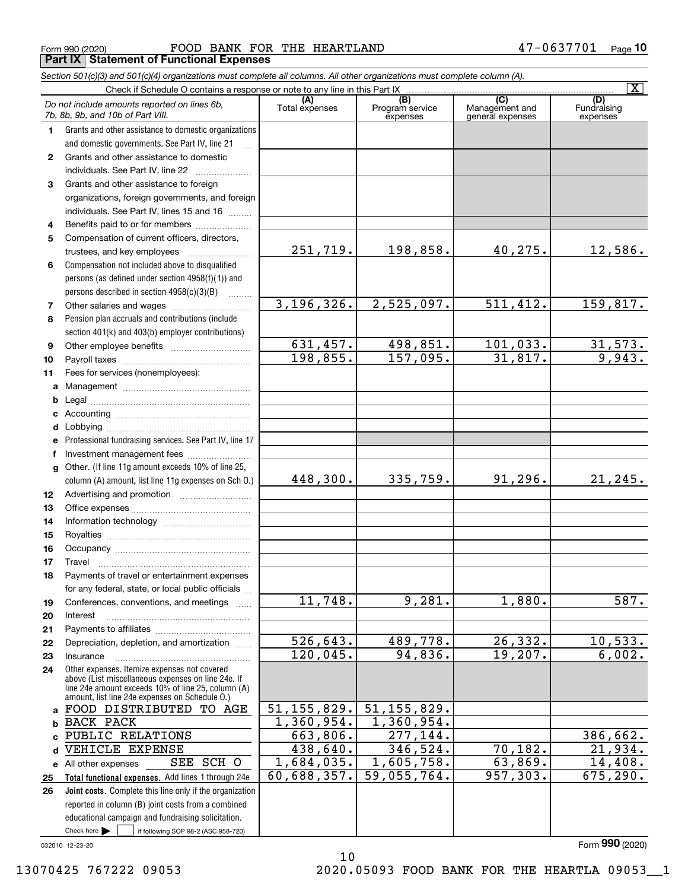Form 990 (2020) FOOD BANK FOR THE HEARTLAND 4 7-0 6 3 7 7 0 1 Page **Part IX Statement of Functional Expenses**

|              | Section 501(c)(3) and 501(c)(4) organizations must complete all columns. All other organizations must complete column (A).                               |                             |                                    |                                                      |                                |
|--------------|----------------------------------------------------------------------------------------------------------------------------------------------------------|-----------------------------|------------------------------------|------------------------------------------------------|--------------------------------|
|              | Check if Schedule O contains a response or note to any line in this Part IX                                                                              |                             |                                    |                                                      | $\overline{\mathbf{X}}$        |
|              | Do not include amounts reported on lines 6b,<br>7b, 8b, 9b, and 10b of Part VIII.                                                                        | (A)<br>Total expenses       | (B)<br>Program service<br>expenses | $\overline{C}$<br>Management and<br>general expenses | (D)<br>Fundraising<br>expenses |
| 1.           | Grants and other assistance to domestic organizations                                                                                                    |                             |                                    |                                                      |                                |
|              | and domestic governments. See Part IV, line 21                                                                                                           |                             |                                    |                                                      |                                |
| $\mathbf{2}$ | Grants and other assistance to domestic                                                                                                                  |                             |                                    |                                                      |                                |
|              | individuals. See Part IV, line 22                                                                                                                        |                             |                                    |                                                      |                                |
| 3            | Grants and other assistance to foreign                                                                                                                   |                             |                                    |                                                      |                                |
|              | organizations, foreign governments, and foreign                                                                                                          |                             |                                    |                                                      |                                |
|              | individuals. See Part IV, lines 15 and 16                                                                                                                |                             |                                    |                                                      |                                |
| 4            | Benefits paid to or for members                                                                                                                          |                             |                                    |                                                      |                                |
| 5            | Compensation of current officers, directors,                                                                                                             |                             |                                    |                                                      |                                |
|              |                                                                                                                                                          | 251,719.                    | 198,858.                           | 40,275.                                              | 12,586.                        |
| 6            | Compensation not included above to disqualified                                                                                                          |                             |                                    |                                                      |                                |
|              | persons (as defined under section 4958(f)(1)) and                                                                                                        |                             |                                    |                                                      |                                |
|              | persons described in section 4958(c)(3)(B)                                                                                                               |                             |                                    |                                                      |                                |
| 7            |                                                                                                                                                          | 3,196,326.                  | 2,525,097.                         | 511,412.                                             | 159,817.                       |
| 8            | Pension plan accruals and contributions (include                                                                                                         |                             |                                    |                                                      |                                |
|              | section 401(k) and 403(b) employer contributions)                                                                                                        |                             |                                    |                                                      |                                |
| 9            |                                                                                                                                                          | 631,457.                    | 498,851.                           | 101,033.                                             | 31,573.                        |
| 10           |                                                                                                                                                          | 198,855.                    | 157,095.                           | 31,817.                                              | 9,943.                         |
| 11           | Fees for services (nonemployees):                                                                                                                        |                             |                                    |                                                      |                                |
|              |                                                                                                                                                          |                             |                                    |                                                      |                                |
| b            |                                                                                                                                                          |                             |                                    |                                                      |                                |
|              |                                                                                                                                                          |                             |                                    |                                                      |                                |
|              |                                                                                                                                                          |                             |                                    |                                                      |                                |
| е            | Professional fundraising services. See Part IV, line 17                                                                                                  |                             |                                    |                                                      |                                |
| f            | Investment management fees                                                                                                                               |                             |                                    |                                                      |                                |
|              | g Other. (If line 11g amount exceeds 10% of line 25,<br>column (A) amount, list line 11g expenses on Sch O.)                                             | 448,300.                    | 335, 759.                          | 91, 296.                                             | 21, 245.                       |
| 12           |                                                                                                                                                          |                             |                                    |                                                      |                                |
| 13           |                                                                                                                                                          |                             |                                    |                                                      |                                |
| 14           |                                                                                                                                                          |                             |                                    |                                                      |                                |
| 15           |                                                                                                                                                          |                             |                                    |                                                      |                                |
| 16           |                                                                                                                                                          |                             |                                    |                                                      |                                |
| 17           |                                                                                                                                                          |                             |                                    |                                                      |                                |
| 18           | Payments of travel or entertainment expenses                                                                                                             |                             |                                    |                                                      |                                |
|              | for any federal, state, or local public officials                                                                                                        |                             |                                    |                                                      |                                |
| 19           | Conferences, conventions, and meetings                                                                                                                   | 11,748.                     | 9,281.                             | 1,880.                                               | 587.                           |
| 20           | Interest                                                                                                                                                 |                             |                                    |                                                      |                                |
| 21           |                                                                                                                                                          |                             |                                    |                                                      |                                |
| 22           | Depreciation, depletion, and amortization                                                                                                                | 526, 643.                   | 489,778.                           | 26, 332.                                             | 10,533.                        |
| 23           | Insurance                                                                                                                                                | 120,045.                    | 94,836.                            | 19,207.                                              | 6,002.                         |
| 24           | Other expenses. Itemize expenses not covered<br>above (List miscellaneous expenses on line 24e. If<br>line 24e amount exceeds 10% of line 25, column (A) |                             |                                    |                                                      |                                |
|              | amount, list line 24e expenses on Schedule O.)<br>a FOOD DISTRIBUTED TO AGE                                                                              | $\overline{51}$ , 155, 829. | 51, 155, 829.                      |                                                      |                                |
|              | <b>BACK PACK</b>                                                                                                                                         | 1,360,954.                  | 1,360,954.                         |                                                      |                                |
| b            | PUBLIC RELATIONS                                                                                                                                         | 663,806.                    | 277,144.                           |                                                      | 386,662.                       |
| c.           | VEHICLE EXPENSE                                                                                                                                          | 438,640.                    | 346,524.                           | 70,182.                                              | 21,934.                        |
| d            | SEE SCH O                                                                                                                                                | 1,684,035.                  | 1,605,758.                         | 63,869.                                              | 14,408.                        |
|              | e All other expenses<br>Total functional expenses. Add lines 1 through 24e                                                                               | 60,688,357.                 | 59,055,764.                        | 957,303.                                             | 675, 290.                      |
| 25<br>26     | Joint costs. Complete this line only if the organization                                                                                                 |                             |                                    |                                                      |                                |
|              | reported in column (B) joint costs from a combined                                                                                                       |                             |                                    |                                                      |                                |
|              | educational campaign and fundraising solicitation.                                                                                                       |                             |                                    |                                                      |                                |
|              | Check here $\blacktriangleright$<br>if following SOP 98-2 (ASC 958-720)                                                                                  |                             |                                    |                                                      |                                |

10

032010 12-23-20

Form (2020) **990**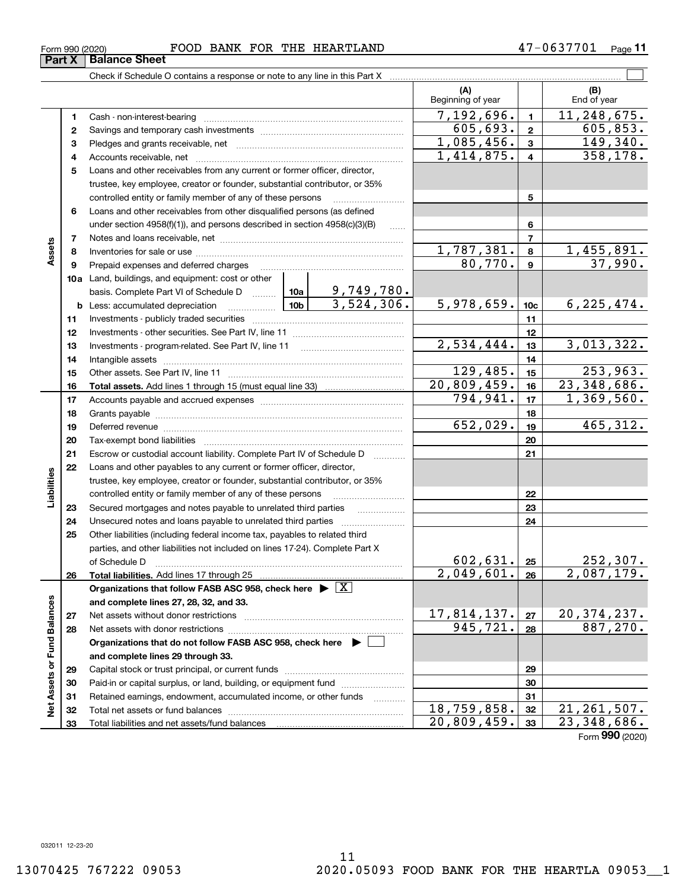## Form 990 (2020) FOOD BANK FOR THE HEARTLAND 4 7-0 6 3 7 7 0 1 Page

Check if Schedule O contains a response or note to any line in this Part X

**(A) (B)** Beginning of year | | End of year  $7,192,696.$  1 11,248,675. **11**Cash - non-interest-bearing ~~~~~~~~~~~~~~~~~~~~~~~~~ 605,693. 2 605,853. **22**Savings and temporary cash investments ~~~~~~~~~~~~~~~~~~ $1,085,456.$   $3$  149,340. **33** Pledges and grants receivable, net  $\ldots$  **multimes contained and grants receivable**, net **multimes contained and grants receivable**, net **multimes contained and grants receivable**  $1,414,875.$  4 | 358,178. Accounts receivable, net ~~~~~~~~~~~~~~~~~~~~~~~~~~ **445**Loans and other receivables from any current or former officer, director, trustee, key employee, creator or founder, substantial contributor, or 35% controlled entity or family member of any of these persons ............................ **5**Loans and other receivables from other disqualified persons (as defined **6**under section  $4958(f)(1)$ , and persons described in section  $4958(c)(3)(B)$ **677**Notes and loans receivable, net ~~~~~~~~~~~~~~~~~~~~~~~**Assets**  $1,787,381. | 8 | 1,455,891.$ **88**Inventories for sale or use ~~~~~~~~~~~~~~~~~~~~~~~~~~ 80,770. 37,990. **99**Prepaid expenses and deferred charges ~~~~~~~~~~~~~~~~~~ **10a**Land, buildings, and equipment: cost or other 9,749,780. basis. Complete Part VI of Schedule D will aller  $3,524,306.$   $5,978,659.$   $10c$  6,225,474. **10cb** Less: accumulated depreciation  $\ldots$  **10b 1111**Investments - publicly traded securities ~~~~~~~~~~~~~~~~~~~ **1212**Investments - other securities. See Part IV, line 11 ~~~~~~~~~~~~~~  $2,534,444.$   $|13|$  3,013,322. **1313**Investments - program-related. See Part IV, line 11 ~~~~~~~~~~~~~**1414**Intangible assets ~~~~~~~~~~~~~~~~~~~~~~~~~~~~~~ Other assets. See Part IV, line 11 ~~~~~~~~~~~~~~~~~~~~~~  $129,485.$  15 253,963. **1515**20,809,459. 23,348,686. **1616Total assets.**  Add lines 1 through 15 (must equal line 33)  $794,941.$   $|17|$  1,369,560. **1717**Accounts payable and accrued expenses ~~~~~~~~~~~~~~~~~~ **1818**Grants payable ~~~~~~~~~~~~~~~~~~~~~~~~~~~~~~~ 652,029. 465,312. **1919**Deferred revenue ~~~~~~~~~~~~~~~~~~~~~~~~~~~~~~ **2020**Tax-exempt bond liabilities …………………………………………………………… Escrow or custodial account liability. Complete Part IV of Schedule D **212122**Loans and other payables to any current or former officer, director, **Liabilities** iabilities trustee, key employee, creator or founder, substantial contributor, or 35% controlled entity or family member of any of these persons ~~~~~~~~~**2223**Secured mortgages and notes payable to unrelated third parties **23**Unsecured notes and loans payable to unrelated third parties **242425**Other liabilities (including federal income tax, payables to related third parties, and other liabilities not included on lines 17-24). Complete Part X of Schedule D ~~~~~~~~~~~~~~~~~~~~~~~~~~~~~~~  $602,631. |25| 252,307.$ **25**2,049,601. 2,087,179. **2626Total liabilities.**  Add lines 17 through 25 **Organizations that follow FASB ASC 958, check here** | X Assets or Fund Balances **Net Assets or Fund Balances and complete lines 27, 28, 32, and 33.** 17,814,137. 20,374,237. **2727**Net assets without donor restrictions ~~~~~~~~~~~~~~~~~~~~  $945,721. |28 | 887,270.$ **2828**Net assets with donor restrictions ~~~~~~~~~~~~~~~~~~~~~~ **Organizations that do not follow FASB ASC 958, check here** | **and complete lines 29 through 33. 2929**Capital stock or trust principal, or current funds ~~~~~~~~~~~~~~~ **3030**Paid-in or capital surplus, or land, building, or equipment fund www.commun.com **3131**Retained earnings, endowment, accumulated income, or other funds www.com ξ Total net assets or fund balances ~~~~~~~~~~~~~~~~~~~~~~ 18,759,858. 21,261,507. **3232**20,809,459. 23,348,686. Total liabilities and net assets/fund balances **3333**

47-0637701 Page 11

 $\mathcal{L}^{\text{max}}$ 

Form (2020) **990**

**Part X** Balance Sheet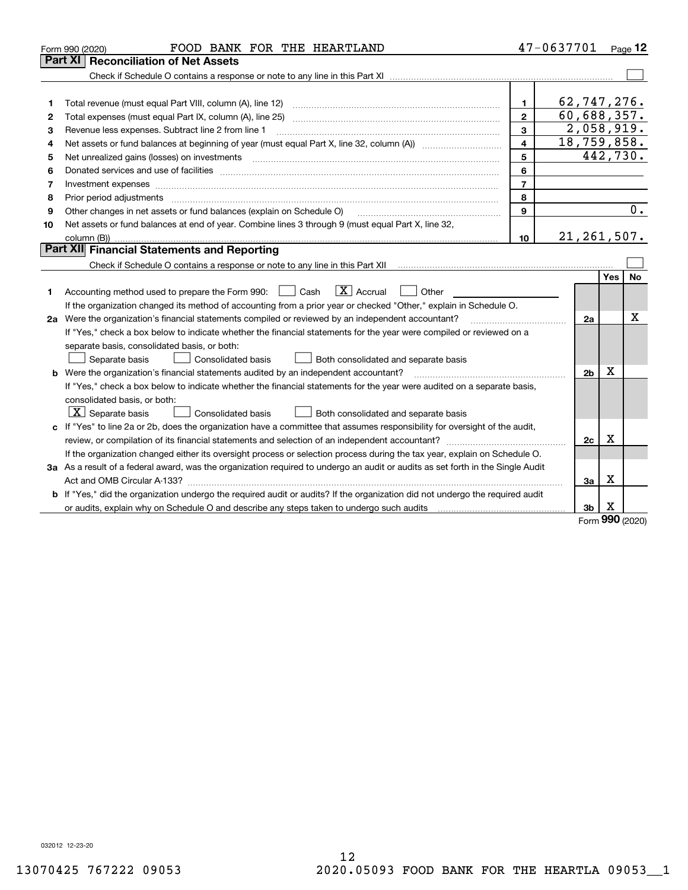|    | FOOD BANK FOR THE HEARTLAND<br>Form 990 (2020)                                                                                  |                         | 47-0637701     |             | Page 12  |
|----|---------------------------------------------------------------------------------------------------------------------------------|-------------------------|----------------|-------------|----------|
|    | Part XI<br><b>Reconciliation of Net Assets</b>                                                                                  |                         |                |             |          |
|    |                                                                                                                                 |                         |                |             |          |
|    |                                                                                                                                 |                         |                |             |          |
| 1  |                                                                                                                                 | $\mathbf{1}$            | 62,747,276.    |             |          |
| 2  |                                                                                                                                 | $\overline{2}$          | 60,688,357.    |             |          |
| 3  | Revenue less expenses. Subtract line 2 from line 1                                                                              | 3                       | 2,058,919.     |             |          |
| 4  |                                                                                                                                 | $\overline{\mathbf{4}}$ | 18,759,858.    |             |          |
| 5  |                                                                                                                                 | 5                       |                |             | 442,730. |
| 6  |                                                                                                                                 | 6                       |                |             |          |
| 7  |                                                                                                                                 | $\overline{7}$          |                |             |          |
| 8  | Prior period adjustments www.communication.communication.com/news/communication.com/news/communication.com/news/                | 8                       |                |             |          |
| 9  | Other changes in net assets or fund balances (explain on Schedule O)                                                            | 9                       |                |             | 0.       |
| 10 | Net assets or fund balances at end of year. Combine lines 3 through 9 (must equal Part X, line 32,                              |                         |                |             |          |
|    |                                                                                                                                 | 10                      | 21, 261, 507.  |             |          |
|    | Part XII Financial Statements and Reporting                                                                                     |                         |                |             |          |
|    |                                                                                                                                 |                         |                |             |          |
|    |                                                                                                                                 |                         |                | Yes         | No       |
| 1. | $\boxed{\text{X}}$ Accrual<br>Accounting method used to prepare the Form 990: <u>June</u> Cash<br>Other<br>$\mathbf{1}$         |                         |                |             |          |
|    | If the organization changed its method of accounting from a prior year or checked "Other," explain in Schedule O.               |                         |                |             |          |
|    | 2a Were the organization's financial statements compiled or reviewed by an independent accountant?                              |                         | 2a             |             | х        |
|    | If "Yes," check a box below to indicate whether the financial statements for the year were compiled or reviewed on a            |                         |                |             |          |
|    | separate basis, consolidated basis, or both:                                                                                    |                         |                |             |          |
|    | Separate basis<br>Consolidated basis<br>Both consolidated and separate basis                                                    |                         |                |             |          |
|    | b Were the organization's financial statements audited by an independent accountant?                                            |                         | 2 <sub>b</sub> | х           |          |
|    | If "Yes," check a box below to indicate whether the financial statements for the year were audited on a separate basis,         |                         |                |             |          |
|    | consolidated basis, or both:                                                                                                    |                         |                |             |          |
|    | $\lfloor x \rfloor$ Separate basis<br>Consolidated basis<br>Both consolidated and separate basis                                |                         |                |             |          |
|    | c If "Yes" to line 2a or 2b, does the organization have a committee that assumes responsibility for oversight of the audit,     |                         |                |             |          |
|    |                                                                                                                                 |                         | 2c             | $\mathbf X$ |          |
|    | If the organization changed either its oversight process or selection process during the tax year, explain on Schedule O.       |                         |                |             |          |
|    | 3a As a result of a federal award, was the organization required to undergo an audit or audits as set forth in the Single Audit |                         |                |             |          |
|    |                                                                                                                                 |                         | 3a             | x           |          |
|    | b If "Yes," did the organization undergo the required audit or audits? If the organization did not undergo the required audit   |                         |                |             |          |
|    |                                                                                                                                 |                         | 3b             | х<br>nnn    |          |

Form (2020) **990**

032012 12-23-20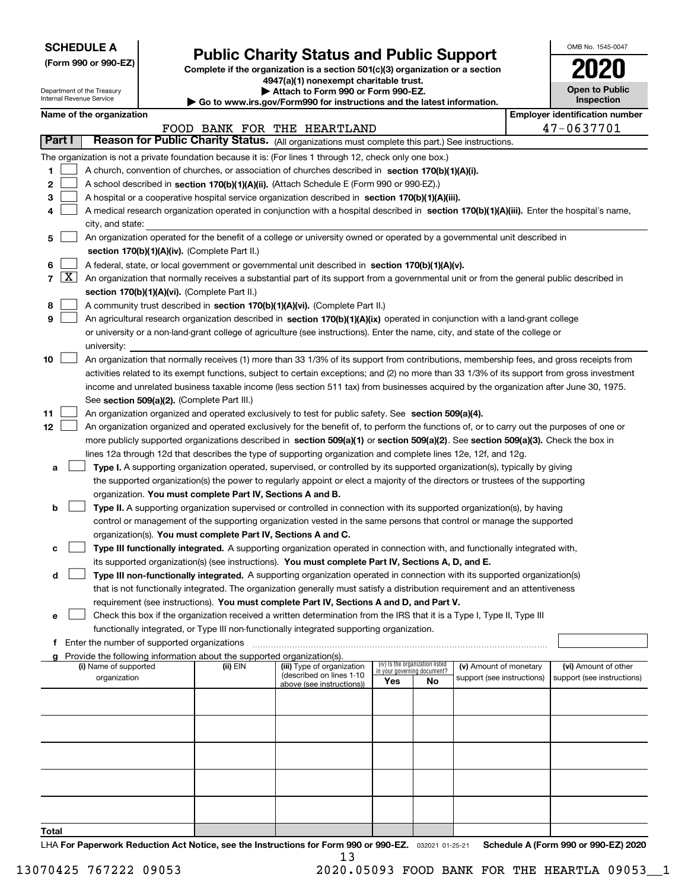| <b>SCHEDULE A</b> |  |
|-------------------|--|
|-------------------|--|

Department of the Treasury Internal Revenue Service

**(Form 990 or 990-EZ)**

# **Public Charity Status and Public Support**

**Complete if the organization is a section 501(c)(3) organization or a section 4947(a)(1) nonexempt charitable trust.**

| Attach to Form 990 or Form 990-EZ. |
|------------------------------------|
|                                    |

**| Go to www.irs.gov/Form990 for instructions and the latest information.**

| OMB No. 1545-0047                   |
|-------------------------------------|
| 020                                 |
| <b>Open to Public</b><br>Inspection |

|  | Name of the organization |
|--|--------------------------|
|--|--------------------------|

|        | Name of the organization<br><b>Employer identification number</b> |                                                                                                                                              |          |                                                       |     |                                                                |                            |  |                                      |  |  |
|--------|-------------------------------------------------------------------|----------------------------------------------------------------------------------------------------------------------------------------------|----------|-------------------------------------------------------|-----|----------------------------------------------------------------|----------------------------|--|--------------------------------------|--|--|
|        |                                                                   |                                                                                                                                              |          | FOOD BANK FOR THE HEARTLAND                           |     |                                                                |                            |  | 47-0637701                           |  |  |
| Part I |                                                                   | Reason for Public Charity Status. (All organizations must complete this part.) See instructions.                                             |          |                                                       |     |                                                                |                            |  |                                      |  |  |
|        |                                                                   | The organization is not a private foundation because it is: (For lines 1 through 12, check only one box.)                                    |          |                                                       |     |                                                                |                            |  |                                      |  |  |
| 1      |                                                                   | A church, convention of churches, or association of churches described in section 170(b)(1)(A)(i).                                           |          |                                                       |     |                                                                |                            |  |                                      |  |  |
| 2      |                                                                   | A school described in section 170(b)(1)(A)(ii). (Attach Schedule E (Form 990 or 990-EZ).)                                                    |          |                                                       |     |                                                                |                            |  |                                      |  |  |
| З      |                                                                   | A hospital or a cooperative hospital service organization described in section 170(b)(1)(A)(iii).                                            |          |                                                       |     |                                                                |                            |  |                                      |  |  |
|        |                                                                   | A medical research organization operated in conjunction with a hospital described in section 170(b)(1)(A)(iii). Enter the hospital's name,   |          |                                                       |     |                                                                |                            |  |                                      |  |  |
|        |                                                                   | city, and state:                                                                                                                             |          |                                                       |     |                                                                |                            |  |                                      |  |  |
| 5      |                                                                   | An organization operated for the benefit of a college or university owned or operated by a governmental unit described in                    |          |                                                       |     |                                                                |                            |  |                                      |  |  |
|        |                                                                   | section 170(b)(1)(A)(iv). (Complete Part II.)                                                                                                |          |                                                       |     |                                                                |                            |  |                                      |  |  |
| 6      |                                                                   | A federal, state, or local government or governmental unit described in section 170(b)(1)(A)(v).                                             |          |                                                       |     |                                                                |                            |  |                                      |  |  |
| 7      | $\lfloor x \rfloor$                                               | An organization that normally receives a substantial part of its support from a governmental unit or from the general public described in    |          |                                                       |     |                                                                |                            |  |                                      |  |  |
|        |                                                                   | section 170(b)(1)(A)(vi). (Complete Part II.)                                                                                                |          |                                                       |     |                                                                |                            |  |                                      |  |  |
| 8      |                                                                   | A community trust described in section 170(b)(1)(A)(vi). (Complete Part II.)                                                                 |          |                                                       |     |                                                                |                            |  |                                      |  |  |
| 9      |                                                                   | An agricultural research organization described in section 170(b)(1)(A)(ix) operated in conjunction with a land-grant college                |          |                                                       |     |                                                                |                            |  |                                      |  |  |
|        |                                                                   | or university or a non-land-grant college of agriculture (see instructions). Enter the name, city, and state of the college or               |          |                                                       |     |                                                                |                            |  |                                      |  |  |
|        |                                                                   | university:                                                                                                                                  |          |                                                       |     |                                                                |                            |  |                                      |  |  |
| 10     |                                                                   | An organization that normally receives (1) more than 33 1/3% of its support from contributions, membership fees, and gross receipts from     |          |                                                       |     |                                                                |                            |  |                                      |  |  |
|        |                                                                   | activities related to its exempt functions, subject to certain exceptions; and (2) no more than 33 1/3% of its support from gross investment |          |                                                       |     |                                                                |                            |  |                                      |  |  |
|        |                                                                   | income and unrelated business taxable income (less section 511 tax) from businesses acquired by the organization after June 30, 1975.        |          |                                                       |     |                                                                |                            |  |                                      |  |  |
|        |                                                                   | See section 509(a)(2). (Complete Part III.)                                                                                                  |          |                                                       |     |                                                                |                            |  |                                      |  |  |
| 11     |                                                                   | An organization organized and operated exclusively to test for public safety. See section 509(a)(4).                                         |          |                                                       |     |                                                                |                            |  |                                      |  |  |
| 12     |                                                                   | An organization organized and operated exclusively for the benefit of, to perform the functions of, or to carry out the purposes of one or   |          |                                                       |     |                                                                |                            |  |                                      |  |  |
|        |                                                                   | more publicly supported organizations described in section 509(a)(1) or section 509(a)(2). See section 509(a)(3). Check the box in           |          |                                                       |     |                                                                |                            |  |                                      |  |  |
|        |                                                                   | lines 12a through 12d that describes the type of supporting organization and complete lines 12e, 12f, and 12g.                               |          |                                                       |     |                                                                |                            |  |                                      |  |  |
| а      |                                                                   | Type I. A supporting organization operated, supervised, or controlled by its supported organization(s), typically by giving                  |          |                                                       |     |                                                                |                            |  |                                      |  |  |
|        |                                                                   | the supported organization(s) the power to regularly appoint or elect a majority of the directors or trustees of the supporting              |          |                                                       |     |                                                                |                            |  |                                      |  |  |
|        |                                                                   | organization. You must complete Part IV, Sections A and B.                                                                                   |          |                                                       |     |                                                                |                            |  |                                      |  |  |
| b      |                                                                   | Type II. A supporting organization supervised or controlled in connection with its supported organization(s), by having                      |          |                                                       |     |                                                                |                            |  |                                      |  |  |
|        |                                                                   | control or management of the supporting organization vested in the same persons that control or manage the supported                         |          |                                                       |     |                                                                |                            |  |                                      |  |  |
|        |                                                                   | organization(s). You must complete Part IV, Sections A and C.                                                                                |          |                                                       |     |                                                                |                            |  |                                      |  |  |
| c      |                                                                   | Type III functionally integrated. A supporting organization operated in connection with, and functionally integrated with,                   |          |                                                       |     |                                                                |                            |  |                                      |  |  |
|        |                                                                   | its supported organization(s) (see instructions). You must complete Part IV, Sections A, D, and E.                                           |          |                                                       |     |                                                                |                            |  |                                      |  |  |
| d      |                                                                   | Type III non-functionally integrated. A supporting organization operated in connection with its supported organization(s)                    |          |                                                       |     |                                                                |                            |  |                                      |  |  |
|        |                                                                   | that is not functionally integrated. The organization generally must satisfy a distribution requirement and an attentiveness                 |          |                                                       |     |                                                                |                            |  |                                      |  |  |
|        |                                                                   | requirement (see instructions). You must complete Part IV, Sections A and D, and Part V.                                                     |          |                                                       |     |                                                                |                            |  |                                      |  |  |
| е      |                                                                   | Check this box if the organization received a written determination from the IRS that it is a Type I, Type II, Type III                      |          |                                                       |     |                                                                |                            |  |                                      |  |  |
|        |                                                                   | functionally integrated, or Type III non-functionally integrated supporting organization.<br>f Enter the number of supported organizations   |          |                                                       |     |                                                                |                            |  |                                      |  |  |
|        |                                                                   | g Provide the following information about the supported organization(s).                                                                     |          |                                                       |     |                                                                |                            |  |                                      |  |  |
|        |                                                                   | (i) Name of supported                                                                                                                        | (ii) EIN | (iii) Type of organization                            |     | (iv) Is the organization listed<br>in your governing document? | (v) Amount of monetary     |  | (vi) Amount of other                 |  |  |
|        |                                                                   | organization                                                                                                                                 |          | (described on lines 1-10<br>above (see instructions)) | Yes | No                                                             | support (see instructions) |  | support (see instructions)           |  |  |
|        |                                                                   |                                                                                                                                              |          |                                                       |     |                                                                |                            |  |                                      |  |  |
|        |                                                                   |                                                                                                                                              |          |                                                       |     |                                                                |                            |  |                                      |  |  |
|        |                                                                   |                                                                                                                                              |          |                                                       |     |                                                                |                            |  |                                      |  |  |
|        |                                                                   |                                                                                                                                              |          |                                                       |     |                                                                |                            |  |                                      |  |  |
|        |                                                                   |                                                                                                                                              |          |                                                       |     |                                                                |                            |  |                                      |  |  |
|        |                                                                   |                                                                                                                                              |          |                                                       |     |                                                                |                            |  |                                      |  |  |
|        |                                                                   |                                                                                                                                              |          |                                                       |     |                                                                |                            |  |                                      |  |  |
|        |                                                                   |                                                                                                                                              |          |                                                       |     |                                                                |                            |  |                                      |  |  |
|        |                                                                   |                                                                                                                                              |          |                                                       |     |                                                                |                            |  |                                      |  |  |
|        |                                                                   |                                                                                                                                              |          |                                                       |     |                                                                |                            |  |                                      |  |  |
| Total  |                                                                   |                                                                                                                                              |          |                                                       |     |                                                                |                            |  | $A / F_{num}$ 000 $A = 000 FZ1$ 0000 |  |  |

LHA For Paperwork Reduction Act Notice, see the Instructions for Form 990 or 990-EZ. <sub>032021</sub> o1-25-21 Schedule A (Form 990 or 990-EZ) 2020 13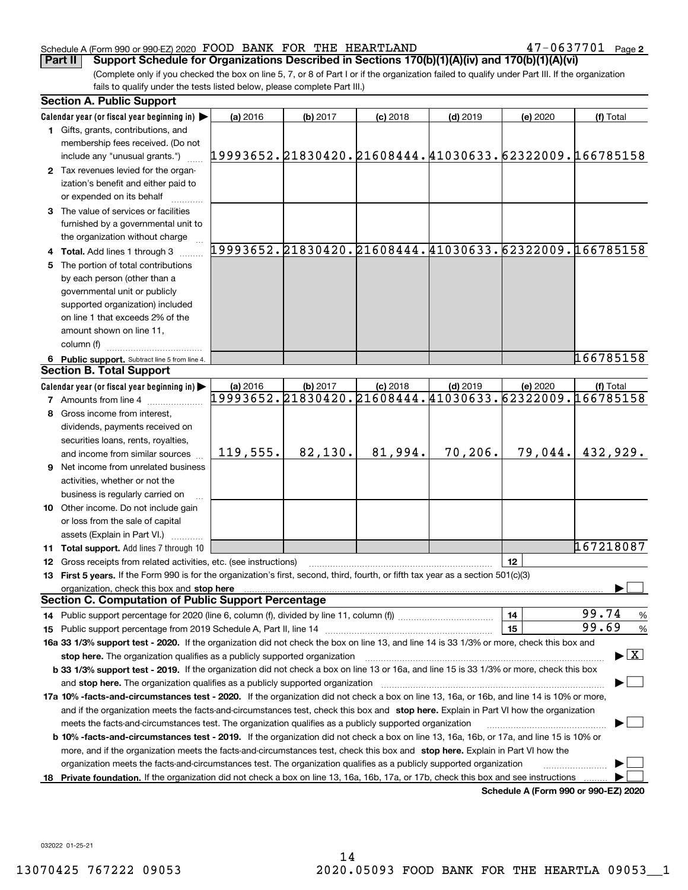### Schedule A (Form 990 or 990-EZ) 2020 Page FOOD BANK FOR THE HEARTLAND 47-0637701

**Part II Support Schedule for Organizations Described in Sections 170(b)(1)(A)(iv) and 170(b)(1)(A)(vi)**

(Complete only if you checked the box on line 5, 7, or 8 of Part I or if the organization failed to qualify under Part III. If the organization fails to qualify under the tests listed below, please complete Part III.)

|    | <b>Section A. Public Support</b>                                                                                                               |                                                        |          |            |            |                                      |                                                        |
|----|------------------------------------------------------------------------------------------------------------------------------------------------|--------------------------------------------------------|----------|------------|------------|--------------------------------------|--------------------------------------------------------|
|    | Calendar year (or fiscal year beginning in)                                                                                                    | (a) 2016                                               | (b) 2017 | $(c)$ 2018 | $(d)$ 2019 | (e) 2020                             | (f) Total                                              |
|    | 1 Gifts, grants, contributions, and                                                                                                            |                                                        |          |            |            |                                      |                                                        |
|    | membership fees received. (Do not                                                                                                              |                                                        |          |            |            |                                      |                                                        |
|    | include any "unusual grants.")                                                                                                                 | 19993652.21830420.21608444.41030633.62322009.166785158 |          |            |            |                                      |                                                        |
|    | 2 Tax revenues levied for the organ-                                                                                                           |                                                        |          |            |            |                                      |                                                        |
|    | ization's benefit and either paid to                                                                                                           |                                                        |          |            |            |                                      |                                                        |
|    | or expended on its behalf                                                                                                                      |                                                        |          |            |            |                                      |                                                        |
|    | 3 The value of services or facilities                                                                                                          |                                                        |          |            |            |                                      |                                                        |
|    | furnished by a governmental unit to                                                                                                            |                                                        |          |            |            |                                      |                                                        |
|    | the organization without charge                                                                                                                |                                                        |          |            |            |                                      |                                                        |
|    | 4 Total. Add lines 1 through 3                                                                                                                 |                                                        |          |            |            |                                      | 19993652.21830420.21608444.41030633.62322009.166785158 |
| 5. | The portion of total contributions                                                                                                             |                                                        |          |            |            |                                      |                                                        |
|    | by each person (other than a                                                                                                                   |                                                        |          |            |            |                                      |                                                        |
|    | governmental unit or publicly                                                                                                                  |                                                        |          |            |            |                                      |                                                        |
|    | supported organization) included                                                                                                               |                                                        |          |            |            |                                      |                                                        |
|    | on line 1 that exceeds 2% of the                                                                                                               |                                                        |          |            |            |                                      |                                                        |
|    | amount shown on line 11,                                                                                                                       |                                                        |          |            |            |                                      |                                                        |
|    | column (f)                                                                                                                                     |                                                        |          |            |            |                                      |                                                        |
|    | 6 Public support. Subtract line 5 from line 4.                                                                                                 |                                                        |          |            |            |                                      | 166785158                                              |
|    | <b>Section B. Total Support</b>                                                                                                                |                                                        |          |            |            |                                      |                                                        |
|    | Calendar year (or fiscal year beginning in)                                                                                                    | (a) 2016                                               | (b) 2017 | $(c)$ 2018 | $(d)$ 2019 | (e) 2020                             | (f) Total                                              |
|    | <b>7</b> Amounts from line 4                                                                                                                   |                                                        |          |            |            |                                      | 19993652.21830420.21608444.41030633.62322009.166785158 |
| 8  | Gross income from interest,                                                                                                                    |                                                        |          |            |            |                                      |                                                        |
|    | dividends, payments received on                                                                                                                |                                                        |          |            |            |                                      |                                                        |
|    | securities loans, rents, royalties,                                                                                                            |                                                        |          |            |            |                                      |                                                        |
|    | and income from similar sources                                                                                                                | 119,555.                                               | 82,130.  | 81,994.    | 70, 206.   | 79,044.                              | 432,929.                                               |
|    | <b>9</b> Net income from unrelated business                                                                                                    |                                                        |          |            |            |                                      |                                                        |
|    | activities, whether or not the                                                                                                                 |                                                        |          |            |            |                                      |                                                        |
|    |                                                                                                                                                |                                                        |          |            |            |                                      |                                                        |
|    | business is regularly carried on                                                                                                               |                                                        |          |            |            |                                      |                                                        |
|    | 10 Other income. Do not include gain                                                                                                           |                                                        |          |            |            |                                      |                                                        |
|    | or loss from the sale of capital                                                                                                               |                                                        |          |            |            |                                      |                                                        |
|    | assets (Explain in Part VI.)                                                                                                                   |                                                        |          |            |            |                                      | 167218087                                              |
|    | 11 Total support. Add lines 7 through 10                                                                                                       |                                                        |          |            |            |                                      |                                                        |
|    | 12 Gross receipts from related activities, etc. (see instructions)                                                                             |                                                        |          |            |            | 12                                   |                                                        |
|    | 13 First 5 years. If the Form 990 is for the organization's first, second, third, fourth, or fifth tax year as a section 501(c)(3)             |                                                        |          |            |            |                                      |                                                        |
|    | organization, check this box and stop here<br><b>Section C. Computation of Public Support Percentage</b>                                       |                                                        |          |            |            |                                      |                                                        |
|    |                                                                                                                                                |                                                        |          |            |            |                                      | 99.74                                                  |
|    |                                                                                                                                                |                                                        |          |            |            | 14                                   | $\frac{9}{6}$<br>99.69                                 |
|    |                                                                                                                                                |                                                        |          |            |            | 15                                   | %                                                      |
|    | 16a 33 1/3% support test - 2020. If the organization did not check the box on line 13, and line 14 is 33 1/3% or more, check this box and      |                                                        |          |            |            |                                      |                                                        |
|    | stop here. The organization qualifies as a publicly supported organization                                                                     |                                                        |          |            |            |                                      | $\blacktriangleright$ $\vert$ X $\vert$                |
|    | b 33 1/3% support test - 2019. If the organization did not check a box on line 13 or 16a, and line 15 is 33 1/3% or more, check this box       |                                                        |          |            |            |                                      |                                                        |
|    | and stop here. The organization qualifies as a publicly supported organization                                                                 |                                                        |          |            |            |                                      |                                                        |
|    | 17a 10% -facts-and-circumstances test - 2020. If the organization did not check a box on line 13, 16a, or 16b, and line 14 is 10% or more,     |                                                        |          |            |            |                                      |                                                        |
|    | and if the organization meets the facts-and-circumstances test, check this box and stop here. Explain in Part VI how the organization          |                                                        |          |            |            |                                      |                                                        |
|    | meets the facts-and-circumstances test. The organization qualifies as a publicly supported organization                                        |                                                        |          |            |            |                                      |                                                        |
|    | <b>b 10% -facts-and-circumstances test - 2019.</b> If the organization did not check a box on line 13, 16a, 16b, or 17a, and line 15 is 10% or |                                                        |          |            |            |                                      |                                                        |
|    | more, and if the organization meets the facts-and-circumstances test, check this box and stop here. Explain in Part VI how the                 |                                                        |          |            |            |                                      |                                                        |
|    | organization meets the facts-and-circumstances test. The organization qualifies as a publicly supported organization                           |                                                        |          |            |            |                                      |                                                        |
|    | 18 Private foundation. If the organization did not check a box on line 13, 16a, 16b, 17a, or 17b, check this box and see instructions          |                                                        |          |            |            | Schodule A (Form 000 or 000 F7) 2020 |                                                        |

**Schedule A (Form 990 or 990-EZ) 2020**

032022 01-25-21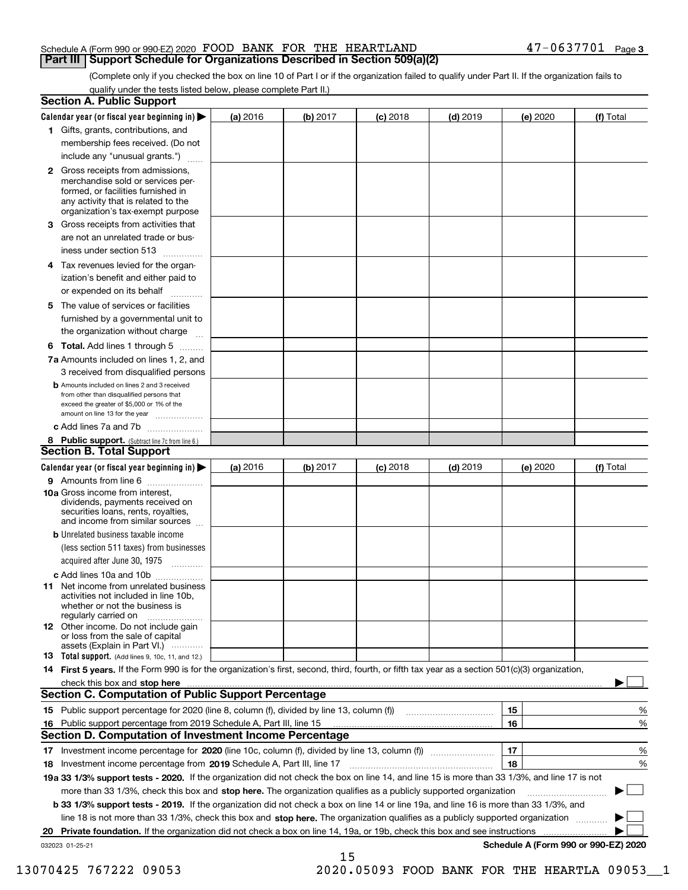|  | Schedule A (Form 990 or 990-EZ) 2020 FOOD BANK FOR THE HEARTLAND                  |  |  | $47 - 0637701$ Page 3 |  |
|--|-----------------------------------------------------------------------------------|--|--|-----------------------|--|
|  | <b>Part III Support Schedule for Organizations Described in Section 509(a)(2)</b> |  |  |                       |  |

(Complete only if you checked the box on line 10 of Part I or if the organization failed to qualify under Part II. If the organization fails to qualify under the tests listed below, please complete Part II.)

|    | <b>Section A. Public Support</b>                                                                                                                                                                                              |          |          |            |            |          |                                      |
|----|-------------------------------------------------------------------------------------------------------------------------------------------------------------------------------------------------------------------------------|----------|----------|------------|------------|----------|--------------------------------------|
|    | Calendar year (or fiscal year beginning in) $\blacktriangleright$                                                                                                                                                             | (a) 2016 | (b) 2017 | $(c)$ 2018 | $(d)$ 2019 | (e) 2020 | (f) Total                            |
|    | 1 Gifts, grants, contributions, and                                                                                                                                                                                           |          |          |            |            |          |                                      |
|    | membership fees received. (Do not                                                                                                                                                                                             |          |          |            |            |          |                                      |
|    | include any "unusual grants.")                                                                                                                                                                                                |          |          |            |            |          |                                      |
|    | 2 Gross receipts from admissions,<br>merchandise sold or services per-<br>formed, or facilities furnished in<br>any activity that is related to the<br>organization's tax-exempt purpose                                      |          |          |            |            |          |                                      |
|    | 3 Gross receipts from activities that                                                                                                                                                                                         |          |          |            |            |          |                                      |
|    | are not an unrelated trade or bus-                                                                                                                                                                                            |          |          |            |            |          |                                      |
|    | iness under section 513                                                                                                                                                                                                       |          |          |            |            |          |                                      |
|    | 4 Tax revenues levied for the organ-                                                                                                                                                                                          |          |          |            |            |          |                                      |
|    | ization's benefit and either paid to                                                                                                                                                                                          |          |          |            |            |          |                                      |
|    | or expended on its behalf<br>.                                                                                                                                                                                                |          |          |            |            |          |                                      |
|    | 5 The value of services or facilities<br>furnished by a governmental unit to                                                                                                                                                  |          |          |            |            |          |                                      |
|    | the organization without charge                                                                                                                                                                                               |          |          |            |            |          |                                      |
|    | <b>6 Total.</b> Add lines 1 through 5                                                                                                                                                                                         |          |          |            |            |          |                                      |
|    | 7a Amounts included on lines 1, 2, and                                                                                                                                                                                        |          |          |            |            |          |                                      |
|    | 3 received from disqualified persons                                                                                                                                                                                          |          |          |            |            |          |                                      |
|    | <b>b</b> Amounts included on lines 2 and 3 received<br>from other than disqualified persons that<br>exceed the greater of \$5,000 or 1% of the<br>amount on line 13 for the year                                              |          |          |            |            |          |                                      |
|    | c Add lines 7a and 7b                                                                                                                                                                                                         |          |          |            |            |          |                                      |
|    | 8 Public support. (Subtract line 7c from line 6.)<br><b>Section B. Total Support</b>                                                                                                                                          |          |          |            |            |          |                                      |
|    | Calendar year (or fiscal year beginning in) $\blacktriangleright$                                                                                                                                                             | (a) 2016 | (b) 2017 | $(c)$ 2018 | $(d)$ 2019 | (e) 2020 | (f) Total                            |
|    | 9 Amounts from line 6                                                                                                                                                                                                         |          |          |            |            |          |                                      |
|    | 10a Gross income from interest,<br>dividends, payments received on<br>securities loans, rents, royalties,<br>and income from similar sources                                                                                  |          |          |            |            |          |                                      |
|    | <b>b</b> Unrelated business taxable income                                                                                                                                                                                    |          |          |            |            |          |                                      |
|    | (less section 511 taxes) from businesses                                                                                                                                                                                      |          |          |            |            |          |                                      |
|    | acquired after June 30, 1975                                                                                                                                                                                                  |          |          |            |            |          |                                      |
|    | c Add lines 10a and 10b                                                                                                                                                                                                       |          |          |            |            |          |                                      |
|    | 11 Net income from unrelated business<br>activities not included in line 10b,<br>whether or not the business is<br>regularly carried on                                                                                       |          |          |            |            |          |                                      |
|    | 12 Other income. Do not include gain<br>or loss from the sale of capital<br>assets (Explain in Part VI.)                                                                                                                      |          |          |            |            |          |                                      |
|    | <b>13</b> Total support. (Add lines 9, 10c, 11, and 12.)                                                                                                                                                                      |          |          |            |            |          |                                      |
|    | 14 First 5 years. If the Form 990 is for the organization's first, second, third, fourth, or fifth tax year as a section 501(c)(3) organization,                                                                              |          |          |            |            |          |                                      |
|    | check this box and stop here with the continuum control to the control of the state of the state of the control of the state of the control of the control of the control of the control of the control of the control of the |          |          |            |            |          |                                      |
|    | <b>Section C. Computation of Public Support Percentage</b>                                                                                                                                                                    |          |          |            |            |          |                                      |
|    | 15 Public support percentage for 2020 (line 8, column (f), divided by line 13, column (f))                                                                                                                                    |          |          |            |            | 15       | %                                    |
|    | 16 Public support percentage from 2019 Schedule A, Part III, line 15                                                                                                                                                          |          |          |            |            | 16       | %                                    |
|    | <b>Section D. Computation of Investment Income Percentage</b>                                                                                                                                                                 |          |          |            |            |          |                                      |
|    | 17 Investment income percentage for 2020 (line 10c, column (f), divided by line 13, column (f))                                                                                                                               |          |          |            |            | 17       | %                                    |
|    | <b>18</b> Investment income percentage from <b>2019</b> Schedule A, Part III, line 17                                                                                                                                         |          |          |            |            | 18       | %                                    |
|    | 19a 33 1/3% support tests - 2020. If the organization did not check the box on line 14, and line 15 is more than 33 1/3%, and line 17 is not                                                                                  |          |          |            |            |          |                                      |
|    | more than 33 1/3%, check this box and stop here. The organization qualifies as a publicly supported organization                                                                                                              |          |          |            |            |          | ▶                                    |
|    | b 33 1/3% support tests - 2019. If the organization did not check a box on line 14 or line 19a, and line 16 is more than 33 1/3%, and                                                                                         |          |          |            |            |          |                                      |
|    | line 18 is not more than 33 1/3%, check this box and stop here. The organization qualifies as a publicly supported organization                                                                                               |          |          |            |            |          |                                      |
| 20 | <b>Private foundation.</b> If the organization did not check a box on line 14, 19a, or 19b, check this box and see instructions                                                                                               |          |          |            |            |          |                                      |
|    | 032023 01-25-21                                                                                                                                                                                                               |          | 15       |            |            |          | Schedule A (Form 990 or 990-EZ) 2020 |

13070425 767222 09053 2020.05093 FOOD BANK FOR THE HEARTLA 09053\_\_1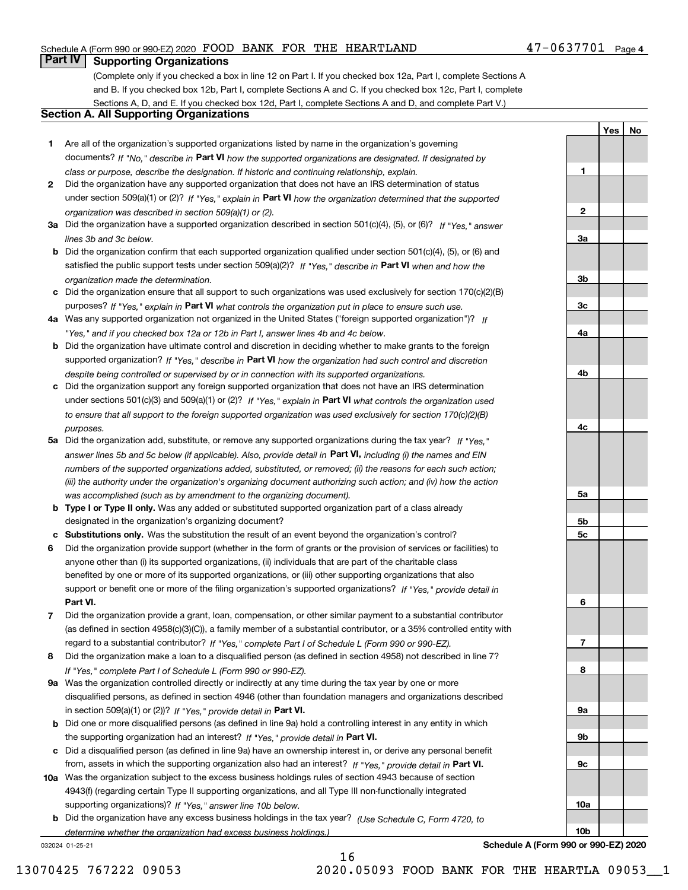## Schedule A (Form 990 or 990-EZ) 2020 Page FOOD BANK FOR THE HEARTLAND 47-0637701

## **Part IV Supporting Organizations**

(Complete only if you checked a box in line 12 on Part I. If you checked box 12a, Part I, complete Sections A and B. If you checked box 12b, Part I, complete Sections A and C. If you checked box 12c, Part I, complete Sections A, D, and E. If you checked box 12d, Part I, complete Sections A and D, and complete Part V.)

## **Section A. All Supporting Organizations**

- **1** Are all of the organization's supported organizations listed by name in the organization's governing documents? If "No," describe in **Part VI** how the supported organizations are designated. If designated by *class or purpose, describe the designation. If historic and continuing relationship, explain.*
- **2** Did the organization have any supported organization that does not have an IRS determination of status under section 509(a)(1) or (2)? If "Yes," explain in Part VI how the organization determined that the supported *organization was described in section 509(a)(1) or (2).*
- **3a** Did the organization have a supported organization described in section 501(c)(4), (5), or (6)? If "Yes," answer *lines 3b and 3c below.*
- **b** Did the organization confirm that each supported organization qualified under section 501(c)(4), (5), or (6) and satisfied the public support tests under section 509(a)(2)? If "Yes," describe in **Part VI** when and how the *organization made the determination.*
- **c**Did the organization ensure that all support to such organizations was used exclusively for section 170(c)(2)(B) purposes? If "Yes," explain in **Part VI** what controls the organization put in place to ensure such use.
- **4a***If* Was any supported organization not organized in the United States ("foreign supported organization")? *"Yes," and if you checked box 12a or 12b in Part I, answer lines 4b and 4c below.*
- **b** Did the organization have ultimate control and discretion in deciding whether to make grants to the foreign supported organization? If "Yes," describe in **Part VI** how the organization had such control and discretion *despite being controlled or supervised by or in connection with its supported organizations.*
- **c** Did the organization support any foreign supported organization that does not have an IRS determination under sections 501(c)(3) and 509(a)(1) or (2)? If "Yes," explain in **Part VI** what controls the organization used *to ensure that all support to the foreign supported organization was used exclusively for section 170(c)(2)(B) purposes.*
- **5a** Did the organization add, substitute, or remove any supported organizations during the tax year? If "Yes," answer lines 5b and 5c below (if applicable). Also, provide detail in **Part VI,** including (i) the names and EIN *numbers of the supported organizations added, substituted, or removed; (ii) the reasons for each such action; (iii) the authority under the organization's organizing document authorizing such action; and (iv) how the action was accomplished (such as by amendment to the organizing document).*
- **b** Type I or Type II only. Was any added or substituted supported organization part of a class already designated in the organization's organizing document?
- **cSubstitutions only.**  Was the substitution the result of an event beyond the organization's control?
- **6** Did the organization provide support (whether in the form of grants or the provision of services or facilities) to **Part VI.** *If "Yes," provide detail in* support or benefit one or more of the filing organization's supported organizations? anyone other than (i) its supported organizations, (ii) individuals that are part of the charitable class benefited by one or more of its supported organizations, or (iii) other supporting organizations that also
- **7**Did the organization provide a grant, loan, compensation, or other similar payment to a substantial contributor *If "Yes," complete Part I of Schedule L (Form 990 or 990-EZ).* regard to a substantial contributor? (as defined in section 4958(c)(3)(C)), a family member of a substantial contributor, or a 35% controlled entity with
- **8** Did the organization make a loan to a disqualified person (as defined in section 4958) not described in line 7? *If "Yes," complete Part I of Schedule L (Form 990 or 990-EZ).*
- **9a** Was the organization controlled directly or indirectly at any time during the tax year by one or more in section 509(a)(1) or (2))? If "Yes," *provide detail in* <code>Part VI.</code> disqualified persons, as defined in section 4946 (other than foundation managers and organizations described
- **b** Did one or more disqualified persons (as defined in line 9a) hold a controlling interest in any entity in which the supporting organization had an interest? If "Yes," provide detail in P**art VI**.
- **c**Did a disqualified person (as defined in line 9a) have an ownership interest in, or derive any personal benefit from, assets in which the supporting organization also had an interest? If "Yes," provide detail in P**art VI.**
- **10a** Was the organization subject to the excess business holdings rules of section 4943 because of section supporting organizations)? If "Yes," answer line 10b below. 4943(f) (regarding certain Type II supporting organizations, and all Type III non-functionally integrated
- **b** Did the organization have any excess business holdings in the tax year? (Use Schedule C, Form 4720, to *determine whether the organization had excess business holdings.)*

032024 01-25-21

**4b4c5a 5b5c6789a 9b9c10a10bSchedule A (Form 990 or 990-EZ) 2020**

13070425 767222 09053 2020.05093 FOOD BANK FOR THE HEARTLA 09053\_\_1

**1**

**2**

**3a**

**3b**

**3c**

**4a**

**YesNo**

16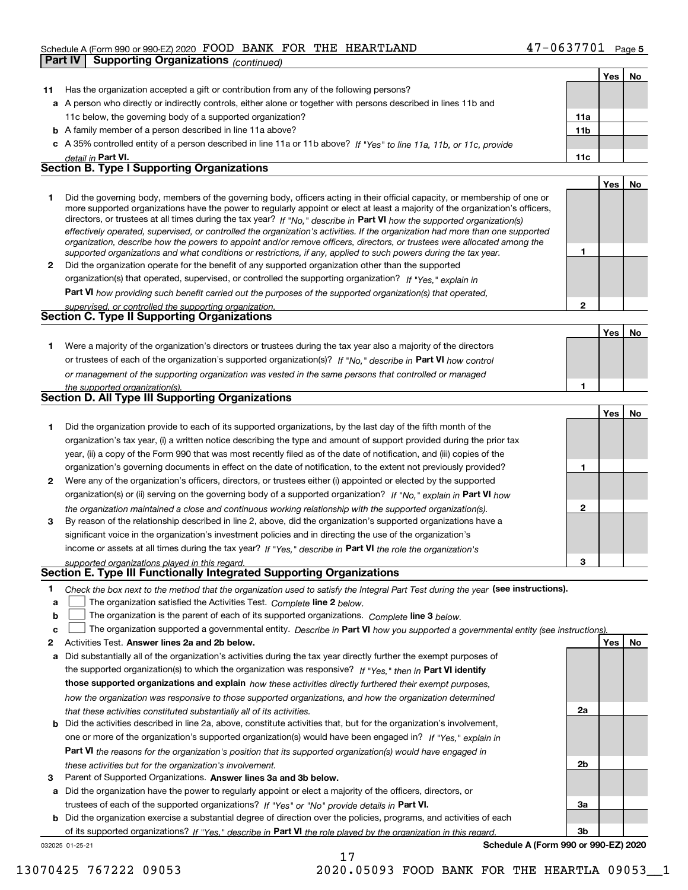## Schedule A (Form 990 or 990-EZ) 2020 Page FOOD BANK FOR THE HEARTLAND 47-0637701

|              | Part IV<br><b>Supporting Organizations (continued)</b>                                                                                                                                                                                                   |                |            |    |
|--------------|----------------------------------------------------------------------------------------------------------------------------------------------------------------------------------------------------------------------------------------------------------|----------------|------------|----|
|              |                                                                                                                                                                                                                                                          |                | Yes        | No |
| 11           | Has the organization accepted a gift or contribution from any of the following persons?                                                                                                                                                                  |                |            |    |
|              | a A person who directly or indirectly controls, either alone or together with persons described in lines 11b and                                                                                                                                         |                |            |    |
|              | 11c below, the governing body of a supported organization?                                                                                                                                                                                               | 11a            |            |    |
|              | <b>b</b> A family member of a person described in line 11a above?                                                                                                                                                                                        | 11b            |            |    |
|              | c A 35% controlled entity of a person described in line 11a or 11b above? If "Yes" to line 11a, 11b, or 11c, provide                                                                                                                                     |                |            |    |
|              | detail in Part VI.                                                                                                                                                                                                                                       | 11c            |            |    |
|              | <b>Section B. Type I Supporting Organizations</b>                                                                                                                                                                                                        |                |            |    |
|              |                                                                                                                                                                                                                                                          |                | Yes        | No |
| 1            | Did the governing body, members of the governing body, officers acting in their official capacity, or membership of one or                                                                                                                               |                |            |    |
|              | more supported organizations have the power to regularly appoint or elect at least a majority of the organization's officers,<br>directors, or trustees at all times during the tax year? If "No," describe in Part VI how the supported organization(s) |                |            |    |
|              | effectively operated, supervised, or controlled the organization's activities. If the organization had more than one supported                                                                                                                           |                |            |    |
|              | organization, describe how the powers to appoint and/or remove officers, directors, or trustees were allocated among the                                                                                                                                 |                |            |    |
|              | supported organizations and what conditions or restrictions, if any, applied to such powers during the tax year.                                                                                                                                         | 1              |            |    |
| $\mathbf{2}$ | Did the organization operate for the benefit of any supported organization other than the supported                                                                                                                                                      |                |            |    |
|              | organization(s) that operated, supervised, or controlled the supporting organization? If "Yes," explain in                                                                                                                                               |                |            |    |
|              | Part VI how providing such benefit carried out the purposes of the supported organization(s) that operated,                                                                                                                                              | $\overline{2}$ |            |    |
|              | supervised, or controlled the supporting organization.<br><b>Section C. Type II Supporting Organizations</b>                                                                                                                                             |                |            |    |
|              |                                                                                                                                                                                                                                                          |                | Yes        | No |
| 1.           | Were a majority of the organization's directors or trustees during the tax year also a majority of the directors                                                                                                                                         |                |            |    |
|              | or trustees of each of the organization's supported organization(s)? If "No," describe in Part VI how control                                                                                                                                            |                |            |    |
|              | or management of the supporting organization was vested in the same persons that controlled or managed                                                                                                                                                   |                |            |    |
|              | the supported organization(s).                                                                                                                                                                                                                           | 1              |            |    |
|              | Section D. All Type III Supporting Organizations                                                                                                                                                                                                         |                |            |    |
|              |                                                                                                                                                                                                                                                          |                | Yes        | No |
| 1            | Did the organization provide to each of its supported organizations, by the last day of the fifth month of the                                                                                                                                           |                |            |    |
|              | organization's tax year, (i) a written notice describing the type and amount of support provided during the prior tax                                                                                                                                    |                |            |    |
|              | year, (ii) a copy of the Form 990 that was most recently filed as of the date of notification, and (iii) copies of the                                                                                                                                   |                |            |    |
|              | organization's governing documents in effect on the date of notification, to the extent not previously provided?                                                                                                                                         | 1              |            |    |
| 2            | Were any of the organization's officers, directors, or trustees either (i) appointed or elected by the supported                                                                                                                                         |                |            |    |
|              | organization(s) or (ii) serving on the governing body of a supported organization? If "No," explain in Part VI how                                                                                                                                       |                |            |    |
|              | the organization maintained a close and continuous working relationship with the supported organization(s).                                                                                                                                              | 2              |            |    |
| 3            | By reason of the relationship described in line 2, above, did the organization's supported organizations have a                                                                                                                                          |                |            |    |
|              | significant voice in the organization's investment policies and in directing the use of the organization's                                                                                                                                               |                |            |    |
|              | income or assets at all times during the tax year? If "Yes," describe in Part VI the role the organization's                                                                                                                                             |                |            |    |
|              | supported organizations played in this regard.<br>Section E. Type III Functionally Integrated Supporting Organizations                                                                                                                                   | 3              |            |    |
|              |                                                                                                                                                                                                                                                          |                |            |    |
| 1<br>а       | Check the box next to the method that the organization used to satisfy the Integral Part Test during the year (see instructions).<br>The organization satisfied the Activities Test. Complete line 2 below.                                              |                |            |    |
| b            | The organization is the parent of each of its supported organizations. Complete line 3 below.                                                                                                                                                            |                |            |    |
| с            | The organization supported a governmental entity. Describe in Part VI how you supported a governmental entity (see instructions)                                                                                                                         |                |            |    |
| 2            | Activities Test. Answer lines 2a and 2b below.                                                                                                                                                                                                           |                | <b>Yes</b> | No |
| а            | Did substantially all of the organization's activities during the tax year directly further the exempt purposes of                                                                                                                                       |                |            |    |
|              | the supported organization(s) to which the organization was responsive? If "Yes," then in Part VI identify                                                                                                                                               |                |            |    |
|              | those supported organizations and explain how these activities directly furthered their exempt purposes,                                                                                                                                                 |                |            |    |
|              | how the organization was responsive to those supported organizations, and how the organization determined                                                                                                                                                |                |            |    |
|              | that these activities constituted substantially all of its activities.                                                                                                                                                                                   | 2a             |            |    |
|              | <b>b</b> Did the activities described in line 2a, above, constitute activities that, but for the organization's involvement,                                                                                                                             |                |            |    |
|              | one or more of the organization's supported organization(s) would have been engaged in? If "Yes," explain in                                                                                                                                             |                |            |    |

**Part VI**  *the reasons for the organization's position that its supported organization(s) would have engaged in these activities but for the organization's involvement.*

**3** Parent of Supported Organizations. Answer lines 3a and 3b below.

**a** Did the organization have the power to regularly appoint or elect a majority of the officers, directors, or trustees of each of the supported organizations? If "Yes" or "No" provide details in **Part VI.** 

032025 01-25-21 **b** Did the organization exercise a substantial degree of direction over the policies, programs, and activities of each of its supported organizations? If "Yes," describe in Part VI the role played by the organization in this regard.

17

**Schedule A (Form 990 or 990-EZ) 2020**

**2b**

**3a**

**3b**

13070425 767222 09053 2020.05093 FOOD BANK FOR THE HEARTLA 09053\_\_1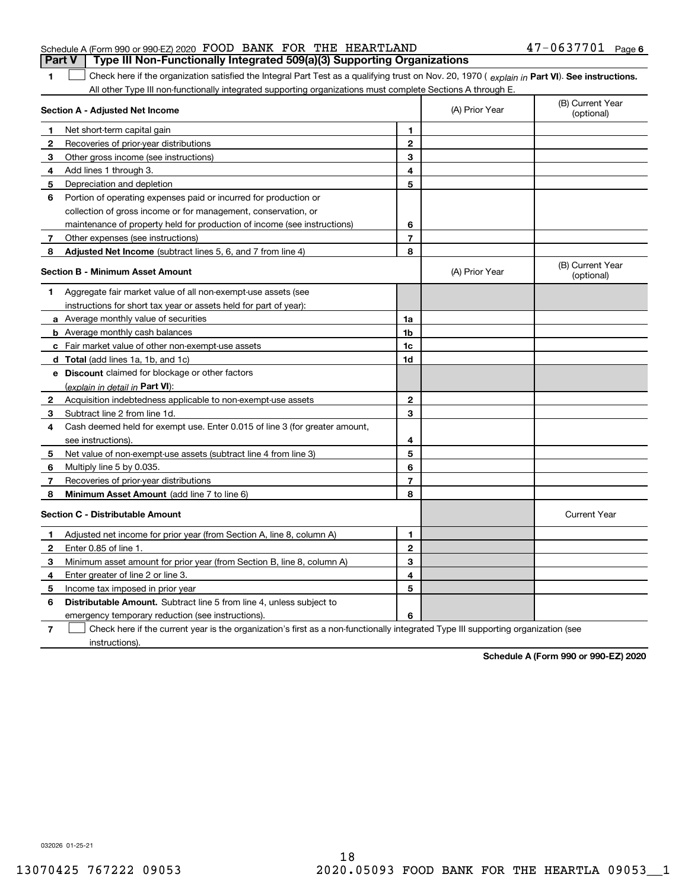|                                                                  |  | Part V   Type III Non-Functionally Integrated 509(a)(3) Supporting Organizations |                       |  |
|------------------------------------------------------------------|--|----------------------------------------------------------------------------------|-----------------------|--|
| Schedule A (Form 990 or 990-EZ) 2020 FOOD BANK FOR THE HEARTLAND |  |                                                                                  | $47 - 0637701$ Page 6 |  |

**1**1 Check here if the organization satisfied the Integral Part Test as a qualifying trust on Nov. 20, 1970 (explain in Part VI). See instructions. All other Type III non-functionally integrated supporting organizations must complete Sections A through E.

|   | Section A - Adjusted Net Income                                                                                                   | (A) Prior Year | (B) Current Year<br>(optional) |                                |
|---|-----------------------------------------------------------------------------------------------------------------------------------|----------------|--------------------------------|--------------------------------|
| 1 | Net short-term capital gain                                                                                                       | 1              |                                |                                |
| 2 | Recoveries of prior-year distributions                                                                                            | $\mathbf{2}$   |                                |                                |
| 3 | Other gross income (see instructions)                                                                                             | 3              |                                |                                |
| 4 | Add lines 1 through 3.                                                                                                            | 4              |                                |                                |
| 5 | Depreciation and depletion                                                                                                        | 5              |                                |                                |
| 6 | Portion of operating expenses paid or incurred for production or                                                                  |                |                                |                                |
|   | collection of gross income or for management, conservation, or                                                                    |                |                                |                                |
|   | maintenance of property held for production of income (see instructions)                                                          | 6              |                                |                                |
| 7 | Other expenses (see instructions)                                                                                                 | $\overline{7}$ |                                |                                |
| 8 | Adjusted Net Income (subtract lines 5, 6, and 7 from line 4)                                                                      | 8              |                                |                                |
|   | <b>Section B - Minimum Asset Amount</b>                                                                                           |                | (A) Prior Year                 | (B) Current Year<br>(optional) |
| 1 | Aggregate fair market value of all non-exempt-use assets (see                                                                     |                |                                |                                |
|   | instructions for short tax year or assets held for part of year):                                                                 |                |                                |                                |
|   | <b>a</b> Average monthly value of securities                                                                                      | 1a             |                                |                                |
|   | <b>b</b> Average monthly cash balances                                                                                            | 1 <sub>b</sub> |                                |                                |
|   | c Fair market value of other non-exempt-use assets                                                                                | 1c             |                                |                                |
|   | <b>d</b> Total (add lines 1a, 1b, and 1c)                                                                                         | 1d             |                                |                                |
|   | e Discount claimed for blockage or other factors                                                                                  |                |                                |                                |
|   | (explain in detail in Part VI):                                                                                                   |                |                                |                                |
| 2 | Acquisition indebtedness applicable to non-exempt-use assets                                                                      | 2              |                                |                                |
| 3 | Subtract line 2 from line 1d.                                                                                                     | 3              |                                |                                |
| 4 | Cash deemed held for exempt use. Enter 0.015 of line 3 (for greater amount,                                                       |                |                                |                                |
|   | see instructions)                                                                                                                 | 4              |                                |                                |
| 5 | Net value of non-exempt-use assets (subtract line 4 from line 3)                                                                  | 5              |                                |                                |
| 6 | Multiply line 5 by 0.035.                                                                                                         | 6              |                                |                                |
| 7 | Recoveries of prior-year distributions                                                                                            | 7              |                                |                                |
| 8 | <b>Minimum Asset Amount</b> (add line 7 to line 6)                                                                                | 8              |                                |                                |
|   | <b>Section C - Distributable Amount</b>                                                                                           |                |                                | <b>Current Year</b>            |
| 1 | Adjusted net income for prior year (from Section A, line 8, column A)                                                             | 1              |                                |                                |
| 2 | Enter 0.85 of line 1.                                                                                                             | $\mathbf{2}$   |                                |                                |
| 3 | Minimum asset amount for prior year (from Section B, line 8, column A)                                                            | 3              |                                |                                |
| 4 | Enter greater of line 2 or line 3.                                                                                                | 4              |                                |                                |
| 5 | Income tax imposed in prior year                                                                                                  | 5              |                                |                                |
| 6 | <b>Distributable Amount.</b> Subtract line 5 from line 4, unless subject to                                                       |                |                                |                                |
|   | emergency temporary reduction (see instructions).                                                                                 | 6              |                                |                                |
| 7 | Check here if the current year is the organization's first as a non-functionally integrated Type III supporting organization (see |                |                                |                                |

instructions).

**Schedule A (Form 990 or 990-EZ) 2020**

032026 01-25-21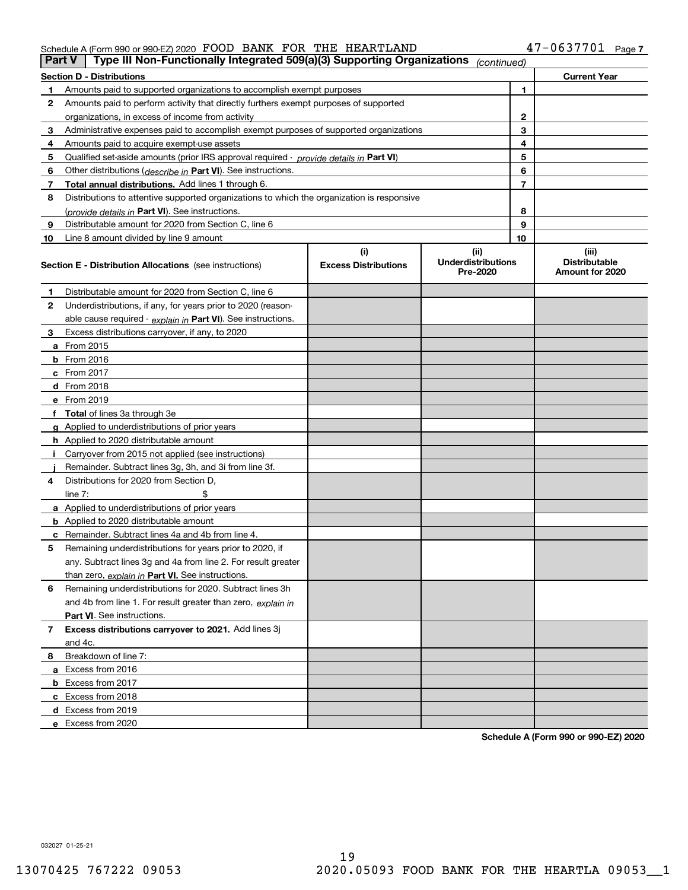### Schedule A (Form 990 or 990-EZ) 2020 Page FOOD BANK FOR THE HEARTLAND 47-0637701

| Part V         | Type III Non-Functionally Integrated 509(a)(3) Supporting Organizations                    |                             | (continued)                           |    |                                         |
|----------------|--------------------------------------------------------------------------------------------|-----------------------------|---------------------------------------|----|-----------------------------------------|
|                | <b>Section D - Distributions</b>                                                           |                             |                                       |    | <b>Current Year</b>                     |
| 1.             | Amounts paid to supported organizations to accomplish exempt purposes                      |                             |                                       | 1  |                                         |
| 2              | Amounts paid to perform activity that directly furthers exempt purposes of supported       |                             |                                       |    |                                         |
|                | organizations, in excess of income from activity                                           |                             |                                       | 2  |                                         |
| 3              | Administrative expenses paid to accomplish exempt purposes of supported organizations      |                             |                                       | 3  |                                         |
| 4              | Amounts paid to acquire exempt-use assets                                                  |                             |                                       | 4  |                                         |
| 5              | Qualified set-aside amounts (prior IRS approval required - provide details in Part VI)     |                             |                                       | 5  |                                         |
| 6              | Other distributions ( <i>describe in</i> Part VI). See instructions.                       |                             |                                       | 6  |                                         |
| 7              | Total annual distributions. Add lines 1 through 6.                                         |                             |                                       | 7  |                                         |
| 8              | Distributions to attentive supported organizations to which the organization is responsive |                             |                                       |    |                                         |
|                | (provide details in Part VI). See instructions.                                            |                             |                                       | 8  |                                         |
| 9              | Distributable amount for 2020 from Section C, line 6                                       |                             |                                       | 9  |                                         |
| 10             | Line 8 amount divided by line 9 amount                                                     |                             |                                       | 10 |                                         |
|                |                                                                                            | (i)                         | (ii)                                  |    | (iii)                                   |
|                | <b>Section E - Distribution Allocations</b> (see instructions)                             | <b>Excess Distributions</b> | <b>Underdistributions</b><br>Pre-2020 |    | <b>Distributable</b><br>Amount for 2020 |
| 1              | Distributable amount for 2020 from Section C, line 6                                       |                             |                                       |    |                                         |
| 2              | Underdistributions, if any, for years prior to 2020 (reason-                               |                             |                                       |    |                                         |
|                | able cause required - explain in Part VI). See instructions.                               |                             |                                       |    |                                         |
| 3              | Excess distributions carryover, if any, to 2020                                            |                             |                                       |    |                                         |
|                | a From 2015                                                                                |                             |                                       |    |                                         |
|                | <b>b</b> From 2016                                                                         |                             |                                       |    |                                         |
|                | $c$ From 2017                                                                              |                             |                                       |    |                                         |
|                | <b>d</b> From 2018                                                                         |                             |                                       |    |                                         |
|                | e From 2019                                                                                |                             |                                       |    |                                         |
|                | f Total of lines 3a through 3e                                                             |                             |                                       |    |                                         |
|                | g Applied to underdistributions of prior years                                             |                             |                                       |    |                                         |
|                | <b>h</b> Applied to 2020 distributable amount                                              |                             |                                       |    |                                         |
|                | Carryover from 2015 not applied (see instructions)                                         |                             |                                       |    |                                         |
|                | Remainder. Subtract lines 3g, 3h, and 3i from line 3f.                                     |                             |                                       |    |                                         |
| 4              | Distributions for 2020 from Section D,                                                     |                             |                                       |    |                                         |
|                | line $7:$                                                                                  |                             |                                       |    |                                         |
|                | a Applied to underdistributions of prior years                                             |                             |                                       |    |                                         |
|                | <b>b</b> Applied to 2020 distributable amount                                              |                             |                                       |    |                                         |
|                | c Remainder. Subtract lines 4a and 4b from line 4.                                         |                             |                                       |    |                                         |
| 5              | Remaining underdistributions for years prior to 2020, if                                   |                             |                                       |    |                                         |
|                | any. Subtract lines 3g and 4a from line 2. For result greater                              |                             |                                       |    |                                         |
|                | than zero, explain in Part VI. See instructions.                                           |                             |                                       |    |                                         |
| 6              | Remaining underdistributions for 2020. Subtract lines 3h                                   |                             |                                       |    |                                         |
|                | and 4b from line 1. For result greater than zero, explain in                               |                             |                                       |    |                                         |
|                | Part VI. See instructions.                                                                 |                             |                                       |    |                                         |
| $\overline{7}$ | Excess distributions carryover to 2021. Add lines 3j                                       |                             |                                       |    |                                         |
|                | and 4c.                                                                                    |                             |                                       |    |                                         |
| 8              | Breakdown of line 7:                                                                       |                             |                                       |    |                                         |
|                | a Excess from 2016                                                                         |                             |                                       |    |                                         |
|                | <b>b</b> Excess from 2017                                                                  |                             |                                       |    |                                         |
|                | c Excess from 2018                                                                         |                             |                                       |    |                                         |
|                | d Excess from 2019                                                                         |                             |                                       |    |                                         |
|                | e Excess from 2020                                                                         |                             |                                       |    |                                         |
|                |                                                                                            |                             |                                       |    |                                         |

**Schedule A (Form 990 or 990-EZ) 2020**

032027 01-25-21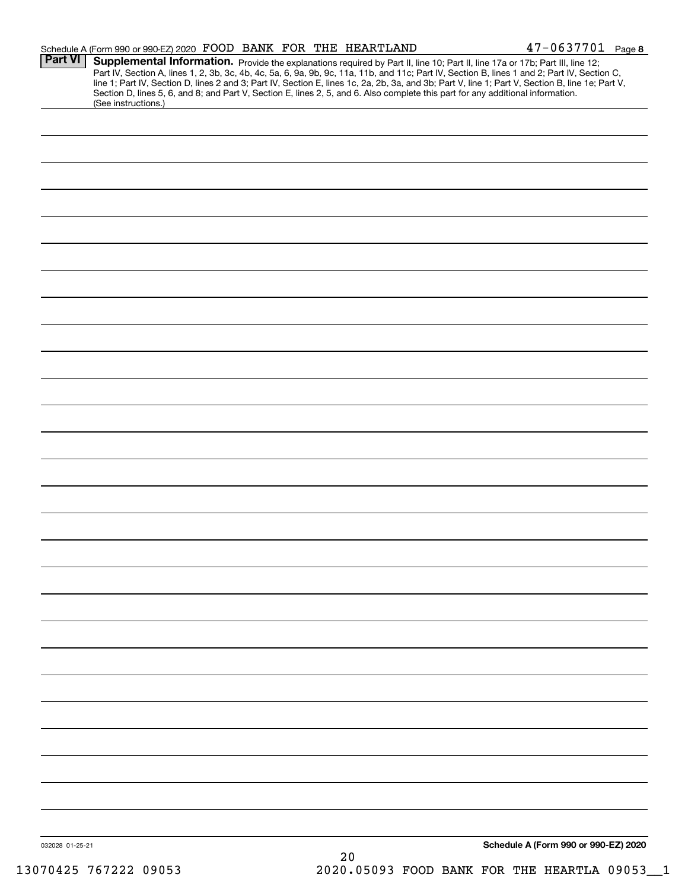|                 | Schedule A (Form 990 or 990-EZ) 2020 FOOD BANK FOR THE HEARTLAND                                                                                                                                                                                                                        |    | $47 - 0637701$ Page 8                                                                                                                                                                                                                                                                            |
|-----------------|-----------------------------------------------------------------------------------------------------------------------------------------------------------------------------------------------------------------------------------------------------------------------------------------|----|--------------------------------------------------------------------------------------------------------------------------------------------------------------------------------------------------------------------------------------------------------------------------------------------------|
| Part VI         | Supplemental Information. Provide the explanations required by Part II, line 10; Part II, line 17a or 17b; Part III, line 12;<br>Section D, lines 5, 6, and 8; and Part V, Section E, lines 2, 5, and 6. Also complete this part for any additional information.<br>(See instructions.) |    | Part IV, Section A, lines 1, 2, 3b, 3c, 4b, 4c, 5a, 6, 9a, 9b, 9c, 11a, 11b, and 11c; Part IV, Section B, lines 1 and 2; Part IV, Section C,<br>line 1; Part IV, Section D, lines 2 and 3; Part IV, Section E, lines 1c, 2a, 2b, 3a, and 3b; Part V, line 1; Part V, Section B, line 1e; Part V, |
|                 |                                                                                                                                                                                                                                                                                         |    |                                                                                                                                                                                                                                                                                                  |
|                 |                                                                                                                                                                                                                                                                                         |    |                                                                                                                                                                                                                                                                                                  |
|                 |                                                                                                                                                                                                                                                                                         |    |                                                                                                                                                                                                                                                                                                  |
|                 |                                                                                                                                                                                                                                                                                         |    |                                                                                                                                                                                                                                                                                                  |
|                 |                                                                                                                                                                                                                                                                                         |    |                                                                                                                                                                                                                                                                                                  |
|                 |                                                                                                                                                                                                                                                                                         |    |                                                                                                                                                                                                                                                                                                  |
|                 |                                                                                                                                                                                                                                                                                         |    |                                                                                                                                                                                                                                                                                                  |
|                 |                                                                                                                                                                                                                                                                                         |    |                                                                                                                                                                                                                                                                                                  |
|                 |                                                                                                                                                                                                                                                                                         |    |                                                                                                                                                                                                                                                                                                  |
|                 |                                                                                                                                                                                                                                                                                         |    |                                                                                                                                                                                                                                                                                                  |
|                 |                                                                                                                                                                                                                                                                                         |    |                                                                                                                                                                                                                                                                                                  |
|                 |                                                                                                                                                                                                                                                                                         |    |                                                                                                                                                                                                                                                                                                  |
|                 |                                                                                                                                                                                                                                                                                         |    |                                                                                                                                                                                                                                                                                                  |
|                 |                                                                                                                                                                                                                                                                                         |    |                                                                                                                                                                                                                                                                                                  |
|                 |                                                                                                                                                                                                                                                                                         |    |                                                                                                                                                                                                                                                                                                  |
|                 |                                                                                                                                                                                                                                                                                         |    |                                                                                                                                                                                                                                                                                                  |
|                 |                                                                                                                                                                                                                                                                                         |    |                                                                                                                                                                                                                                                                                                  |
|                 |                                                                                                                                                                                                                                                                                         |    |                                                                                                                                                                                                                                                                                                  |
|                 |                                                                                                                                                                                                                                                                                         |    |                                                                                                                                                                                                                                                                                                  |
|                 |                                                                                                                                                                                                                                                                                         |    |                                                                                                                                                                                                                                                                                                  |
|                 |                                                                                                                                                                                                                                                                                         |    |                                                                                                                                                                                                                                                                                                  |
|                 |                                                                                                                                                                                                                                                                                         |    |                                                                                                                                                                                                                                                                                                  |
|                 |                                                                                                                                                                                                                                                                                         |    |                                                                                                                                                                                                                                                                                                  |
|                 |                                                                                                                                                                                                                                                                                         |    |                                                                                                                                                                                                                                                                                                  |
|                 |                                                                                                                                                                                                                                                                                         |    |                                                                                                                                                                                                                                                                                                  |
|                 |                                                                                                                                                                                                                                                                                         |    |                                                                                                                                                                                                                                                                                                  |
|                 |                                                                                                                                                                                                                                                                                         |    |                                                                                                                                                                                                                                                                                                  |
| 032028 01-25-21 |                                                                                                                                                                                                                                                                                         | 20 | Schedule A (Form 990 or 990-EZ) 2020                                                                                                                                                                                                                                                             |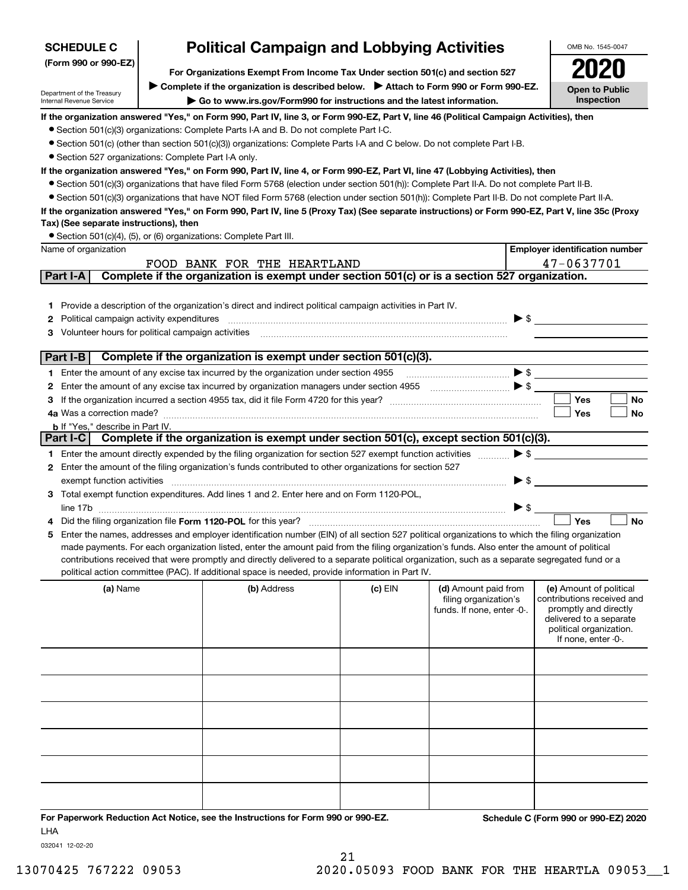| <b>Political Campaign and Lobbying Activities</b><br><b>SCHEDULE C</b><br>OMB No. 1545-0047 |                                                                                                                                                                        |                                                                                                                                                                                                                                                                                                     |           |                                                     |                                                     |  |  |  |  |
|---------------------------------------------------------------------------------------------|------------------------------------------------------------------------------------------------------------------------------------------------------------------------|-----------------------------------------------------------------------------------------------------------------------------------------------------------------------------------------------------------------------------------------------------------------------------------------------------|-----------|-----------------------------------------------------|-----------------------------------------------------|--|--|--|--|
| (Form 990 or 990-EZ)                                                                        |                                                                                                                                                                        |                                                                                                                                                                                                                                                                                                     |           |                                                     |                                                     |  |  |  |  |
|                                                                                             | For Organizations Exempt From Income Tax Under section 501(c) and section 527<br>Complete if the organization is described below. > Attach to Form 990 or Form 990-EZ. |                                                                                                                                                                                                                                                                                                     |           |                                                     |                                                     |  |  |  |  |
| Department of the Treasury<br>Internal Revenue Service                                      | <b>Open to Public</b><br>Inspection<br>Go to www.irs.gov/Form990 for instructions and the latest information.                                                          |                                                                                                                                                                                                                                                                                                     |           |                                                     |                                                     |  |  |  |  |
|                                                                                             |                                                                                                                                                                        | If the organization answered "Yes," on Form 990, Part IV, line 3, or Form 990-EZ, Part V, line 46 (Political Campaign Activities), then                                                                                                                                                             |           |                                                     |                                                     |  |  |  |  |
|                                                                                             |                                                                                                                                                                        | • Section 501(c)(3) organizations: Complete Parts I-A and B. Do not complete Part I-C.                                                                                                                                                                                                              |           |                                                     |                                                     |  |  |  |  |
|                                                                                             |                                                                                                                                                                        | • Section 501(c) (other than section 501(c)(3)) organizations: Complete Parts I-A and C below. Do not complete Part I-B.                                                                                                                                                                            |           |                                                     |                                                     |  |  |  |  |
|                                                                                             | • Section 527 organizations: Complete Part I-A only.                                                                                                                   |                                                                                                                                                                                                                                                                                                     |           |                                                     |                                                     |  |  |  |  |
|                                                                                             |                                                                                                                                                                        | If the organization answered "Yes," on Form 990, Part IV, line 4, or Form 990-EZ, Part VI, line 47 (Lobbying Activities), then                                                                                                                                                                      |           |                                                     |                                                     |  |  |  |  |
|                                                                                             |                                                                                                                                                                        | • Section 501(c)(3) organizations that have filed Form 5768 (election under section 501(h)): Complete Part II-A. Do not complete Part II-B.                                                                                                                                                         |           |                                                     |                                                     |  |  |  |  |
|                                                                                             |                                                                                                                                                                        | • Section 501(c)(3) organizations that have NOT filed Form 5768 (election under section 501(h)): Complete Part II-B. Do not complete Part II-A.<br>If the organization answered "Yes," on Form 990, Part IV, line 5 (Proxy Tax) (See separate instructions) or Form 990-EZ, Part V, line 35c (Proxy |           |                                                     |                                                     |  |  |  |  |
| Tax) (See separate instructions), then                                                      |                                                                                                                                                                        |                                                                                                                                                                                                                                                                                                     |           |                                                     |                                                     |  |  |  |  |
|                                                                                             |                                                                                                                                                                        | • Section 501(c)(4), (5), or (6) organizations: Complete Part III.                                                                                                                                                                                                                                  |           |                                                     |                                                     |  |  |  |  |
| Name of organization                                                                        |                                                                                                                                                                        |                                                                                                                                                                                                                                                                                                     |           |                                                     | <b>Employer identification number</b>               |  |  |  |  |
|                                                                                             |                                                                                                                                                                        | FOOD BANK FOR THE HEARTLAND                                                                                                                                                                                                                                                                         |           |                                                     | 47-0637701                                          |  |  |  |  |
| Part I-A                                                                                    |                                                                                                                                                                        | Complete if the organization is exempt under section 501(c) or is a section 527 organization.                                                                                                                                                                                                       |           |                                                     |                                                     |  |  |  |  |
|                                                                                             |                                                                                                                                                                        |                                                                                                                                                                                                                                                                                                     |           |                                                     |                                                     |  |  |  |  |
| 1.                                                                                          |                                                                                                                                                                        | Provide a description of the organization's direct and indirect political campaign activities in Part IV.                                                                                                                                                                                           |           |                                                     |                                                     |  |  |  |  |
| Political campaign activity expenditures<br>2                                               |                                                                                                                                                                        |                                                                                                                                                                                                                                                                                                     |           |                                                     | $\blacktriangleright$ \$                            |  |  |  |  |
| Volunteer hours for political campaign activities<br>3                                      |                                                                                                                                                                        |                                                                                                                                                                                                                                                                                                     |           |                                                     |                                                     |  |  |  |  |
| Part I-B                                                                                    |                                                                                                                                                                        | Complete if the organization is exempt under section 501(c)(3).                                                                                                                                                                                                                                     |           |                                                     |                                                     |  |  |  |  |
|                                                                                             |                                                                                                                                                                        | 1 Enter the amount of any excise tax incurred by the organization under section 4955                                                                                                                                                                                                                |           |                                                     |                                                     |  |  |  |  |
| 2                                                                                           |                                                                                                                                                                        |                                                                                                                                                                                                                                                                                                     |           |                                                     |                                                     |  |  |  |  |
| 3                                                                                           |                                                                                                                                                                        |                                                                                                                                                                                                                                                                                                     |           |                                                     | Yes<br>No                                           |  |  |  |  |
| 4a Was a correction made?                                                                   |                                                                                                                                                                        |                                                                                                                                                                                                                                                                                                     |           |                                                     | Yes<br>No                                           |  |  |  |  |
| <b>b</b> If "Yes," describe in Part IV.                                                     |                                                                                                                                                                        |                                                                                                                                                                                                                                                                                                     |           |                                                     |                                                     |  |  |  |  |
| Part I-C $\vert$                                                                            |                                                                                                                                                                        | Complete if the organization is exempt under section 501(c), except section 501(c)(3).                                                                                                                                                                                                              |           |                                                     |                                                     |  |  |  |  |
|                                                                                             |                                                                                                                                                                        | 1 Enter the amount directly expended by the filing organization for section 527 exempt function activities                                                                                                                                                                                          |           | $\blacktriangleright$ \$                            |                                                     |  |  |  |  |
|                                                                                             |                                                                                                                                                                        | 2 Enter the amount of the filing organization's funds contributed to other organizations for section 527                                                                                                                                                                                            |           |                                                     |                                                     |  |  |  |  |
| exempt function activities                                                                  |                                                                                                                                                                        | Total exempt function expenditures. Add lines 1 and 2. Enter here and on Form 1120-POL,                                                                                                                                                                                                             |           | ▶ \$                                                |                                                     |  |  |  |  |
|                                                                                             |                                                                                                                                                                        |                                                                                                                                                                                                                                                                                                     |           | $\blacktriangleright$ \$                            |                                                     |  |  |  |  |
|                                                                                             |                                                                                                                                                                        | Did the filing organization file Form 1120-POL for this year?                                                                                                                                                                                                                                       |           |                                                     | Yes<br><b>No</b>                                    |  |  |  |  |
| 5                                                                                           |                                                                                                                                                                        | Enter the names, addresses and employer identification number (EIN) of all section 527 political organizations to which the filing organization                                                                                                                                                     |           |                                                     |                                                     |  |  |  |  |
|                                                                                             |                                                                                                                                                                        | made payments. For each organization listed, enter the amount paid from the filing organization's funds. Also enter the amount of political                                                                                                                                                         |           |                                                     |                                                     |  |  |  |  |
|                                                                                             |                                                                                                                                                                        | contributions received that were promptly and directly delivered to a separate political organization, such as a separate segregated fund or a                                                                                                                                                      |           |                                                     |                                                     |  |  |  |  |
|                                                                                             |                                                                                                                                                                        | political action committee (PAC). If additional space is needed, provide information in Part IV.                                                                                                                                                                                                    |           |                                                     |                                                     |  |  |  |  |
| (a) Name                                                                                    |                                                                                                                                                                        | (b) Address                                                                                                                                                                                                                                                                                         | $(c)$ EIN | (d) Amount paid from                                | (e) Amount of political                             |  |  |  |  |
|                                                                                             |                                                                                                                                                                        |                                                                                                                                                                                                                                                                                                     |           | filing organization's<br>funds. If none, enter -0-. | contributions received and<br>promptly and directly |  |  |  |  |
|                                                                                             |                                                                                                                                                                        |                                                                                                                                                                                                                                                                                                     |           |                                                     | delivered to a separate                             |  |  |  |  |
|                                                                                             |                                                                                                                                                                        |                                                                                                                                                                                                                                                                                                     |           |                                                     | political organization.<br>If none, enter -0-.      |  |  |  |  |
|                                                                                             |                                                                                                                                                                        |                                                                                                                                                                                                                                                                                                     |           |                                                     |                                                     |  |  |  |  |
|                                                                                             |                                                                                                                                                                        |                                                                                                                                                                                                                                                                                                     |           |                                                     |                                                     |  |  |  |  |
|                                                                                             |                                                                                                                                                                        |                                                                                                                                                                                                                                                                                                     |           |                                                     |                                                     |  |  |  |  |
|                                                                                             |                                                                                                                                                                        |                                                                                                                                                                                                                                                                                                     |           |                                                     |                                                     |  |  |  |  |
|                                                                                             |                                                                                                                                                                        |                                                                                                                                                                                                                                                                                                     |           |                                                     |                                                     |  |  |  |  |
|                                                                                             |                                                                                                                                                                        |                                                                                                                                                                                                                                                                                                     |           |                                                     |                                                     |  |  |  |  |
|                                                                                             |                                                                                                                                                                        |                                                                                                                                                                                                                                                                                                     |           |                                                     |                                                     |  |  |  |  |
|                                                                                             |                                                                                                                                                                        |                                                                                                                                                                                                                                                                                                     |           |                                                     |                                                     |  |  |  |  |
|                                                                                             |                                                                                                                                                                        |                                                                                                                                                                                                                                                                                                     |           |                                                     |                                                     |  |  |  |  |
|                                                                                             |                                                                                                                                                                        |                                                                                                                                                                                                                                                                                                     |           |                                                     |                                                     |  |  |  |  |
|                                                                                             |                                                                                                                                                                        |                                                                                                                                                                                                                                                                                                     |           |                                                     |                                                     |  |  |  |  |
|                                                                                             |                                                                                                                                                                        |                                                                                                                                                                                                                                                                                                     |           |                                                     |                                                     |  |  |  |  |
| <b>LHA</b>                                                                                  |                                                                                                                                                                        | For Paperwork Reduction Act Notice, see the Instructions for Form 990 or 990-EZ.                                                                                                                                                                                                                    |           |                                                     | Schedule C (Form 990 or 990-EZ) 2020                |  |  |  |  |

032041 12-02-20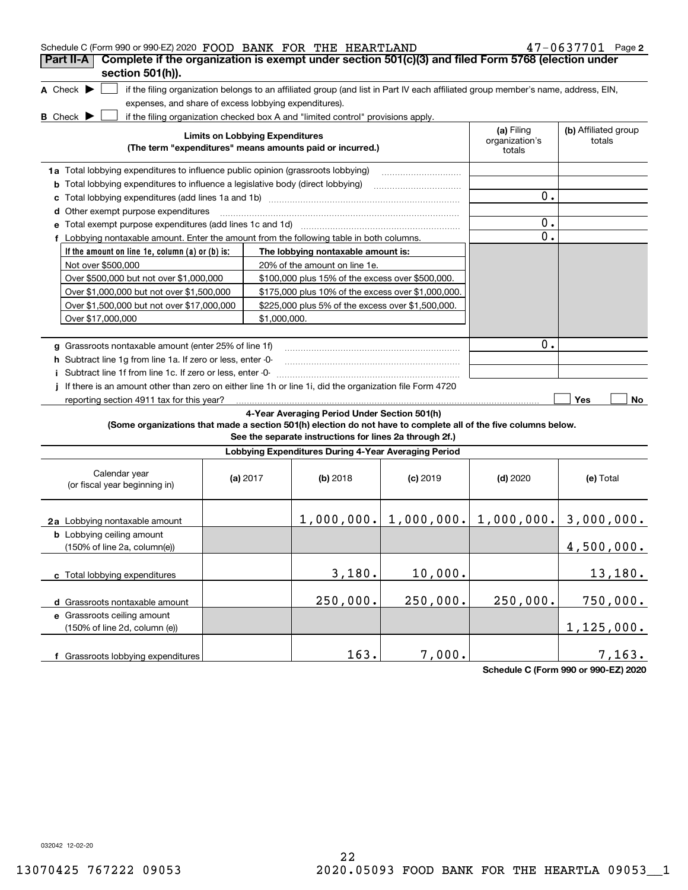| Schedule C (Form 990 or 990-EZ) 2020 FOOD BANK FOR THE HEARTLAND                                                                    |                                        |                                                                                                                                   |            |                                                           | $47 - 0637701$ Page 2          |
|-------------------------------------------------------------------------------------------------------------------------------------|----------------------------------------|-----------------------------------------------------------------------------------------------------------------------------------|------------|-----------------------------------------------------------|--------------------------------|
| Complete if the organization is exempt under section 501(c)(3) and filed Form 5768 (election under<br>Part II-A<br>section 501(h)). |                                        |                                                                                                                                   |            |                                                           |                                |
| A Check $\blacktriangleright$                                                                                                       |                                        | if the filing organization belongs to an affiliated group (and list in Part IV each affiliated group member's name, address, EIN, |            |                                                           |                                |
| expenses, and share of excess lobbying expenditures).                                                                               |                                        |                                                                                                                                   |            |                                                           |                                |
| <b>B</b> Check <b>D</b>                                                                                                             |                                        | if the filing organization checked box A and "limited control" provisions apply.                                                  |            |                                                           |                                |
|                                                                                                                                     | <b>Limits on Lobbying Expenditures</b> |                                                                                                                                   |            | (a) Filing<br>organization's                              | (b) Affiliated group<br>totals |
|                                                                                                                                     |                                        | (The term "expenditures" means amounts paid or incurred.)                                                                         |            | totals                                                    |                                |
| 1a Total lobbying expenditures to influence public opinion (grassroots lobbying)                                                    |                                        |                                                                                                                                   |            |                                                           |                                |
| <b>b</b> Total lobbying expenditures to influence a legislative body (direct lobbying)                                              |                                        |                                                                                                                                   |            |                                                           |                                |
| c                                                                                                                                   |                                        |                                                                                                                                   |            | 0.                                                        |                                |
| d Other exempt purpose expenditures                                                                                                 |                                        |                                                                                                                                   |            |                                                           |                                |
|                                                                                                                                     |                                        |                                                                                                                                   |            | $0$ .                                                     |                                |
| f Lobbying nontaxable amount. Enter the amount from the following table in both columns.                                            |                                        |                                                                                                                                   |            | 0.                                                        |                                |
| If the amount on line 1e, column (a) or (b) is:                                                                                     |                                        | The lobbying nontaxable amount is:                                                                                                |            |                                                           |                                |
| Not over \$500,000                                                                                                                  |                                        | 20% of the amount on line 1e.                                                                                                     |            |                                                           |                                |
| Over \$500,000 but not over \$1,000,000                                                                                             |                                        | \$100,000 plus 15% of the excess over \$500,000.                                                                                  |            |                                                           |                                |
| Over \$1,000,000 but not over \$1,500,000                                                                                           |                                        | \$175,000 plus 10% of the excess over \$1,000,000.                                                                                |            |                                                           |                                |
| Over \$1,500,000 but not over \$17,000,000                                                                                          |                                        | \$225,000 plus 5% of the excess over \$1,500,000.                                                                                 |            |                                                           |                                |
| Over \$17,000,000                                                                                                                   | \$1,000,000.                           |                                                                                                                                   |            |                                                           |                                |
|                                                                                                                                     |                                        |                                                                                                                                   |            |                                                           |                                |
| g Grassroots nontaxable amount (enter 25% of line 1f)                                                                               | 0.                                     |                                                                                                                                   |            |                                                           |                                |
| <b>h</b> Subtract line 1g from line 1a. If zero or less, enter -0-                                                                  |                                        |                                                                                                                                   |            |                                                           |                                |
| Subtract line 1f from line 1c. If zero or less, enter -0-                                                                           |                                        |                                                                                                                                   |            |                                                           |                                |
| If there is an amount other than zero on either line 1h or line 1i, did the organization file Form 4720                             |                                        |                                                                                                                                   |            |                                                           |                                |
| reporting section 4911 tax for this year?                                                                                           |                                        |                                                                                                                                   |            |                                                           | Yes<br>No                      |
|                                                                                                                                     |                                        | 4-Year Averaging Period Under Section 501(h)                                                                                      |            |                                                           |                                |
| (Some organizations that made a section 501(h) election do not have to complete all of the five columns below.                      |                                        | See the separate instructions for lines 2a through 2f.)                                                                           |            |                                                           |                                |
|                                                                                                                                     |                                        | Lobbying Expenditures During 4-Year Averaging Period                                                                              |            |                                                           |                                |
| Calendar year<br>(or fiscal year beginning in)                                                                                      | (a) $2017$                             | (b) 2018                                                                                                                          | $(c)$ 2019 | $(d)$ 2020                                                | (e) Total                      |
| 2a Lobbying nontaxable amount                                                                                                       |                                        |                                                                                                                                   |            | $1,000,000.$ $  1,000,000.$ $  1,000,000.$ $  3,000,000.$ |                                |
| <b>b</b> Lobbying ceiling amount<br>(150% of line 2a, column(e))                                                                    |                                        |                                                                                                                                   |            |                                                           | 4,500,000.                     |
| c Total lobbying expenditures                                                                                                       |                                        | 3,180.                                                                                                                            | 10,000.    |                                                           | 13,180.                        |
| d Grassroots nontaxable amount                                                                                                      |                                        | 250,000.                                                                                                                          | 250,000.   | 250,000.                                                  | 750,000.                       |
| e Grassroots ceiling amount                                                                                                         |                                        |                                                                                                                                   |            |                                                           |                                |
| (150% of line 2d, column (e))                                                                                                       |                                        |                                                                                                                                   |            |                                                           | 1, 125, 000.                   |
| f Grassroots lobbying expenditures                                                                                                  |                                        | 163.                                                                                                                              | 7,000.     |                                                           | 7,163.                         |

**Schedule C (Form 990 or 990-EZ) 2020**

032042 12-02-20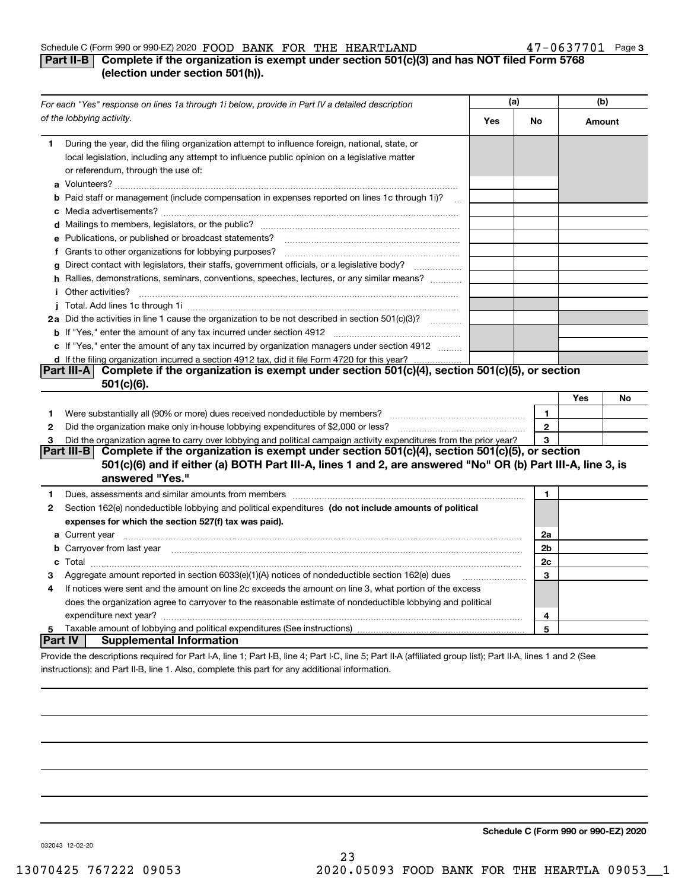#### Schedule C (Form 990 or 990-EZ) 2020 Page FOOD BANK FOR THE HEARTLAND 47-0637701

## **Part II-B Complete if the organization is exempt under section 501(c)(3) and has NOT filed Form 5768 (election under section 501(h)).**

|         | For each "Yes" response on lines 1a through 1i below, provide in Part IV a detailed description                                                                                                                                               |     | (a)          |        | (b) |  |
|---------|-----------------------------------------------------------------------------------------------------------------------------------------------------------------------------------------------------------------------------------------------|-----|--------------|--------|-----|--|
|         | of the lobbying activity.                                                                                                                                                                                                                     | Yes | <b>No</b>    | Amount |     |  |
| 1       | During the year, did the filing organization attempt to influence foreign, national, state, or<br>local legislation, including any attempt to influence public opinion on a legislative matter<br>or referendum, through the use of:          |     |              |        |     |  |
|         | b Paid staff or management (include compensation in expenses reported on lines 1c through 1i)?<br>$\sim$                                                                                                                                      |     |              |        |     |  |
|         |                                                                                                                                                                                                                                               |     |              |        |     |  |
|         | e Publications, or published or broadcast statements?                                                                                                                                                                                         |     |              |        |     |  |
|         | f Grants to other organizations for lobbying purposes?                                                                                                                                                                                        |     |              |        |     |  |
|         | Direct contact with legislators, their staffs, government officials, or a legislative body?<br>.                                                                                                                                              |     |              |        |     |  |
|         | h Rallies, demonstrations, seminars, conventions, speeches, lectures, or any similar means?                                                                                                                                                   |     |              |        |     |  |
| i.      | Other activities?                                                                                                                                                                                                                             |     |              |        |     |  |
|         |                                                                                                                                                                                                                                               |     |              |        |     |  |
|         | 2a Did the activities in line 1 cause the organization to be not described in section 501(c)(3)?                                                                                                                                              |     |              |        |     |  |
|         |                                                                                                                                                                                                                                               |     |              |        |     |  |
|         | c If "Yes," enter the amount of any tax incurred by organization managers under section 4912                                                                                                                                                  |     |              |        |     |  |
|         | d If the filing organization incurred a section 4912 tax, did it file Form 4720 for this year?                                                                                                                                                |     |              |        |     |  |
|         | Part III-A Complete if the organization is exempt under section 501(c)(4), section 501(c)(5), or section<br>501(c)(6).                                                                                                                        |     |              |        |     |  |
|         |                                                                                                                                                                                                                                               |     |              | Yes    | No  |  |
| 1.      |                                                                                                                                                                                                                                               |     | 1            |        |     |  |
| 2       |                                                                                                                                                                                                                                               |     | $\mathbf{2}$ |        |     |  |
| 3       | Did the organization agree to carry over lobbying and political campaign activity expenditures from the prior year?                                                                                                                           |     | 3            |        |     |  |
|         | Complete if the organization is exempt under section 501(c)(4), section 501(c)(5), or section<br>Part III-B<br>501(c)(6) and if either (a) BOTH Part III-A, lines 1 and 2, are answered "No" OR (b) Part III-A, line 3, is<br>answered "Yes." |     |              |        |     |  |
| 1       | Dues, assessments and similar amounts from members [11] matter continuum matter and similar amounts and similar                                                                                                                               |     | 1.           |        |     |  |
| 2       | Section 162(e) nondeductible lobbying and political expenditures (do not include amounts of political                                                                                                                                         |     |              |        |     |  |
|         | expenses for which the section 527(f) tax was paid).                                                                                                                                                                                          |     |              |        |     |  |
|         |                                                                                                                                                                                                                                               |     | 2a           |        |     |  |
|         | <b>b</b> Carryover from last year                                                                                                                                                                                                             |     | 2b           |        |     |  |
|         |                                                                                                                                                                                                                                               |     | 2c           |        |     |  |
| з       | Aggregate amount reported in section 6033(e)(1)(A) notices of nondeductible section 162(e) dues                                                                                                                                               |     | 3            |        |     |  |
| 4       | If notices were sent and the amount on line 2c exceeds the amount on line 3, what portion of the excess                                                                                                                                       |     |              |        |     |  |
|         | does the organization agree to carryover to the reasonable estimate of nondeductible lobbying and political                                                                                                                                   |     |              |        |     |  |
|         | expenditure next year?                                                                                                                                                                                                                        |     | 4            |        |     |  |
| 5       |                                                                                                                                                                                                                                               |     | 5            |        |     |  |
| Part IV | <b>Supplemental Information</b>                                                                                                                                                                                                               |     |              |        |     |  |
|         | Provide the descriptions required for Part I-A, line 1; Part I-B, line 4; Part I-C, line 5; Part II-A (affiliated group list); Part II-A, lines 1 and 2 (See                                                                                  |     |              |        |     |  |

instructions); and Part II-B, line 1. Also, complete this part for any additional information.

**Schedule C (Form 990 or 990-EZ) 2020**

032043 12-02-20

23 13070425 767222 09053 2020.05093 FOOD BANK FOR THE HEARTLA 09053\_\_1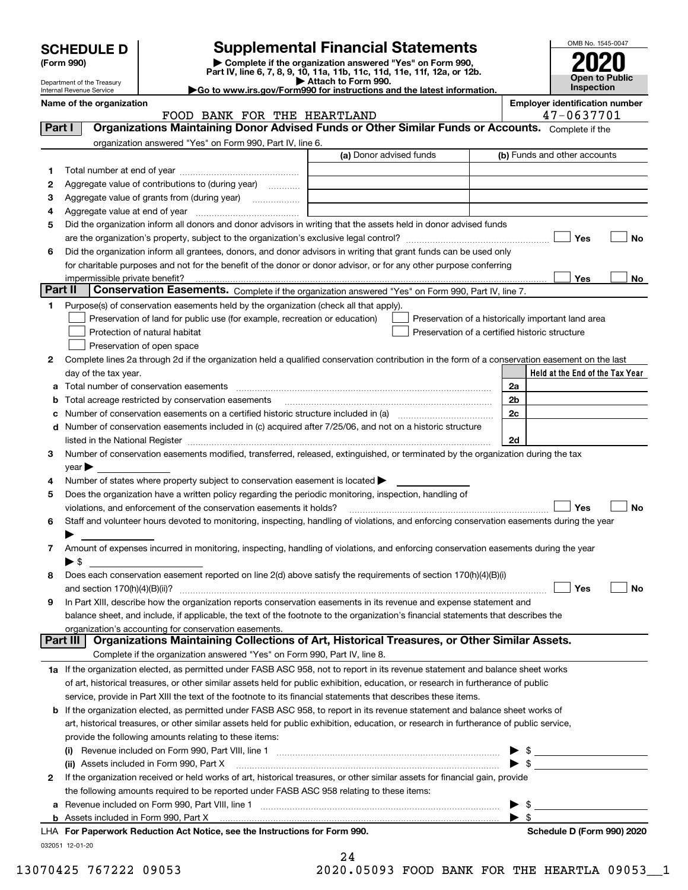| <b>SCHEDULE D</b> |  |
|-------------------|--|
|-------------------|--|

Department of the Treasury

# **SCHEDULE D Supplemental Financial Statements**

(Form 990)<br>
Pepartment of the Treasury<br>
Department of the Treasury<br>
Department of the Treasury<br>
Department of the Treasury<br> **Co to www.irs.gov/Form990 for instructions and the latest information.**<br> **Co to www.irs.gov/Form9** 



|    | $\blacktriangleright$ Go to www.irs.gov/Form990 for instructions and the latest information.<br>Internal Revenue Service                                                      |    |                                  | <b>Inspection</b>                     |           |  |  |  |
|----|-------------------------------------------------------------------------------------------------------------------------------------------------------------------------------|----|----------------------------------|---------------------------------------|-----------|--|--|--|
|    | Name of the organization                                                                                                                                                      |    |                                  | <b>Employer identification number</b> |           |  |  |  |
|    | 47-0637701<br>FOOD BANK FOR THE HEARTLAND<br>Organizations Maintaining Donor Advised Funds or Other Similar Funds or Accounts. Complete if the<br>Part I                      |    |                                  |                                       |           |  |  |  |
|    | organization answered "Yes" on Form 990, Part IV, line 6.                                                                                                                     |    |                                  |                                       |           |  |  |  |
|    | (a) Donor advised funds                                                                                                                                                       |    |                                  | (b) Funds and other accounts          |           |  |  |  |
| 1. |                                                                                                                                                                               |    |                                  |                                       |           |  |  |  |
| 2  | Aggregate value of contributions to (during year)                                                                                                                             |    |                                  |                                       |           |  |  |  |
| з  | Aggregate value of grants from (during year)                                                                                                                                  |    |                                  |                                       |           |  |  |  |
| 4  |                                                                                                                                                                               |    |                                  |                                       |           |  |  |  |
| 5  | Did the organization inform all donors and donor advisors in writing that the assets held in donor advised funds                                                              |    |                                  |                                       |           |  |  |  |
|    |                                                                                                                                                                               |    |                                  | Yes                                   | No        |  |  |  |
| 6  | Did the organization inform all grantees, donors, and donor advisors in writing that grant funds can be used only                                                             |    |                                  |                                       |           |  |  |  |
|    | for charitable purposes and not for the benefit of the donor or donor advisor, or for any other purpose conferring                                                            |    |                                  |                                       |           |  |  |  |
|    |                                                                                                                                                                               |    |                                  | Yes                                   | No        |  |  |  |
|    | Part II<br>Conservation Easements. Complete if the organization answered "Yes" on Form 990, Part IV, line 7.                                                                  |    |                                  |                                       |           |  |  |  |
| 1  | Purpose(s) of conservation easements held by the organization (check all that apply).                                                                                         |    |                                  |                                       |           |  |  |  |
|    | Preservation of land for public use (for example, recreation or education)<br>Preservation of a historically important land area                                              |    |                                  |                                       |           |  |  |  |
|    | Protection of natural habitat<br>Preservation of a certified historic structure                                                                                               |    |                                  |                                       |           |  |  |  |
|    | Preservation of open space                                                                                                                                                    |    |                                  |                                       |           |  |  |  |
| 2  | Complete lines 2a through 2d if the organization held a qualified conservation contribution in the form of a conservation easement on the last                                |    |                                  |                                       |           |  |  |  |
|    | day of the tax year.                                                                                                                                                          |    |                                  | Held at the End of the Tax Year       |           |  |  |  |
| а  | Total number of conservation easements                                                                                                                                        |    | 2a                               |                                       |           |  |  |  |
| b  | Total acreage restricted by conservation easements                                                                                                                            |    | 2b                               |                                       |           |  |  |  |
| c  |                                                                                                                                                                               | 2c |                                  |                                       |           |  |  |  |
| d  | Number of conservation easements included in (c) acquired after 7/25/06, and not on a historic structure                                                                      |    |                                  |                                       |           |  |  |  |
|    |                                                                                                                                                                               |    | 2d                               |                                       |           |  |  |  |
| 3  | Number of conservation easements modified, transferred, released, extinguished, or terminated by the organization during the tax                                              |    |                                  |                                       |           |  |  |  |
|    | $year \blacktriangleright$                                                                                                                                                    |    |                                  |                                       |           |  |  |  |
| 4  | Number of states where property subject to conservation easement is located $\blacktriangleright$                                                                             |    |                                  |                                       |           |  |  |  |
| 5  | Does the organization have a written policy regarding the periodic monitoring, inspection, handling of<br>violations, and enforcement of the conservation easements it holds? |    |                                  | Yes                                   | <b>No</b> |  |  |  |
| 6  | Staff and volunteer hours devoted to monitoring, inspecting, handling of violations, and enforcing conservation easements during the year                                     |    |                                  |                                       |           |  |  |  |
|    |                                                                                                                                                                               |    |                                  |                                       |           |  |  |  |
| 7  | Amount of expenses incurred in monitoring, inspecting, handling of violations, and enforcing conservation easements during the year                                           |    |                                  |                                       |           |  |  |  |
|    | $\blacktriangleright$ \$                                                                                                                                                      |    |                                  |                                       |           |  |  |  |
| 8  | Does each conservation easement reported on line 2(d) above satisfy the requirements of section 170(h)(4)(B)(i)                                                               |    |                                  |                                       |           |  |  |  |
|    |                                                                                                                                                                               |    |                                  | Yes                                   | No        |  |  |  |
| 9  | In Part XIII, describe how the organization reports conservation easements in its revenue and expense statement and                                                           |    |                                  |                                       |           |  |  |  |
|    | balance sheet, and include, if applicable, the text of the footnote to the organization's financial statements that describes the                                             |    |                                  |                                       |           |  |  |  |
|    | organization's accounting for conservation easements.                                                                                                                         |    |                                  |                                       |           |  |  |  |
|    | Organizations Maintaining Collections of Art, Historical Treasures, or Other Similar Assets.<br>Part III                                                                      |    |                                  |                                       |           |  |  |  |
|    | Complete if the organization answered "Yes" on Form 990, Part IV, line 8.                                                                                                     |    |                                  |                                       |           |  |  |  |
|    | 1a If the organization elected, as permitted under FASB ASC 958, not to report in its revenue statement and balance sheet works                                               |    |                                  |                                       |           |  |  |  |
|    | of art, historical treasures, or other similar assets held for public exhibition, education, or research in furtherance of public                                             |    |                                  |                                       |           |  |  |  |
|    | service, provide in Part XIII the text of the footnote to its financial statements that describes these items.                                                                |    |                                  |                                       |           |  |  |  |
| b  | If the organization elected, as permitted under FASB ASC 958, to report in its revenue statement and balance sheet works of                                                   |    |                                  |                                       |           |  |  |  |
|    | art, historical treasures, or other similar assets held for public exhibition, education, or research in furtherance of public service,                                       |    |                                  |                                       |           |  |  |  |
|    | provide the following amounts relating to these items:                                                                                                                        |    |                                  |                                       |           |  |  |  |
|    |                                                                                                                                                                               |    | - \$                             |                                       |           |  |  |  |
|    | (ii) Assets included in Form 990, Part X                                                                                                                                      |    | $\blacktriangleright$ \$         |                                       |           |  |  |  |
| 2  | If the organization received or held works of art, historical treasures, or other similar assets for financial gain, provide                                                  |    |                                  |                                       |           |  |  |  |
|    | the following amounts required to be reported under FASB ASC 958 relating to these items:                                                                                     |    |                                  |                                       |           |  |  |  |
| а  |                                                                                                                                                                               |    | - \$<br>$\blacktriangleright$ \$ |                                       |           |  |  |  |
|    |                                                                                                                                                                               |    |                                  |                                       |           |  |  |  |

032051 12-01-20 **For Paperwork Reduction Act Notice, see the Instructions for Form 990. Schedule D (Form 990) 2020** LHA

24

13070425 767222 09053 2020.05093 FOOD BANK FOR THE HEARTLA 09053\_\_1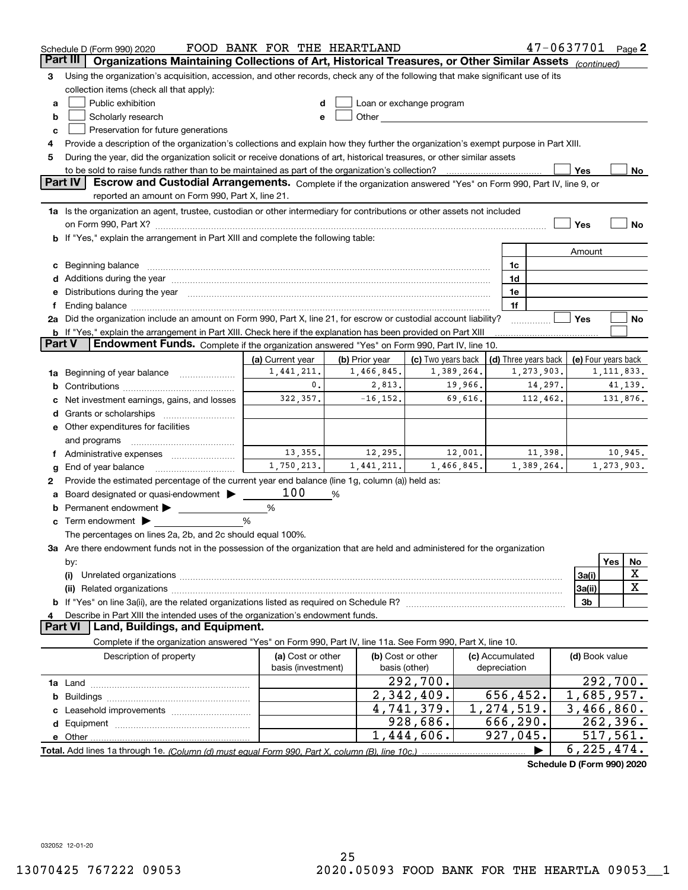|               | $47 - 0637701$ Page 2<br>FOOD BANK FOR THE HEARTLAND<br>Schedule D (Form 990) 2020                                                                                                                                             |                                         |                       |                                                                                                                                                                                                                                |                                 |                      |                     |                        |    |
|---------------|--------------------------------------------------------------------------------------------------------------------------------------------------------------------------------------------------------------------------------|-----------------------------------------|-----------------------|--------------------------------------------------------------------------------------------------------------------------------------------------------------------------------------------------------------------------------|---------------------------------|----------------------|---------------------|------------------------|----|
| Part III      | Organizations Maintaining Collections of Art, Historical Treasures, or Other Similar Assets (continued)                                                                                                                        |                                         |                       |                                                                                                                                                                                                                                |                                 |                      |                     |                        |    |
| 3             | Using the organization's acquisition, accession, and other records, check any of the following that make significant use of its                                                                                                |                                         |                       |                                                                                                                                                                                                                                |                                 |                      |                     |                        |    |
|               | collection items (check all that apply):                                                                                                                                                                                       |                                         |                       |                                                                                                                                                                                                                                |                                 |                      |                     |                        |    |
| a             | Public exhibition<br>Loan or exchange program<br>d                                                                                                                                                                             |                                         |                       |                                                                                                                                                                                                                                |                                 |                      |                     |                        |    |
| b             | Scholarly research                                                                                                                                                                                                             | e                                       |                       | Other the contract of the contract of the contract of the contract of the contract of the contract of the contract of the contract of the contract of the contract of the contract of the contract of the contract of the cont |                                 |                      |                     |                        |    |
| c             | Preservation for future generations                                                                                                                                                                                            |                                         |                       |                                                                                                                                                                                                                                |                                 |                      |                     |                        |    |
| 4             | Provide a description of the organization's collections and explain how they further the organization's exempt purpose in Part XIII.                                                                                           |                                         |                       |                                                                                                                                                                                                                                |                                 |                      |                     |                        |    |
| 5             | During the year, did the organization solicit or receive donations of art, historical treasures, or other similar assets                                                                                                       |                                         |                       |                                                                                                                                                                                                                                |                                 |                      |                     |                        |    |
|               |                                                                                                                                                                                                                                |                                         |                       |                                                                                                                                                                                                                                |                                 |                      | Yes                 |                        | No |
|               | <b>Part IV</b><br>Escrow and Custodial Arrangements. Complete if the organization answered "Yes" on Form 990, Part IV, line 9, or<br>reported an amount on Form 990, Part X, line 21.                                          |                                         |                       |                                                                                                                                                                                                                                |                                 |                      |                     |                        |    |
|               | 1a Is the organization an agent, trustee, custodian or other intermediary for contributions or other assets not included                                                                                                       |                                         |                       |                                                                                                                                                                                                                                |                                 |                      |                     |                        |    |
|               | on Form 990, Part X? [11] matter contracts and contracts and contracts are contracted as a function of the set of the set of the set of the set of the set of the set of the set of the set of the set of the set of the set o |                                         |                       |                                                                                                                                                                                                                                |                                 |                      | Yes                 |                        | No |
|               | b If "Yes," explain the arrangement in Part XIII and complete the following table:                                                                                                                                             |                                         |                       |                                                                                                                                                                                                                                |                                 |                      |                     |                        |    |
|               |                                                                                                                                                                                                                                |                                         |                       |                                                                                                                                                                                                                                |                                 |                      | Amount              |                        |    |
| с             | Beginning balance <b>contract to the contract of the contract of the contract of the contract of the contract of t</b>                                                                                                         |                                         |                       |                                                                                                                                                                                                                                | 1c                              |                      |                     |                        |    |
| d             | Additions during the year manufactured and an according to the year manufactured and according the year manufactured and according the year manufactured and according the year manufactured and according the year manufactur |                                         |                       |                                                                                                                                                                                                                                | 1d                              |                      |                     |                        |    |
| е             | Distributions during the year manufactured and continuum and contact the year manufactured and contact the year                                                                                                                |                                         |                       |                                                                                                                                                                                                                                | 1e                              |                      |                     |                        |    |
| f             |                                                                                                                                                                                                                                |                                         |                       |                                                                                                                                                                                                                                | 1f                              |                      |                     |                        |    |
|               | 2a Did the organization include an amount on Form 990, Part X, line 21, for escrow or custodial account liability?                                                                                                             |                                         |                       |                                                                                                                                                                                                                                |                                 |                      | Yes                 |                        | No |
|               | <b>b</b> If "Yes," explain the arrangement in Part XIII. Check here if the explanation has been provided on Part XIII                                                                                                          |                                         |                       |                                                                                                                                                                                                                                |                                 |                      |                     |                        |    |
| <b>Part V</b> | <b>Endowment Funds.</b> Complete if the organization answered "Yes" on Form 990, Part IV, line 10.                                                                                                                             |                                         |                       |                                                                                                                                                                                                                                |                                 |                      |                     |                        |    |
|               |                                                                                                                                                                                                                                | (a) Current year                        | (b) Prior year        | (c) Two years back                                                                                                                                                                                                             |                                 | (d) Three years back | (e) Four years back |                        |    |
| 1a            | 1,441,211.<br>1,466,845.<br>1,389,264.<br>1,273,903.<br>Beginning of year balance                                                                                                                                              |                                         |                       |                                                                                                                                                                                                                                |                                 |                      |                     | 1, 111, 833.           |    |
| b             | $\mathbf{0}$ .<br>2,813.<br>14,297.<br>19,966.                                                                                                                                                                                 |                                         |                       |                                                                                                                                                                                                                                |                                 |                      | 41,139.             |                        |    |
|               | Net investment earnings, gains, and losses                                                                                                                                                                                     | 322,357.                                | $-16, 152.$           | 69,616.                                                                                                                                                                                                                        |                                 | 112,462.             |                     | 131,876.               |    |
| d             |                                                                                                                                                                                                                                |                                         |                       |                                                                                                                                                                                                                                |                                 |                      |                     |                        |    |
|               | e Other expenditures for facilities                                                                                                                                                                                            |                                         |                       |                                                                                                                                                                                                                                |                                 |                      |                     |                        |    |
|               | and programs                                                                                                                                                                                                                   |                                         |                       |                                                                                                                                                                                                                                |                                 |                      |                     |                        |    |
|               | f Administrative expenses <i></i>                                                                                                                                                                                              | 13,355.<br>1,750,213.                   | 12,295.<br>1,441,211. | 12,001.                                                                                                                                                                                                                        |                                 | 11,398.              |                     | 10,945.                |    |
| g             | End of year balance                                                                                                                                                                                                            |                                         |                       | 1,466,845.                                                                                                                                                                                                                     |                                 | 1,389,264.           |                     | 1,273,903.             |    |
| 2             | Provide the estimated percentage of the current year end balance (line 1g, column (a)) held as:                                                                                                                                | 100                                     |                       |                                                                                                                                                                                                                                |                                 |                      |                     |                        |    |
|               | Board designated or quasi-endowment >                                                                                                                                                                                          |                                         | %                     |                                                                                                                                                                                                                                |                                 |                      |                     |                        |    |
| b             | Permanent endowment ><br>Term endowment $\blacktriangleright$                                                                                                                                                                  | %<br>%                                  |                       |                                                                                                                                                                                                                                |                                 |                      |                     |                        |    |
| c             | The percentages on lines 2a, 2b, and 2c should equal 100%.                                                                                                                                                                     |                                         |                       |                                                                                                                                                                                                                                |                                 |                      |                     |                        |    |
|               | 3a Are there endowment funds not in the possession of the organization that are held and administered for the organization                                                                                                     |                                         |                       |                                                                                                                                                                                                                                |                                 |                      |                     |                        |    |
|               | by:                                                                                                                                                                                                                            |                                         |                       |                                                                                                                                                                                                                                |                                 |                      |                     | Yes                    | No |
|               | (i)                                                                                                                                                                                                                            |                                         |                       |                                                                                                                                                                                                                                |                                 |                      | 3a(i)               |                        | X  |
|               |                                                                                                                                                                                                                                |                                         |                       |                                                                                                                                                                                                                                |                                 |                      | 3a(ii)              |                        | X  |
|               |                                                                                                                                                                                                                                |                                         |                       |                                                                                                                                                                                                                                |                                 |                      | 3 <sub>b</sub>      |                        |    |
|               | Describe in Part XIII the intended uses of the organization's endowment funds.                                                                                                                                                 |                                         |                       |                                                                                                                                                                                                                                |                                 |                      |                     |                        |    |
|               | <b>Part VI</b><br>Land, Buildings, and Equipment.                                                                                                                                                                              |                                         |                       |                                                                                                                                                                                                                                |                                 |                      |                     |                        |    |
|               | Complete if the organization answered "Yes" on Form 990, Part IV, line 11a. See Form 990, Part X, line 10.                                                                                                                     |                                         |                       |                                                                                                                                                                                                                                |                                 |                      |                     |                        |    |
|               | Description of property                                                                                                                                                                                                        | (a) Cost or other<br>basis (investment) |                       | (b) Cost or other<br>basis (other)                                                                                                                                                                                             | (c) Accumulated<br>depreciation |                      | (d) Book value      |                        |    |
|               |                                                                                                                                                                                                                                |                                         |                       | 292,700.                                                                                                                                                                                                                       |                                 |                      |                     | 292, 700.              |    |
| b             |                                                                                                                                                                                                                                |                                         |                       | 2,342,409.                                                                                                                                                                                                                     | 656,452.                        |                      | 1,685,957.          |                        |    |
|               |                                                                                                                                                                                                                                |                                         |                       | 4,741,379.                                                                                                                                                                                                                     | 1,274,519.                      |                      | 3,466,860.          |                        |    |
|               |                                                                                                                                                                                                                                |                                         |                       | 928,686.                                                                                                                                                                                                                       | 666,290.                        |                      |                     | $\overline{262,396}$ . |    |
|               |                                                                                                                                                                                                                                |                                         |                       | 1,444,606.                                                                                                                                                                                                                     | 927,045.                        |                      |                     | 517,561.               |    |
|               |                                                                                                                                                                                                                                |                                         |                       |                                                                                                                                                                                                                                |                                 |                      | 6, 225, 474.        |                        |    |
|               |                                                                                                                                                                                                                                |                                         |                       |                                                                                                                                                                                                                                |                                 |                      |                     |                        |    |

**Schedule D (Form 990) 2020**

032052 12-01-20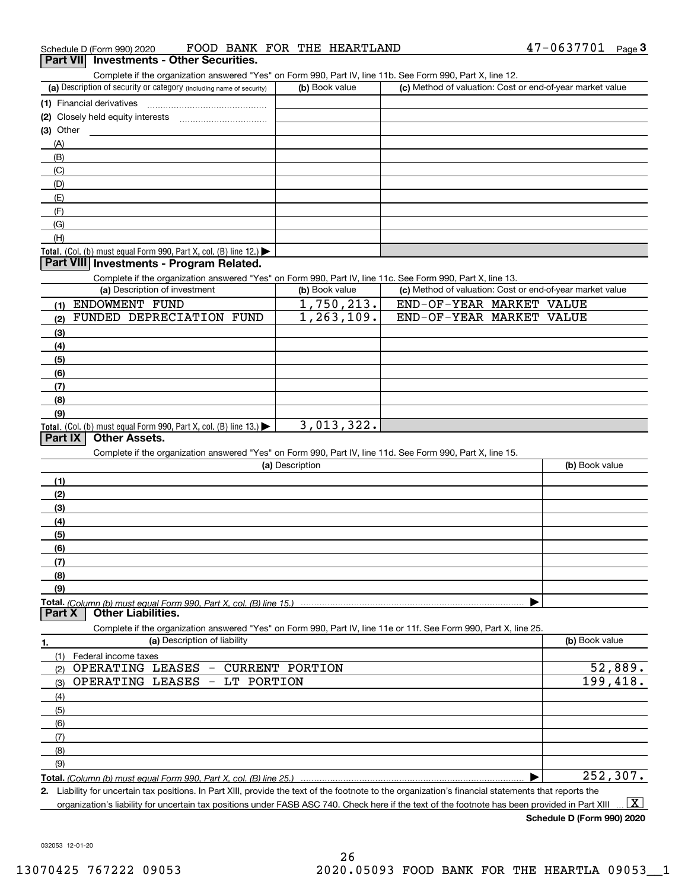Complete if the organization answered "Yes" on Form 990, Part IV, line 11b. See Form 990, Part X, line 12.

| (a) Description of security or category (including name of security)                   | (b) Book value | (c) Method of valuation: Cost or end-of-year market value |
|----------------------------------------------------------------------------------------|----------------|-----------------------------------------------------------|
| (1) Financial derivatives                                                              |                |                                                           |
| (2) Closely held equity interests                                                      |                |                                                           |
| $(3)$ Other                                                                            |                |                                                           |
| (A)                                                                                    |                |                                                           |
| (B)                                                                                    |                |                                                           |
| (C)                                                                                    |                |                                                           |
| (D)                                                                                    |                |                                                           |
| (E)                                                                                    |                |                                                           |
| (F)                                                                                    |                |                                                           |
| (G)                                                                                    |                |                                                           |
| (H)                                                                                    |                |                                                           |
| Total. (Col. (b) must equal Form 990, Part X, col. (B) line 12.) $\blacktriangleright$ |                |                                                           |

### **Part VIII Investments - Program Related.**

Complete if the organization answered "Yes" on Form 990, Part IV, line 11c. See Form 990, Part X, line 13.

| (a) Description of investment                                              | (b) Book value | (c) Method of valuation: Cost or end-of-year market value |
|----------------------------------------------------------------------------|----------------|-----------------------------------------------------------|
| ENDOWMENT FUND<br>(1)                                                      | 1,750,213.     | END-OF-YEAR MARKET VALUE                                  |
| FUNDED DEPRECIATION FUND<br>(2)                                            | 1, 263, 109.   | END-OF-YEAR MARKET VALUE                                  |
| $\left(3\right)$                                                           |                |                                                           |
| (4)                                                                        |                |                                                           |
| (5)                                                                        |                |                                                           |
| (6)                                                                        |                |                                                           |
| (7)                                                                        |                |                                                           |
| (8)                                                                        |                |                                                           |
| (9)                                                                        |                |                                                           |
| <b>Total.</b> (Col. (b) must equal Form 990, Part X, col. (B) line $13.$ ) | 3,013,322.     |                                                           |

## **Part IX Other Assets.**

Complete if the organization answered "Yes" on Form 990, Part IV, line 11d. See Form 990, Part X, line 15.

| (a) Description                                                                                                                       | (b) Book value |
|---------------------------------------------------------------------------------------------------------------------------------------|----------------|
| (1)                                                                                                                                   |                |
| (2)                                                                                                                                   |                |
| $\frac{1}{3}$                                                                                                                         |                |
| (4)                                                                                                                                   |                |
| (5)                                                                                                                                   |                |
| (6)                                                                                                                                   |                |
|                                                                                                                                       |                |
| (8)                                                                                                                                   |                |
| (9)                                                                                                                                   |                |
|                                                                                                                                       |                |
| Total. (Column (b) must equal Form 990, Part X, col. (B) line 15.) ………………………………………………………………………………………<br>  Part X   Other Liabilities. |                |

**(a)** Description of liability **Book value** Book value Book value Book value Book value Complete if the organization answered "Yes" on Form 990, Part IV, line 11e or 11f. See Form 990, Part X, line 25.

| Federal income taxes<br>(1)               |          |
|-------------------------------------------|----------|
| OPERATING LEASES - CURRENT PORTION<br>(2) | 52,889.  |
| $(3)$ OPERATING LEASES - LT PORTION       | 199,418. |
| (4)                                       |          |
| $\frac{1}{2}$ (5)                         |          |
| (6)                                       |          |
| (7)                                       |          |
| (8)                                       |          |
| (9)                                       |          |
|                                           | 252,307. |

**2.**Liability for uncertain tax positions. In Part XIII, provide the text of the footnote to the organization's financial statements that reports the

organization's liability for uncertain tax positions under FASB ASC 740. Check here if the text of the footnote has been provided in Part XIII  $\boxed{\text{X}}$ 

**Schedule D (Form 990) 2020**

032053 12-01-20

**1.**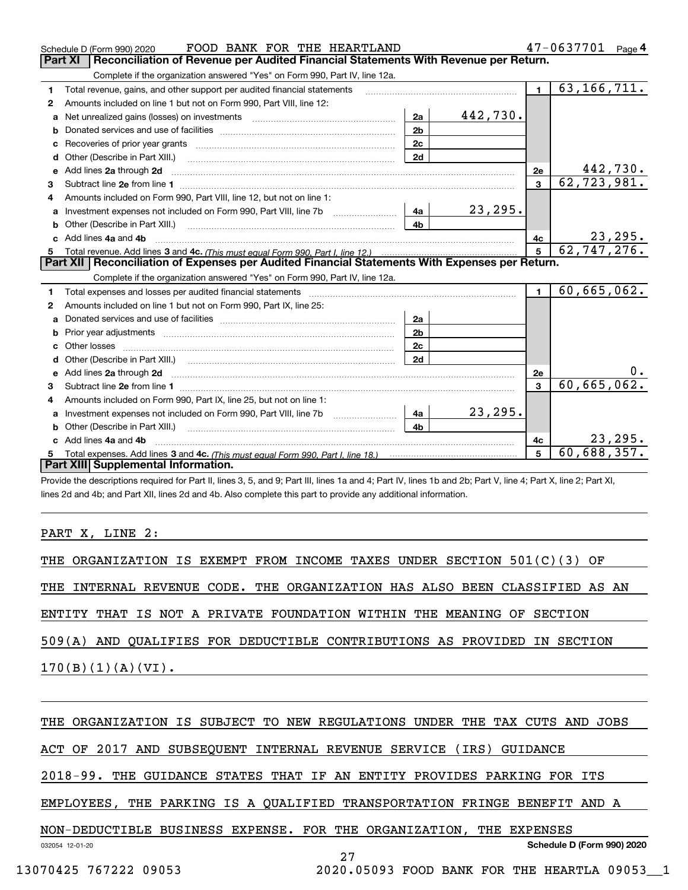|    | FOOD BANK FOR THE HEARTLAND<br>Schedule D (Form 990) 2020                                                                                                                                                                                          |                |          |                      | 47-0637701<br>Page $4$         |
|----|----------------------------------------------------------------------------------------------------------------------------------------------------------------------------------------------------------------------------------------------------|----------------|----------|----------------------|--------------------------------|
|    | Part XI<br>Reconciliation of Revenue per Audited Financial Statements With Revenue per Return.                                                                                                                                                     |                |          |                      |                                |
|    | Complete if the organization answered "Yes" on Form 990, Part IV, line 12a.                                                                                                                                                                        |                |          |                      |                                |
| 1. | Total revenue, gains, and other support per audited financial statements                                                                                                                                                                           |                |          | $\blacksquare$       | 63, 166, 711.                  |
| 2  | Amounts included on line 1 but not on Form 990, Part VIII, line 12:                                                                                                                                                                                |                |          |                      |                                |
| a  |                                                                                                                                                                                                                                                    | 2a             | 442,730. |                      |                                |
|    |                                                                                                                                                                                                                                                    | 2 <sub>b</sub> |          |                      |                                |
|    |                                                                                                                                                                                                                                                    | 2c             |          |                      |                                |
| d  |                                                                                                                                                                                                                                                    | 2d             |          |                      |                                |
| е  | Add lines 2a through 2d                                                                                                                                                                                                                            |                |          | 2е                   | $\frac{442,730.}{62,723,981.}$ |
| 3  |                                                                                                                                                                                                                                                    |                |          | $\overline{3}$       |                                |
| 4  | Amounts included on Form 990, Part VIII, line 12, but not on line 1:                                                                                                                                                                               |                |          |                      |                                |
|    |                                                                                                                                                                                                                                                    |                | 23,295.  |                      |                                |
|    |                                                                                                                                                                                                                                                    | 4 <sub>b</sub> |          |                      |                                |
| c. | Add lines 4a and 4b                                                                                                                                                                                                                                |                |          | 4c<br>5 <sup>5</sup> | 23, 295.                       |
|    |                                                                                                                                                                                                                                                    |                |          |                      | 62, 747, 276.                  |
|    |                                                                                                                                                                                                                                                    |                |          |                      |                                |
|    | Part XII   Reconciliation of Expenses per Audited Financial Statements With Expenses per Return.                                                                                                                                                   |                |          |                      |                                |
|    | Complete if the organization answered "Yes" on Form 990, Part IV, line 12a.                                                                                                                                                                        |                |          |                      |                                |
| 1  | Total expenses and losses per audited financial statements [11] [11] Total expenses and losses per audited financial statements [11] [11] Total expenses and losses per audited financial statements                                               |                |          | $\blacksquare$       | $\overline{60}$ , 665, 062.    |
| 2  | Amounts included on line 1 but not on Form 990, Part IX, line 25:                                                                                                                                                                                  |                |          |                      |                                |
| a  |                                                                                                                                                                                                                                                    | 2a             |          |                      |                                |
|    | Prior year adjustments material contracts and all prior year adjustments and all prior year adjustments and all                                                                                                                                    | 2 <sub>b</sub> |          |                      |                                |
|    |                                                                                                                                                                                                                                                    | 2c             |          |                      |                                |
|    |                                                                                                                                                                                                                                                    | 2d             |          |                      |                                |
|    | e Add lines 2a through 2d <b>[10]</b> [10] <b>All the Contract of Add lines 2a</b> through 2d <b>[10] All the Contract of Add lines</b> 2a through 2d <b>[10] All the Contract of Add lines</b> 2a through 2d <b>[10] All the Contract of Addi</b> |                |          | 2e                   | 0.                             |
| 3  |                                                                                                                                                                                                                                                    |                |          | $\mathbf{a}$         | 60,665,062.                    |
| 4  | Amounts included on Form 990, Part IX, line 25, but not on line 1:                                                                                                                                                                                 |                |          |                      |                                |
|    |                                                                                                                                                                                                                                                    |                | 23, 295. |                      |                                |
| b  |                                                                                                                                                                                                                                                    | 4b             |          |                      |                                |
|    | c Add lines 4a and 4b                                                                                                                                                                                                                              |                |          | 4c                   | 23, 295.                       |
|    | Part XIII Supplemental Information.                                                                                                                                                                                                                |                |          | 5                    | 60,688,357.                    |

Provide the descriptions required for Part II, lines 3, 5, and 9; Part III, lines 1a and 4; Part IV, lines 1b and 2b; Part V, line 4; Part X, line 2; Part XI, lines 2d and 4b; and Part XII, lines 2d and 4b. Also complete this part to provide any additional information.

PART X, LINE 2:

THE ORGANIZATION IS EXEMPT FROM INCOME TAXES UNDER SECTION 501(C)(3) OF THE INTERNAL REVENUE CODE. THE ORGANIZATION HAS ALSO BEEN CLASSIFIED AS AN ENTITY THAT IS NOT A PRIVATE FOUNDATION WITHIN THE MEANING OF SECTION 509(A) AND QUALIFIES FOR DEDUCTIBLE CONTRIBUTIONS AS PROVIDED IN SECTION

 $170(B)(1)(A)(VI).$ 

## THE ORGANIZATION IS SUBJECT TO NEW REGULATIONS UNDER THE TAX CUTS AND JOBS

ACT OF 2017 AND SUBSEQUENT INTERNAL REVENUE SERVICE (IRS) GUIDANCE

2018-99. THE GUIDANCE STATES THAT IF AN ENTITY PROVIDES PARKING FOR ITS

EMPLOYEES, THE PARKING IS A QUALIFIED TRANSPORTATION FRINGE BENEFIT AND A

27

NON-DEDUCTIBLE BUSINESS EXPENSE. FOR THE ORGANIZATION, THE EXPENSES

032054 12-01-20

**Schedule D (Form 990) 2020**

13070425 767222 09053 2020.05093 FOOD BANK FOR THE HEARTLA 09053\_\_1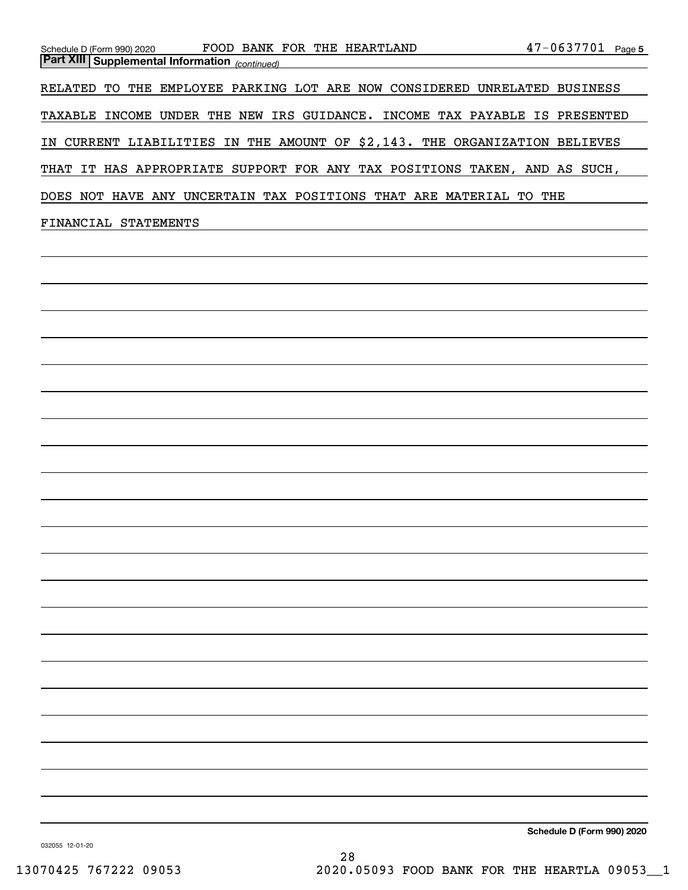| FOOD.<br>Schedule D (Form 990) 2020                   | BANK FOR THE HEARTLAND                           | 47-0637701<br>Page 5            |
|-------------------------------------------------------|--------------------------------------------------|---------------------------------|
| <b>Part XIII Supplemental Information</b> (continued) |                                                  |                                 |
| EMPLOYEE<br>RELATED<br>TО<br>THE                      | PARKING LOT ARE NOW CONSIDERED                   | UNRELATED<br><b>BUSINESS</b>    |
| UNDER<br>THE<br>TAXABLE<br>INCOME                     | NEW<br>IRS GUIDANCE.<br><b>INCOME</b>            | TAX PAYABLE<br>IS.<br>PRESENTED |
| CURRENT<br>IN.                                        | LIABILITIES IN THE AMOUNT OF \$2,143. THE        | ORGANIZATION<br><b>BELIEVES</b> |
| THAT                                                  | IT HAS APPROPRIATE SUPPORT FOR ANY TAX POSITIONS | TAKEN ,<br>AND AS SUCH,         |
| NOT<br>DOES.<br>HAVE<br><b>ANY</b>                    | UNCERTAIN TAX POSITIONS<br>THAT ARE              | THE<br>MATERIAL<br>TO.          |
| FINANCIAL<br>STATEMENTS                               |                                                  |                                 |

**Schedule D (Form 990) 2020**

032055 12-01-20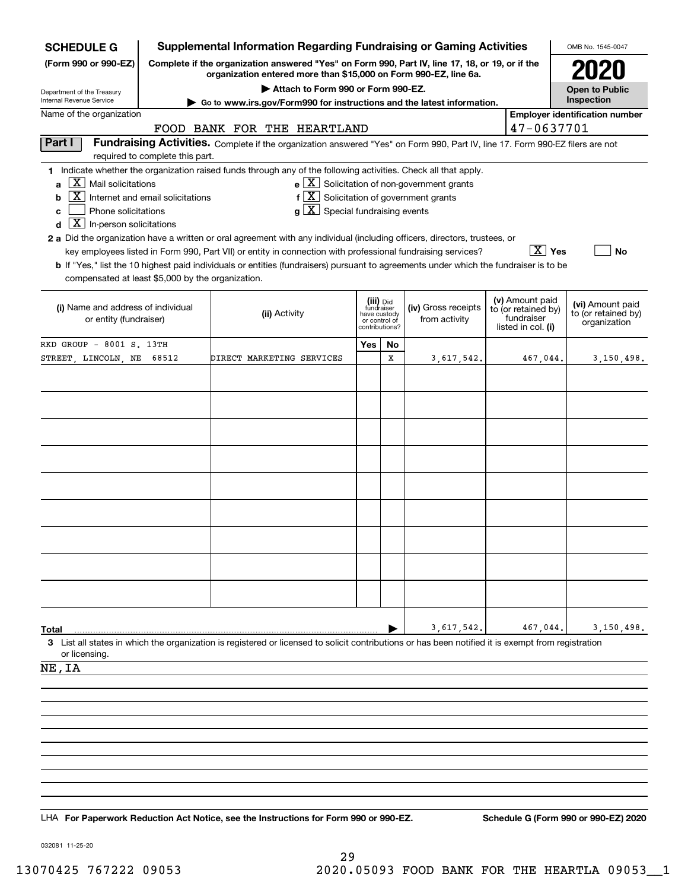| <b>SCHEDULE G</b>                                                                  | <b>Supplemental Information Regarding Fundraising or Gaming Activities</b>                                                                                          |                                                                                                                                                                                  | OMB No. 1545-0047                                                          |    |                                                                      |  |                                                                            |                                                         |
|------------------------------------------------------------------------------------|---------------------------------------------------------------------------------------------------------------------------------------------------------------------|----------------------------------------------------------------------------------------------------------------------------------------------------------------------------------|----------------------------------------------------------------------------|----|----------------------------------------------------------------------|--|----------------------------------------------------------------------------|---------------------------------------------------------|
| (Form 990 or 990-EZ)                                                               | Complete if the organization answered "Yes" on Form 990, Part IV, line 17, 18, or 19, or if the<br>organization entered more than \$15,000 on Form 990-EZ, line 6a. |                                                                                                                                                                                  |                                                                            |    |                                                                      |  |                                                                            |                                                         |
|                                                                                    |                                                                                                                                                                     |                                                                                                                                                                                  | <b>Open to Public</b>                                                      |    |                                                                      |  |                                                                            |                                                         |
| Department of the Treasury<br>Internal Revenue Service                             |                                                                                                                                                                     | Attach to Form 990 or Form 990-EZ.<br>Go to www.irs.gov/Form990 for instructions and the latest information.                                                                     |                                                                            |    |                                                                      |  |                                                                            | Inspection                                              |
| Name of the organization                                                           |                                                                                                                                                                     | FOOD BANK FOR THE HEARTLAND                                                                                                                                                      |                                                                            |    |                                                                      |  | 47-0637701                                                                 | <b>Employer identification number</b>                   |
| Part I                                                                             |                                                                                                                                                                     | Fundraising Activities. Complete if the organization answered "Yes" on Form 990, Part IV, line 17. Form 990-EZ filers are not                                                    |                                                                            |    |                                                                      |  |                                                                            |                                                         |
|                                                                                    | required to complete this part.                                                                                                                                     |                                                                                                                                                                                  |                                                                            |    |                                                                      |  |                                                                            |                                                         |
| $ \mathbf{X} $ Mail solicitations<br>a<br> X                                       | Internet and email solicitations                                                                                                                                    | 1 Indicate whether the organization raised funds through any of the following activities. Check all that apply.<br>$f\left[\frac{X}{X}\right]$ Solicitation of government grants |                                                                            |    | $\mathbf{e} \times \mathbf{X}$ Solicitation of non-government grants |  |                                                                            |                                                         |
| b<br>Phone solicitations<br>c<br>$\boxed{\textbf{X}}$ In-person solicitations<br>d |                                                                                                                                                                     | $g\mid X$ Special fundraising events                                                                                                                                             |                                                                            |    |                                                                      |  |                                                                            |                                                         |
|                                                                                    |                                                                                                                                                                     | 2 a Did the organization have a written or oral agreement with any individual (including officers, directors, trustees, or                                                       |                                                                            |    |                                                                      |  |                                                                            |                                                         |
|                                                                                    |                                                                                                                                                                     | key employees listed in Form 990, Part VII) or entity in connection with professional fundraising services?                                                                      |                                                                            |    |                                                                      |  | $\overline{X}$ Yes                                                         | No                                                      |
| compensated at least \$5,000 by the organization.                                  |                                                                                                                                                                     | b If "Yes," list the 10 highest paid individuals or entities (fundraisers) pursuant to agreements under which the fundraiser is to be                                            |                                                                            |    |                                                                      |  |                                                                            |                                                         |
|                                                                                    |                                                                                                                                                                     |                                                                                                                                                                                  |                                                                            |    |                                                                      |  |                                                                            |                                                         |
| (i) Name and address of individual<br>or entity (fundraiser)                       |                                                                                                                                                                     | (ii) Activity                                                                                                                                                                    | (iii) Did<br>fundraiser<br>have custody<br>or control of<br>contributions? |    | (iv) Gross receipts<br>from activity                                 |  | (v) Amount paid<br>to (or retained by)<br>fundraiser<br>listed in col. (i) | (vi) Amount paid<br>to (or retained by)<br>organization |
| RKD GROUP - 8001 S. 13TH                                                           |                                                                                                                                                                     |                                                                                                                                                                                  | Yes                                                                        | No |                                                                      |  |                                                                            |                                                         |
| STREET, LINCOLN, NE                                                                | 68512                                                                                                                                                               | DIRECT MARKETING SERVICES                                                                                                                                                        |                                                                            | x  | 3,617,542.                                                           |  | 467,044.                                                                   | 3,150,498.                                              |
|                                                                                    |                                                                                                                                                                     |                                                                                                                                                                                  |                                                                            |    |                                                                      |  |                                                                            |                                                         |
|                                                                                    |                                                                                                                                                                     |                                                                                                                                                                                  |                                                                            |    |                                                                      |  |                                                                            |                                                         |
|                                                                                    |                                                                                                                                                                     |                                                                                                                                                                                  |                                                                            |    |                                                                      |  |                                                                            |                                                         |
|                                                                                    |                                                                                                                                                                     |                                                                                                                                                                                  |                                                                            |    |                                                                      |  |                                                                            |                                                         |
|                                                                                    |                                                                                                                                                                     |                                                                                                                                                                                  |                                                                            |    |                                                                      |  |                                                                            |                                                         |
|                                                                                    |                                                                                                                                                                     |                                                                                                                                                                                  |                                                                            |    |                                                                      |  |                                                                            |                                                         |
|                                                                                    |                                                                                                                                                                     |                                                                                                                                                                                  |                                                                            |    |                                                                      |  |                                                                            |                                                         |
|                                                                                    |                                                                                                                                                                     |                                                                                                                                                                                  |                                                                            |    |                                                                      |  |                                                                            |                                                         |
|                                                                                    |                                                                                                                                                                     |                                                                                                                                                                                  |                                                                            |    |                                                                      |  |                                                                            |                                                         |
|                                                                                    |                                                                                                                                                                     |                                                                                                                                                                                  |                                                                            |    |                                                                      |  |                                                                            |                                                         |
|                                                                                    |                                                                                                                                                                     |                                                                                                                                                                                  |                                                                            |    |                                                                      |  |                                                                            |                                                         |
|                                                                                    |                                                                                                                                                                     |                                                                                                                                                                                  |                                                                            |    |                                                                      |  |                                                                            |                                                         |
|                                                                                    |                                                                                                                                                                     |                                                                                                                                                                                  |                                                                            |    |                                                                      |  |                                                                            |                                                         |
|                                                                                    |                                                                                                                                                                     |                                                                                                                                                                                  |                                                                            |    |                                                                      |  |                                                                            |                                                         |
| Total                                                                              |                                                                                                                                                                     |                                                                                                                                                                                  |                                                                            |    | 3,617,542.                                                           |  | 467,044.                                                                   | 3,150,498.                                              |
| or licensing.                                                                      |                                                                                                                                                                     | 3 List all states in which the organization is registered or licensed to solicit contributions or has been notified it is exempt from registration                               |                                                                            |    |                                                                      |  |                                                                            |                                                         |
| NE, IA                                                                             |                                                                                                                                                                     |                                                                                                                                                                                  |                                                                            |    |                                                                      |  |                                                                            |                                                         |
|                                                                                    |                                                                                                                                                                     |                                                                                                                                                                                  |                                                                            |    |                                                                      |  |                                                                            |                                                         |
|                                                                                    |                                                                                                                                                                     |                                                                                                                                                                                  |                                                                            |    |                                                                      |  |                                                                            |                                                         |
|                                                                                    |                                                                                                                                                                     |                                                                                                                                                                                  |                                                                            |    |                                                                      |  |                                                                            |                                                         |
|                                                                                    |                                                                                                                                                                     |                                                                                                                                                                                  |                                                                            |    |                                                                      |  |                                                                            |                                                         |
|                                                                                    |                                                                                                                                                                     |                                                                                                                                                                                  |                                                                            |    |                                                                      |  |                                                                            |                                                         |
|                                                                                    |                                                                                                                                                                     |                                                                                                                                                                                  |                                                                            |    |                                                                      |  |                                                                            |                                                         |
|                                                                                    |                                                                                                                                                                     |                                                                                                                                                                                  |                                                                            |    |                                                                      |  |                                                                            |                                                         |
|                                                                                    |                                                                                                                                                                     |                                                                                                                                                                                  |                                                                            |    |                                                                      |  |                                                                            |                                                         |

LHA For Paperwork Reduction Act Notice, see the Instructions for Form 990 or 990-EZ. Schedule G (Form 990 or 990-EZ) 2020

032081 11-25-20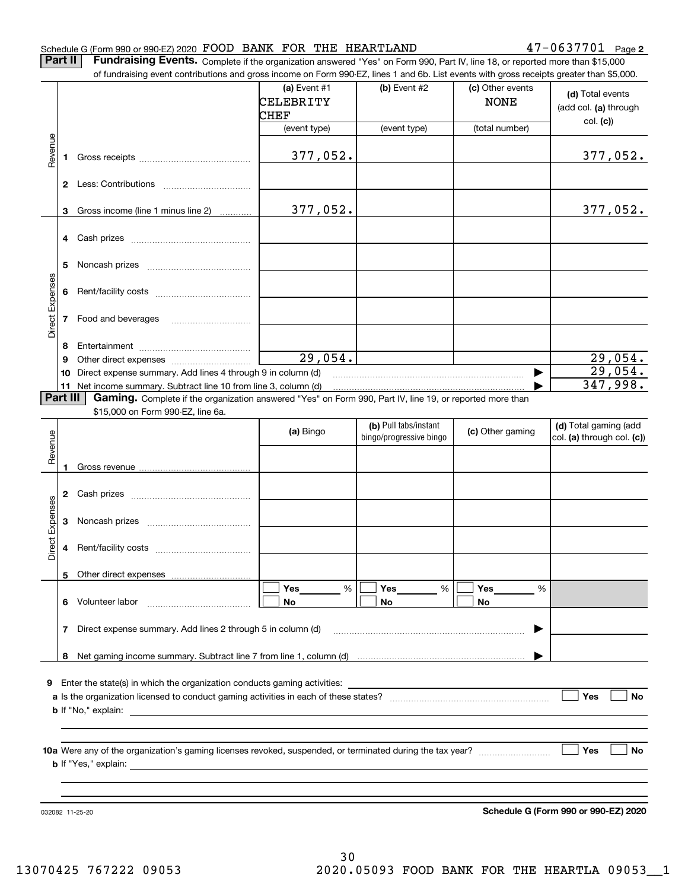#### Schedule G (Form 990 or 990-EZ) 2020 Page FOOD BANK FOR THE HEARTLAND 47-0637701

**2**

**Part II** | Fundraising Events. Complete if the organization answered "Yes" on Form 990, Part IV, line 18, or reported more than \$15,000

|                 |          | of fundraising event contributions and gross income on Form 990-EZ, lines 1 and 6b. List events with gross receipts greater than \$5,000. |              |                         |                  |                                      |
|-----------------|----------|-------------------------------------------------------------------------------------------------------------------------------------------|--------------|-------------------------|------------------|--------------------------------------|
|                 |          |                                                                                                                                           | (a) Event #1 | (b) Event #2            | (c) Other events | (d) Total events                     |
|                 |          |                                                                                                                                           | CELEBRITY    |                         | <b>NONE</b>      |                                      |
|                 |          |                                                                                                                                           | CHEF         |                         |                  | (add col. (a) through                |
|                 |          |                                                                                                                                           | (event type) | (event type)            | (total number)   | col. (c)                             |
|                 |          |                                                                                                                                           |              |                         |                  |                                      |
| Revenue         |          |                                                                                                                                           | 377,052.     |                         |                  | 377,052.                             |
|                 | 1        |                                                                                                                                           |              |                         |                  |                                      |
|                 |          |                                                                                                                                           |              |                         |                  |                                      |
|                 |          |                                                                                                                                           |              |                         |                  |                                      |
|                 |          |                                                                                                                                           |              |                         |                  |                                      |
|                 | 3        | Gross income (line 1 minus line 2)                                                                                                        | 377,052.     |                         |                  | 377,052.                             |
|                 |          |                                                                                                                                           |              |                         |                  |                                      |
|                 | 4        |                                                                                                                                           |              |                         |                  |                                      |
|                 |          |                                                                                                                                           |              |                         |                  |                                      |
|                 | 5        |                                                                                                                                           |              |                         |                  |                                      |
|                 |          |                                                                                                                                           |              |                         |                  |                                      |
|                 | 6        |                                                                                                                                           |              |                         |                  |                                      |
|                 |          |                                                                                                                                           |              |                         |                  |                                      |
|                 | 7        | Food and beverages                                                                                                                        |              |                         |                  |                                      |
| Direct Expenses |          |                                                                                                                                           |              |                         |                  |                                      |
|                 | 8        |                                                                                                                                           |              |                         |                  |                                      |
|                 | 9        |                                                                                                                                           | 29,054.      |                         |                  |                                      |
|                 |          |                                                                                                                                           |              |                         |                  | $\frac{29,054.}{29,054.}$            |
|                 | 10       | Direct expense summary. Add lines 4 through 9 in column (d)                                                                               |              |                         |                  | 347,998.                             |
|                 | Part III | 11 Net income summary. Subtract line 10 from line 3, column (d)                                                                           |              |                         |                  |                                      |
|                 |          | Gaming. Complete if the organization answered "Yes" on Form 990, Part IV, line 19, or reported more than                                  |              |                         |                  |                                      |
|                 |          | \$15,000 on Form 990-EZ, line 6a.                                                                                                         |              |                         |                  |                                      |
|                 |          |                                                                                                                                           | (a) Bingo    | (b) Pull tabs/instant   | (c) Other gaming | (d) Total gaming (add                |
|                 |          |                                                                                                                                           |              | bingo/progressive bingo |                  | col. (a) through col. (c))           |
| Revenue         |          |                                                                                                                                           |              |                         |                  |                                      |
|                 | 1        |                                                                                                                                           |              |                         |                  |                                      |
|                 |          |                                                                                                                                           |              |                         |                  |                                      |
|                 | 2        |                                                                                                                                           |              |                         |                  |                                      |
|                 |          |                                                                                                                                           |              |                         |                  |                                      |
|                 | 3        |                                                                                                                                           |              |                         |                  |                                      |
| Expenses        |          |                                                                                                                                           |              |                         |                  |                                      |
| Direct          | 4        |                                                                                                                                           |              |                         |                  |                                      |
|                 |          |                                                                                                                                           |              |                         |                  |                                      |
|                 |          |                                                                                                                                           |              |                         |                  |                                      |
|                 |          | 5 Other direct expenses                                                                                                                   |              |                         |                  |                                      |
|                 |          |                                                                                                                                           | %<br>Yes     | %<br>Yes                | Yes<br>%         |                                      |
|                 | 6.       | Volunteer labor                                                                                                                           | No           | No                      | No               |                                      |
|                 |          |                                                                                                                                           |              |                         |                  |                                      |
|                 | 7        | Direct expense summary. Add lines 2 through 5 in column (d)                                                                               |              |                         |                  |                                      |
|                 |          |                                                                                                                                           |              |                         |                  |                                      |
|                 |          |                                                                                                                                           |              |                         |                  |                                      |
|                 |          |                                                                                                                                           |              |                         |                  |                                      |
| 9.              |          |                                                                                                                                           |              |                         |                  |                                      |
|                 |          |                                                                                                                                           |              |                         |                  | Yes<br>No                            |
|                 |          |                                                                                                                                           |              |                         |                  |                                      |
|                 |          |                                                                                                                                           |              |                         |                  |                                      |
|                 |          |                                                                                                                                           |              |                         |                  |                                      |
|                 |          |                                                                                                                                           |              |                         |                  |                                      |
|                 |          |                                                                                                                                           |              |                         |                  | Yes<br>No                            |
|                 |          |                                                                                                                                           |              |                         |                  |                                      |
|                 |          |                                                                                                                                           |              |                         |                  |                                      |
|                 |          |                                                                                                                                           |              |                         |                  |                                      |
|                 |          |                                                                                                                                           |              |                         |                  | Schedule G (Form 990 or 990-EZ) 2020 |
|                 |          | 032082 11-25-20                                                                                                                           |              |                         |                  |                                      |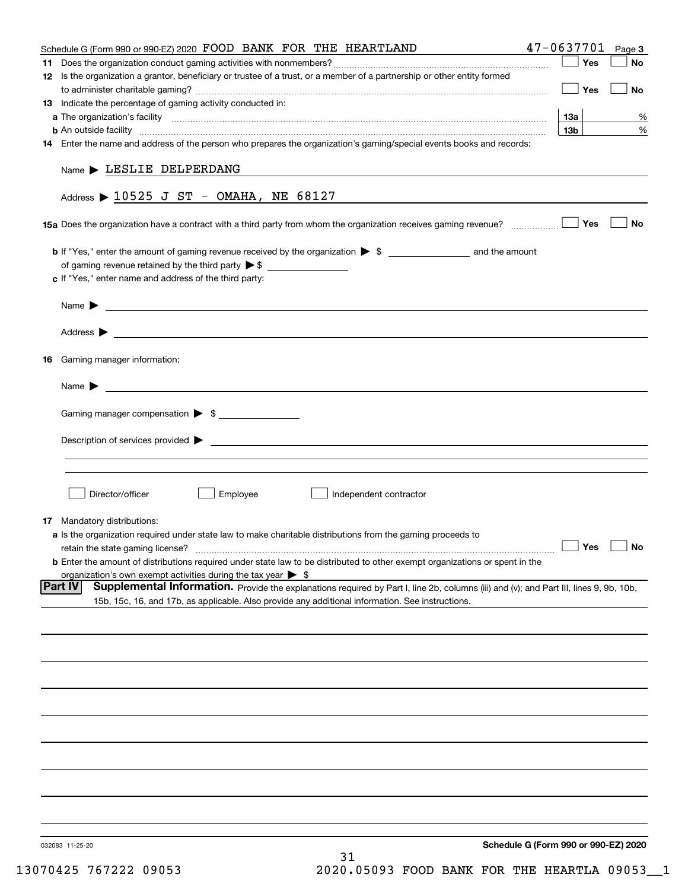| Schedule G (Form 990 or 990-EZ) 2020 FOOD BANK FOR THE HEARTLAND                                                                                                                                                                               | $47 - 0637701$ Page 3 |           |
|------------------------------------------------------------------------------------------------------------------------------------------------------------------------------------------------------------------------------------------------|-----------------------|-----------|
|                                                                                                                                                                                                                                                | Yes                   | No        |
| 12 Is the organization a grantor, beneficiary or trustee of a trust, or a member of a partnership or other entity formed                                                                                                                       |                       |           |
|                                                                                                                                                                                                                                                | Yes                   | No        |
| 13 Indicate the percentage of gaming activity conducted in:                                                                                                                                                                                    |                       |           |
|                                                                                                                                                                                                                                                | 13a                   | %         |
| <b>b</b> An outside facility <i>[11]</i> [20] [20] <b>https://www.frace.com/interest in the contract of the contract of the contract of the contract of the contract of the contract of the contract of the contract of the contract of th</b> | 13 <sub>b</sub>       | %         |
| 14 Enter the name and address of the person who prepares the organization's gaming/special events books and records:                                                                                                                           |                       |           |
|                                                                                                                                                                                                                                                |                       |           |
| $Name$ LESLIE DELPERDANG                                                                                                                                                                                                                       |                       |           |
|                                                                                                                                                                                                                                                |                       |           |
| Address $\triangleright$ 10525 J ST - OMAHA, NE 68127                                                                                                                                                                                          |                       |           |
| 15a Does the organization have a contract with a third party from whom the organization receives gaming revenue?                                                                                                                               | Yes                   | No        |
|                                                                                                                                                                                                                                                |                       |           |
|                                                                                                                                                                                                                                                |                       |           |
| c If "Yes," enter name and address of the third party:                                                                                                                                                                                         |                       |           |
|                                                                                                                                                                                                                                                |                       |           |
| Name $\blacktriangleright$ $\bot$                                                                                                                                                                                                              |                       |           |
|                                                                                                                                                                                                                                                |                       |           |
| Address $\blacktriangleright$                                                                                                                                                                                                                  |                       |           |
|                                                                                                                                                                                                                                                |                       |           |
| 16 Gaming manager information:                                                                                                                                                                                                                 |                       |           |
|                                                                                                                                                                                                                                                |                       |           |
| <u> 1989 - Johann Barbara, martin amerikan basal dan berasal dan berasal dalam basal dan berasal dan berasal dan</u><br>Name $\blacktriangleright$                                                                                             |                       |           |
| Gaming manager compensation > \$                                                                                                                                                                                                               |                       |           |
|                                                                                                                                                                                                                                                |                       |           |
|                                                                                                                                                                                                                                                |                       |           |
|                                                                                                                                                                                                                                                |                       |           |
|                                                                                                                                                                                                                                                |                       |           |
|                                                                                                                                                                                                                                                |                       |           |
| Employee<br>Director/officer<br>Independent contractor                                                                                                                                                                                         |                       |           |
|                                                                                                                                                                                                                                                |                       |           |
| 17 Mandatory distributions:                                                                                                                                                                                                                    |                       |           |
| <b>a</b> Is the organization required under state law to make charitable distributions from the gaming proceeds to                                                                                                                             | $\Box$ Yes            | $\Box$ No |
| retain the state gaming license?                                                                                                                                                                                                               |                       |           |
| <b>b</b> Enter the amount of distributions required under state law to be distributed to other exempt organizations or spent in the<br>organization's own exempt activities during the tax year $\triangleright$ \$                            |                       |           |
| Supplemental Information. Provide the explanations required by Part I, line 2b, columns (iii) and (v); and Part III, lines 9, 9b, 10b,<br> Part IV                                                                                             |                       |           |
| 15b, 15c, 16, and 17b, as applicable. Also provide any additional information. See instructions.                                                                                                                                               |                       |           |
|                                                                                                                                                                                                                                                |                       |           |
|                                                                                                                                                                                                                                                |                       |           |
|                                                                                                                                                                                                                                                |                       |           |
|                                                                                                                                                                                                                                                |                       |           |
|                                                                                                                                                                                                                                                |                       |           |
|                                                                                                                                                                                                                                                |                       |           |
|                                                                                                                                                                                                                                                |                       |           |
|                                                                                                                                                                                                                                                |                       |           |
|                                                                                                                                                                                                                                                |                       |           |
|                                                                                                                                                                                                                                                |                       |           |
|                                                                                                                                                                                                                                                |                       |           |
|                                                                                                                                                                                                                                                |                       |           |
|                                                                                                                                                                                                                                                |                       |           |
|                                                                                                                                                                                                                                                |                       |           |
|                                                                                                                                                                                                                                                |                       |           |
| Schedule G (Form 990 or 990-EZ) 2020<br>032083 11-25-20                                                                                                                                                                                        |                       |           |
| 31                                                                                                                                                                                                                                             |                       |           |
|                                                                                                                                                                                                                                                |                       |           |

13070425 767222 09053 2020.05093 FOOD BANK FOR THE HEARTLA 09053\_\_1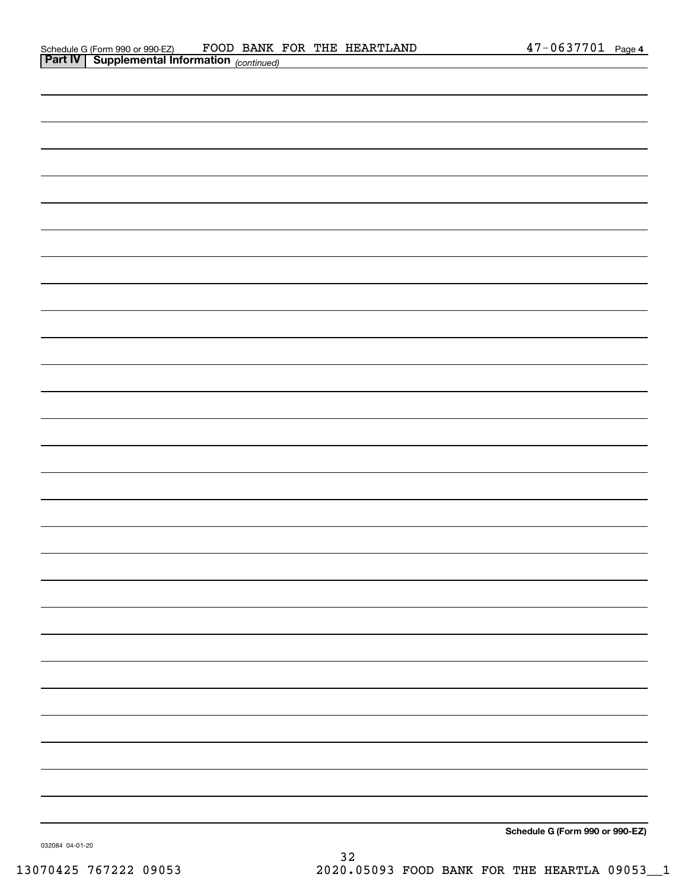| <b>Part IV   Supplemental Information</b> (continued) |  |
|-------------------------------------------------------|--|
|                                                       |  |
|                                                       |  |
|                                                       |  |
|                                                       |  |
|                                                       |  |
|                                                       |  |
|                                                       |  |
|                                                       |  |
|                                                       |  |
|                                                       |  |
|                                                       |  |
|                                                       |  |
|                                                       |  |
|                                                       |  |
|                                                       |  |
|                                                       |  |
|                                                       |  |
|                                                       |  |
|                                                       |  |
|                                                       |  |
|                                                       |  |
|                                                       |  |
|                                                       |  |
|                                                       |  |
|                                                       |  |
|                                                       |  |
|                                                       |  |
|                                                       |  |

**Schedule G (Form 990 or 990-EZ)**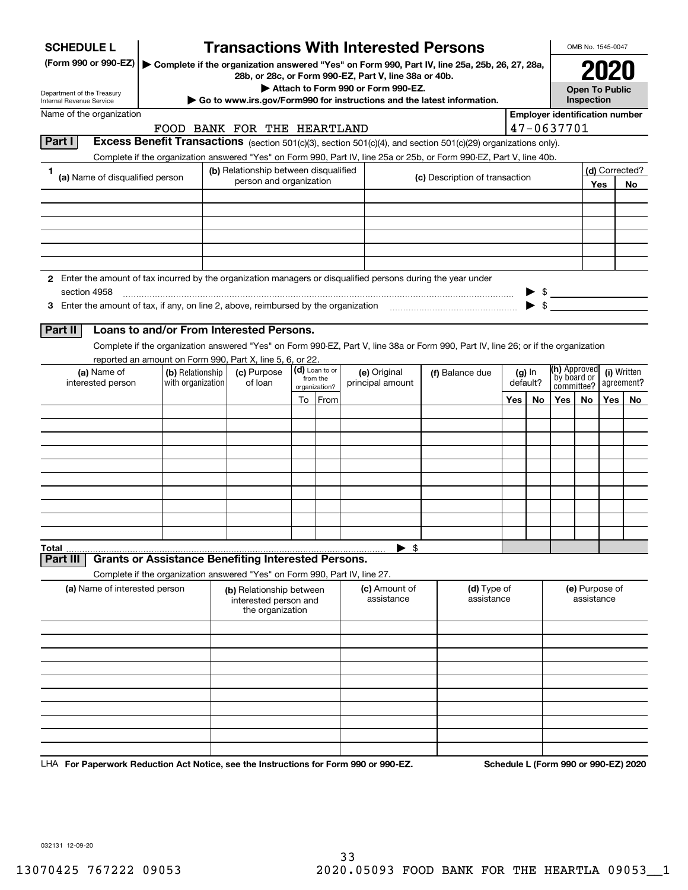| <b>SCHEDULE L</b>                                                                                             |                                                                                                                                                                                                                                        | <b>Transactions With Interested Persons</b>                           |    |                           |                                                                                             |                                                                                                 |     |          |                                       |            | OMB No. 1545-0047 |                |
|---------------------------------------------------------------------------------------------------------------|----------------------------------------------------------------------------------------------------------------------------------------------------------------------------------------------------------------------------------------|-----------------------------------------------------------------------|----|---------------------------|---------------------------------------------------------------------------------------------|-------------------------------------------------------------------------------------------------|-----|----------|---------------------------------------|------------|-------------------|----------------|
| (Form 990 or 990-EZ)                                                                                          |                                                                                                                                                                                                                                        |                                                                       |    |                           |                                                                                             | ▶ Complete if the organization answered "Yes" on Form 990, Part IV, line 25a, 25b, 26, 27, 28a, |     |          |                                       |            |                   |                |
|                                                                                                               |                                                                                                                                                                                                                                        |                                                                       |    |                           | 28b, or 28c, or Form 990-EZ, Part V, line 38a or 40b.<br>Attach to Form 990 or Form 990-EZ. |                                                                                                 |     |          | <b>Open To Public</b>                 |            |                   |                |
| Department of the Treasury<br>Internal Revenue Service                                                        |                                                                                                                                                                                                                                        |                                                                       |    |                           |                                                                                             | Go to www.irs.gov/Form990 for instructions and the latest information.                          |     |          |                                       | Inspection |                   |                |
| Name of the organization                                                                                      |                                                                                                                                                                                                                                        |                                                                       |    |                           |                                                                                             |                                                                                                 |     |          | <b>Employer identification number</b> |            |                   |                |
| Part I                                                                                                        |                                                                                                                                                                                                                                        | FOOD BANK FOR THE HEARTLAND                                           |    |                           |                                                                                             |                                                                                                 |     |          | 47-0637701                            |            |                   |                |
|                                                                                                               | Excess Benefit Transactions (section 501(c)(3), section 501(c)(4), and section 501(c)(29) organizations only).<br>Complete if the organization answered "Yes" on Form 990, Part IV, line 25a or 25b, or Form 990-EZ, Part V, line 40b. |                                                                       |    |                           |                                                                                             |                                                                                                 |     |          |                                       |            |                   |                |
| 1                                                                                                             |                                                                                                                                                                                                                                        | (b) Relationship between disqualified                                 |    |                           |                                                                                             |                                                                                                 |     |          |                                       |            |                   | (d) Corrected? |
| (a) Name of disqualified person                                                                               |                                                                                                                                                                                                                                        | person and organization                                               |    |                           |                                                                                             | (c) Description of transaction                                                                  |     |          |                                       |            | Yes               | No             |
|                                                                                                               |                                                                                                                                                                                                                                        |                                                                       |    |                           |                                                                                             |                                                                                                 |     |          |                                       |            |                   |                |
|                                                                                                               |                                                                                                                                                                                                                                        |                                                                       |    |                           |                                                                                             |                                                                                                 |     |          |                                       |            |                   |                |
|                                                                                                               |                                                                                                                                                                                                                                        |                                                                       |    |                           |                                                                                             |                                                                                                 |     |          |                                       |            |                   |                |
|                                                                                                               |                                                                                                                                                                                                                                        |                                                                       |    |                           |                                                                                             |                                                                                                 |     |          |                                       |            |                   |                |
|                                                                                                               |                                                                                                                                                                                                                                        |                                                                       |    |                           |                                                                                             |                                                                                                 |     |          |                                       |            |                   |                |
| 2 Enter the amount of tax incurred by the organization managers or disqualified persons during the year under |                                                                                                                                                                                                                                        |                                                                       |    |                           |                                                                                             |                                                                                                 |     |          |                                       |            |                   |                |
| section 4958                                                                                                  |                                                                                                                                                                                                                                        |                                                                       |    |                           |                                                                                             |                                                                                                 |     |          | $\triangleright$ \$                   |            |                   |                |
|                                                                                                               |                                                                                                                                                                                                                                        |                                                                       |    |                           |                                                                                             |                                                                                                 |     |          |                                       |            |                   |                |
| Part II                                                                                                       | Loans to and/or From Interested Persons.                                                                                                                                                                                               |                                                                       |    |                           |                                                                                             |                                                                                                 |     |          |                                       |            |                   |                |
|                                                                                                               | Complete if the organization answered "Yes" on Form 990-EZ, Part V, line 38a or Form 990, Part IV, line 26; or if the organization                                                                                                     |                                                                       |    |                           |                                                                                             |                                                                                                 |     |          |                                       |            |                   |                |
| (a) Name of                                                                                                   | reported an amount on Form 990, Part X, line 5, 6, or 22.<br>(b) Relationship                                                                                                                                                          | (c) Purpose                                                           |    | (d) Loan to or            | (e) Original                                                                                | (f) Balance due                                                                                 |     | $(g)$ In | (h) Approved                          |            |                   | (i) Written    |
| interested person                                                                                             | with organization                                                                                                                                                                                                                      | of loan                                                               |    | from the<br>organization? | principal amount                                                                            |                                                                                                 |     | default? | `by board or<br>committee?            |            |                   | agreement?     |
|                                                                                                               |                                                                                                                                                                                                                                        |                                                                       | To | From                      |                                                                                             |                                                                                                 | Yes | No       | Yes                                   | No         | Yes               | No             |
|                                                                                                               |                                                                                                                                                                                                                                        |                                                                       |    |                           |                                                                                             |                                                                                                 |     |          |                                       |            |                   |                |
|                                                                                                               |                                                                                                                                                                                                                                        |                                                                       |    |                           |                                                                                             |                                                                                                 |     |          |                                       |            |                   |                |
|                                                                                                               |                                                                                                                                                                                                                                        |                                                                       |    |                           |                                                                                             |                                                                                                 |     |          |                                       |            |                   |                |
|                                                                                                               |                                                                                                                                                                                                                                        |                                                                       |    |                           |                                                                                             |                                                                                                 |     |          |                                       |            |                   |                |
|                                                                                                               |                                                                                                                                                                                                                                        |                                                                       |    |                           |                                                                                             |                                                                                                 |     |          |                                       |            |                   |                |
|                                                                                                               |                                                                                                                                                                                                                                        |                                                                       |    |                           |                                                                                             |                                                                                                 |     |          |                                       |            |                   |                |
|                                                                                                               |                                                                                                                                                                                                                                        |                                                                       |    |                           |                                                                                             |                                                                                                 |     |          |                                       |            |                   |                |
|                                                                                                               |                                                                                                                                                                                                                                        |                                                                       |    |                           |                                                                                             |                                                                                                 |     |          |                                       |            |                   |                |
| Total                                                                                                         |                                                                                                                                                                                                                                        |                                                                       |    |                           | $\blacktriangleright$ \$                                                                    |                                                                                                 |     |          |                                       |            |                   |                |
| Part III                                                                                                      | <b>Grants or Assistance Benefiting Interested Persons.</b>                                                                                                                                                                             |                                                                       |    |                           |                                                                                             |                                                                                                 |     |          |                                       |            |                   |                |
|                                                                                                               | Complete if the organization answered "Yes" on Form 990, Part IV, line 27.                                                                                                                                                             |                                                                       |    |                           |                                                                                             |                                                                                                 |     |          |                                       |            |                   |                |
| (a) Name of interested person                                                                                 |                                                                                                                                                                                                                                        | (b) Relationship between<br>interested person and<br>the organization |    |                           | (c) Amount of<br>assistance                                                                 | (d) Type of<br>assistance                                                                       |     |          |                                       | assistance | (e) Purpose of    |                |
|                                                                                                               |                                                                                                                                                                                                                                        |                                                                       |    |                           |                                                                                             |                                                                                                 |     |          |                                       |            |                   |                |
|                                                                                                               |                                                                                                                                                                                                                                        |                                                                       |    |                           |                                                                                             |                                                                                                 |     |          |                                       |            |                   |                |
|                                                                                                               |                                                                                                                                                                                                                                        |                                                                       |    |                           |                                                                                             |                                                                                                 |     |          |                                       |            |                   |                |
|                                                                                                               |                                                                                                                                                                                                                                        |                                                                       |    |                           |                                                                                             |                                                                                                 |     |          |                                       |            |                   |                |
|                                                                                                               |                                                                                                                                                                                                                                        |                                                                       |    |                           |                                                                                             |                                                                                                 |     |          |                                       |            |                   |                |
|                                                                                                               |                                                                                                                                                                                                                                        |                                                                       |    |                           |                                                                                             |                                                                                                 |     |          |                                       |            |                   |                |
|                                                                                                               |                                                                                                                                                                                                                                        |                                                                       |    |                           |                                                                                             |                                                                                                 |     |          |                                       |            |                   |                |
|                                                                                                               |                                                                                                                                                                                                                                        |                                                                       |    |                           |                                                                                             |                                                                                                 |     |          |                                       |            |                   |                |
|                                                                                                               |                                                                                                                                                                                                                                        |                                                                       |    |                           |                                                                                             |                                                                                                 |     |          |                                       |            |                   |                |

LHA For Paperwork Reduction Act Notice, see the Instructions for Form 990 or 990-EZ. Schedule L (Form 990 or 990-EZ) 2020

032131 12-09-20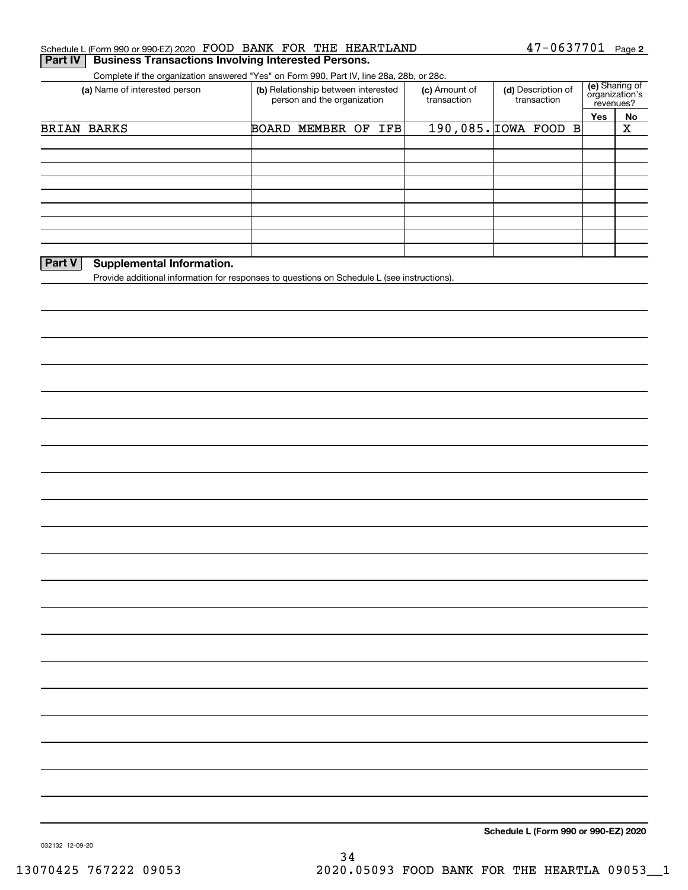| Part IV                       | Schedule L (Form 990 or 990-EZ) 2020 FOOD BANK FOR THE HEARTLAND<br><b>Business Transactions Involving Interested Persons.</b> |                                                  | 47-0637701                                                                                  |                                               | Page 2                      |  |
|-------------------------------|--------------------------------------------------------------------------------------------------------------------------------|--------------------------------------------------|---------------------------------------------------------------------------------------------|-----------------------------------------------|-----------------------------|--|
|                               | Complete if the organization answered "Yes" on Form 990, Part IV, line 28a, 28b, or 28c.                                       |                                                  |                                                                                             |                                               |                             |  |
| (a) Name of interested person | (b) Relationship between interested<br>person and the organization                                                             | (c) Amount of<br>transaction                     | (d) Description of<br>transaction                                                           | (e) Sharing of<br>organization's<br>revenues? |                             |  |
|                               |                                                                                                                                |                                                  |                                                                                             |                                               | No                          |  |
|                               |                                                                                                                                |                                                  |                                                                                             |                                               | X                           |  |
|                               |                                                                                                                                |                                                  |                                                                                             |                                               |                             |  |
|                               |                                                                                                                                |                                                  |                                                                                             |                                               |                             |  |
|                               |                                                                                                                                |                                                  |                                                                                             |                                               |                             |  |
|                               |                                                                                                                                |                                                  |                                                                                             |                                               |                             |  |
|                               |                                                                                                                                |                                                  |                                                                                             |                                               |                             |  |
|                               |                                                                                                                                |                                                  |                                                                                             |                                               |                             |  |
|                               |                                                                                                                                |                                                  |                                                                                             |                                               |                             |  |
|                               |                                                                                                                                |                                                  |                                                                                             |                                               |                             |  |
|                               |                                                                                                                                |                                                  |                                                                                             |                                               |                             |  |
|                               |                                                                                                                                |                                                  |                                                                                             |                                               |                             |  |
|                               |                                                                                                                                |                                                  |                                                                                             |                                               |                             |  |
|                               |                                                                                                                                |                                                  |                                                                                             |                                               |                             |  |
|                               |                                                                                                                                |                                                  |                                                                                             |                                               |                             |  |
|                               |                                                                                                                                |                                                  |                                                                                             |                                               |                             |  |
|                               |                                                                                                                                |                                                  |                                                                                             |                                               |                             |  |
|                               |                                                                                                                                |                                                  |                                                                                             |                                               |                             |  |
|                               |                                                                                                                                |                                                  |                                                                                             |                                               |                             |  |
|                               |                                                                                                                                |                                                  |                                                                                             |                                               |                             |  |
|                               |                                                                                                                                |                                                  |                                                                                             |                                               |                             |  |
|                               |                                                                                                                                |                                                  |                                                                                             |                                               |                             |  |
|                               |                                                                                                                                |                                                  |                                                                                             |                                               |                             |  |
|                               |                                                                                                                                |                                                  |                                                                                             |                                               |                             |  |
|                               |                                                                                                                                |                                                  |                                                                                             |                                               |                             |  |
|                               |                                                                                                                                |                                                  |                                                                                             |                                               |                             |  |
|                               |                                                                                                                                |                                                  |                                                                                             |                                               |                             |  |
|                               |                                                                                                                                |                                                  |                                                                                             |                                               |                             |  |
|                               |                                                                                                                                |                                                  |                                                                                             |                                               |                             |  |
|                               | BRIAN BARKS                                                                                                                    | BOARD MEMBER OF IFB<br>Supplemental Information. | Provide additional information for responses to questions on Schedule L (see instructions). |                                               | Yes<br>190,085. IOWA FOOD B |  |

032132 12-09-20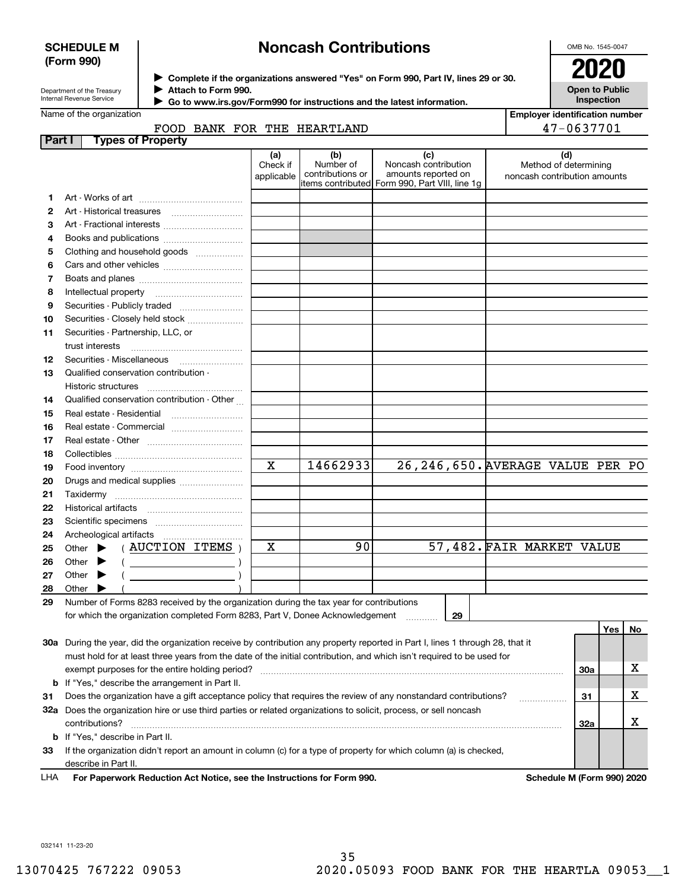## **SCHEDULE M (Form 990)**

# **Noncash Contributions**

OMB No. 1545-0047

| Department of the Treasury      |  |
|---------------------------------|--|
| <b>Internal Revenue Service</b> |  |

**Complete if the organizations answered "Yes" on Form 990, Part IV, lines 29 or 30.** <sup>J</sup>**2020 Attach to Form 990.** J

**Open to Public Inspection**

| ne of the organization. |  |
|-------------------------|--|

 **Go to www.irs.gov/Form990 for instructions and the latest information.** J

|                | Name of the organization                                                                                                                                                                                                                                                                                                                                                           |                               |                                      |                                                                                                      |  |  | <b>Employer identification number</b>                        |     |     |
|----------------|------------------------------------------------------------------------------------------------------------------------------------------------------------------------------------------------------------------------------------------------------------------------------------------------------------------------------------------------------------------------------------|-------------------------------|--------------------------------------|------------------------------------------------------------------------------------------------------|--|--|--------------------------------------------------------------|-----|-----|
|                | FOOD BANK FOR THE HEARTLAND                                                                                                                                                                                                                                                                                                                                                        |                               |                                      |                                                                                                      |  |  | 47-0637701                                                   |     |     |
|                | Part I<br><b>Types of Property</b>                                                                                                                                                                                                                                                                                                                                                 |                               |                                      |                                                                                                      |  |  |                                                              |     |     |
|                |                                                                                                                                                                                                                                                                                                                                                                                    | (a)<br>Check if<br>applicable | (b)<br>Number of<br>contributions or | (c)<br>Noncash contribution<br>amounts reported on<br>items contributed Form 990, Part VIII, line 1g |  |  | (d)<br>Method of determining<br>noncash contribution amounts |     |     |
| 1              |                                                                                                                                                                                                                                                                                                                                                                                    |                               |                                      |                                                                                                      |  |  |                                                              |     |     |
| 2              |                                                                                                                                                                                                                                                                                                                                                                                    |                               |                                      |                                                                                                      |  |  |                                                              |     |     |
| 3              | Art - Fractional interests                                                                                                                                                                                                                                                                                                                                                         |                               |                                      |                                                                                                      |  |  |                                                              |     |     |
| 4              | Books and publications                                                                                                                                                                                                                                                                                                                                                             |                               |                                      |                                                                                                      |  |  |                                                              |     |     |
| 5              | Clothing and household goods                                                                                                                                                                                                                                                                                                                                                       |                               |                                      |                                                                                                      |  |  |                                                              |     |     |
| 6              |                                                                                                                                                                                                                                                                                                                                                                                    |                               |                                      |                                                                                                      |  |  |                                                              |     |     |
| $\overline{7}$ |                                                                                                                                                                                                                                                                                                                                                                                    |                               |                                      |                                                                                                      |  |  |                                                              |     |     |
| 8              |                                                                                                                                                                                                                                                                                                                                                                                    |                               |                                      |                                                                                                      |  |  |                                                              |     |     |
| 9              | Securities - Publicly traded                                                                                                                                                                                                                                                                                                                                                       |                               |                                      |                                                                                                      |  |  |                                                              |     |     |
| 10             | Securities - Closely held stock                                                                                                                                                                                                                                                                                                                                                    |                               |                                      |                                                                                                      |  |  |                                                              |     |     |
| 11             | Securities - Partnership, LLC, or                                                                                                                                                                                                                                                                                                                                                  |                               |                                      |                                                                                                      |  |  |                                                              |     |     |
|                |                                                                                                                                                                                                                                                                                                                                                                                    |                               |                                      |                                                                                                      |  |  |                                                              |     |     |
| 12             |                                                                                                                                                                                                                                                                                                                                                                                    |                               |                                      |                                                                                                      |  |  |                                                              |     |     |
| 13             | Qualified conservation contribution -                                                                                                                                                                                                                                                                                                                                              |                               |                                      |                                                                                                      |  |  |                                                              |     |     |
|                |                                                                                                                                                                                                                                                                                                                                                                                    |                               |                                      |                                                                                                      |  |  |                                                              |     |     |
| 14             | Qualified conservation contribution - Other                                                                                                                                                                                                                                                                                                                                        |                               |                                      |                                                                                                      |  |  |                                                              |     |     |
| 15             | Real estate - Residential                                                                                                                                                                                                                                                                                                                                                          |                               |                                      |                                                                                                      |  |  |                                                              |     |     |
| 16             | Real estate - Commercial                                                                                                                                                                                                                                                                                                                                                           |                               |                                      |                                                                                                      |  |  |                                                              |     |     |
| 17             |                                                                                                                                                                                                                                                                                                                                                                                    |                               |                                      |                                                                                                      |  |  |                                                              |     |     |
| 18             |                                                                                                                                                                                                                                                                                                                                                                                    |                               |                                      |                                                                                                      |  |  |                                                              |     |     |
| 19             |                                                                                                                                                                                                                                                                                                                                                                                    | $\overline{\mathbf{x}}$       | 14662933                             | 26, 246, 650. AVERAGE VALUE PER PO                                                                   |  |  |                                                              |     |     |
| 20             | Drugs and medical supplies                                                                                                                                                                                                                                                                                                                                                         |                               |                                      |                                                                                                      |  |  |                                                              |     |     |
| 21             |                                                                                                                                                                                                                                                                                                                                                                                    |                               |                                      |                                                                                                      |  |  |                                                              |     |     |
| 22             |                                                                                                                                                                                                                                                                                                                                                                                    |                               |                                      |                                                                                                      |  |  |                                                              |     |     |
| 23             |                                                                                                                                                                                                                                                                                                                                                                                    |                               |                                      |                                                                                                      |  |  |                                                              |     |     |
| 24             |                                                                                                                                                                                                                                                                                                                                                                                    |                               |                                      |                                                                                                      |  |  |                                                              |     |     |
| 25             | (AUCTION ITEMS)<br>Other $\blacktriangleright$                                                                                                                                                                                                                                                                                                                                     | x                             | 90                                   | 57,482. FAIR MARKET VALUE                                                                            |  |  |                                                              |     |     |
| 26             | Other $\blacktriangleright$<br>$\begin{picture}(150,10) \put(0,0){\line(1,0){10}} \put(15,0){\line(1,0){10}} \put(15,0){\line(1,0){10}} \put(15,0){\line(1,0){10}} \put(15,0){\line(1,0){10}} \put(15,0){\line(1,0){10}} \put(15,0){\line(1,0){10}} \put(15,0){\line(1,0){10}} \put(15,0){\line(1,0){10}} \put(15,0){\line(1,0){10}} \put(15,0){\line(1,0){10}} \put(15,0){\line($ |                               |                                      |                                                                                                      |  |  |                                                              |     |     |
| 27             | Other $\blacktriangleright$<br>$\overline{a}$                                                                                                                                                                                                                                                                                                                                      |                               |                                      |                                                                                                      |  |  |                                                              |     |     |
| 28             | Other $\blacktriangleright$                                                                                                                                                                                                                                                                                                                                                        |                               |                                      |                                                                                                      |  |  |                                                              |     |     |
| 29             | Number of Forms 8283 received by the organization during the tax year for contributions                                                                                                                                                                                                                                                                                            |                               |                                      |                                                                                                      |  |  |                                                              |     |     |
|                | for which the organization completed Form 8283, Part V, Donee Acknowledgement                                                                                                                                                                                                                                                                                                      |                               |                                      | 29                                                                                                   |  |  |                                                              |     |     |
|                |                                                                                                                                                                                                                                                                                                                                                                                    |                               |                                      |                                                                                                      |  |  |                                                              | Yes | No. |
|                | 30a During the year, did the organization receive by contribution any property reported in Part I, lines 1 through 28, that it                                                                                                                                                                                                                                                     |                               |                                      |                                                                                                      |  |  |                                                              |     |     |
|                | must hold for at least three years from the date of the initial contribution, and which isn't required to be used for                                                                                                                                                                                                                                                              |                               |                                      |                                                                                                      |  |  |                                                              |     |     |
|                |                                                                                                                                                                                                                                                                                                                                                                                    |                               |                                      |                                                                                                      |  |  | 30a                                                          |     | X   |
|                | <b>b</b> If "Yes," describe the arrangement in Part II.                                                                                                                                                                                                                                                                                                                            |                               |                                      |                                                                                                      |  |  |                                                              |     |     |

**3132a** Does the organization hire or use third parties or related organizations to solicit, process, or sell noncash **333132a b**If "Yes," describe in Part II. Does the organization have a gift acceptance policy that requires the review of any nonstandard contributions? . . . . . . . . . . . . . . . . . . . contributions? ~~~~~~~~~~~~~~~~~~~~~~~~~~~~~~~~~~~~~~~~~~~~~~~~~~~~~~ If the organization didn't report an amount in column (c) for a type of property for which column (a) is checked, describe in Part II.

**For Paperwork Reduction Act Notice, see the Instructions for Form 990. Schedule M (Form 990) 2020** LHA

X

X

032141 11-23-20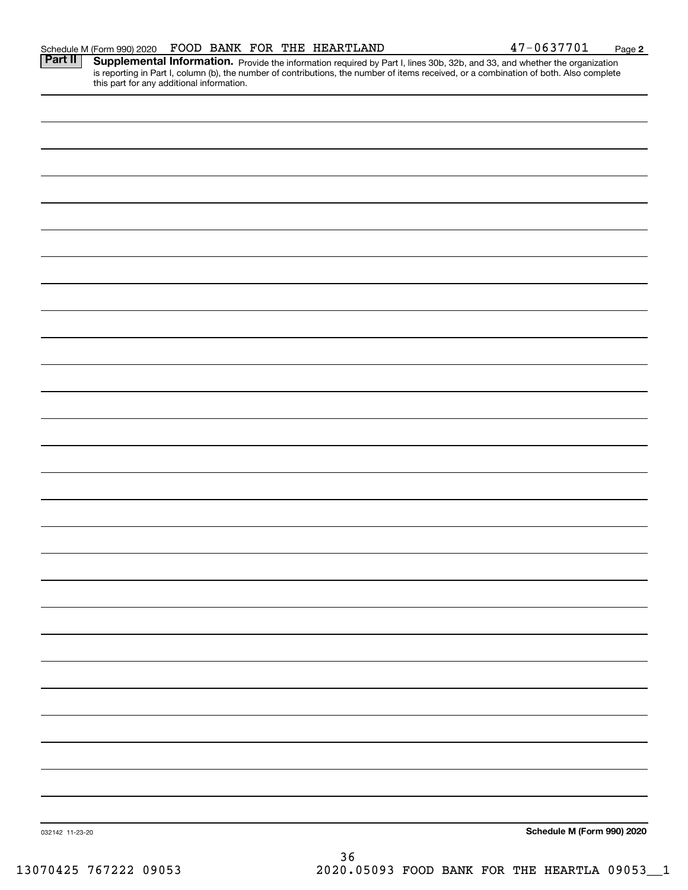| this part for any additional information. |                            |
|-------------------------------------------|----------------------------|
|                                           |                            |
|                                           |                            |
|                                           |                            |
|                                           |                            |
|                                           |                            |
|                                           |                            |
|                                           |                            |
|                                           |                            |
|                                           |                            |
|                                           |                            |
|                                           |                            |
|                                           |                            |
|                                           |                            |
|                                           |                            |
|                                           |                            |
|                                           |                            |
|                                           |                            |
|                                           |                            |
|                                           |                            |
|                                           |                            |
|                                           |                            |
|                                           |                            |
|                                           |                            |
|                                           |                            |
|                                           |                            |
|                                           |                            |
|                                           |                            |
| 032142 11-23-20                           | Schedule M (Form 990) 2020 |

Schedule M (Form 990) 2020 Page FOOD BANK FOR THE HEARTLAND 47-0637701 Part II | Supplemental Information. Provide the information required by Part I, lines 30b, 32b, and 33, and whether the organization

is reporting in Part I, column (b), the number of contributions, the number of items received, or a combination of both. Also complete

36 13070425 767222 09053 2020.05093 FOOD BANK FOR THE HEARTLA 09053\_\_1

**2**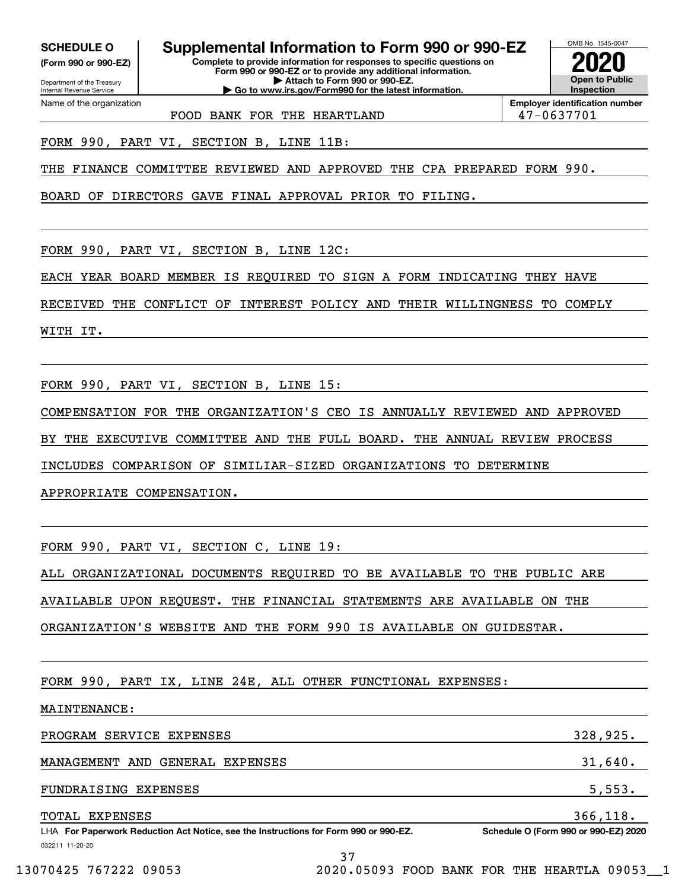**(Form 990 or 990-EZ)**

Department of the Treasury Internal Revenue Service Name of the organization

## **SCHEDULE O Supplemental Information to Form 990 or 990-EZ**

**Complete to provide information for responses to specific questions on Form 990 or 990-EZ or to provide any additional information. | Attach to Form 990 or 990-EZ. | Go to www.irs.gov/Form990 for the latest information.**



**Employer identification number**

FOOD BANK FOR THE HEARTLAND  $\vert$  47-0637701

FORM 990, PART VI, SECTION B, LINE 11B:

THE FINANCE COMMITTEE REVIEWED AND APPROVED THE CPA PREPARED FORM 990.

BOARD OF DIRECTORS GAVE FINAL APPROVAL PRIOR TO FILING.

FORM 990, PART VI, SECTION B, LINE 12C:

EACH YEAR BOARD MEMBER IS REQUIRED TO SIGN A FORM INDICATING THEY HAVE

RECEIVED THE CONFLICT OF INTEREST POLICY AND THEIR WILLINGNESS TO COMPLY

WITH IT.

FORM 990, PART VI, SECTION B, LINE 15:

COMPENSATION FOR THE ORGANIZATION'S CEO IS ANNUALLY REVIEWED AND APPROVED

BY THE EXECUTIVE COMMITTEE AND THE FULL BOARD. THE ANNUAL REVIEW PROCESS

INCLUDES COMPARISON OF SIMILIAR-SIZED ORGANIZATIONS TO DETERMINE

APPROPRIATE COMPENSATION.

FORM 990, PART VI, SECTION C, LINE 19:

ALL ORGANIZATIONAL DOCUMENTS REQUIRED TO BE AVAILABLE TO THE PUBLIC ARE

AVAILABLE UPON REQUEST. THE FINANCIAL STATEMENTS ARE AVAILABLE ON THE

ORGANIZATION'S WEBSITE AND THE FORM 990 IS AVAILABLE ON GUIDESTAR.

FORM 990, PART IX, LINE 24E, ALL OTHER FUNCTIONAL EXPENSES:

MAINTENANCE:

PROGRAM SERVICE EXPENSES 328,925. MANAGEMENT AND GENERAL EXPENSES 31,640. FUNDRAISING EXPENSES 5,553. TOTAL EXPENSES 366,118.

032211 11-20-20 LHA For Paperwork Reduction Act Notice, see the Instructions for Form 990 or 990-EZ. Schedule O (Form 990 or 990-EZ) 2020

37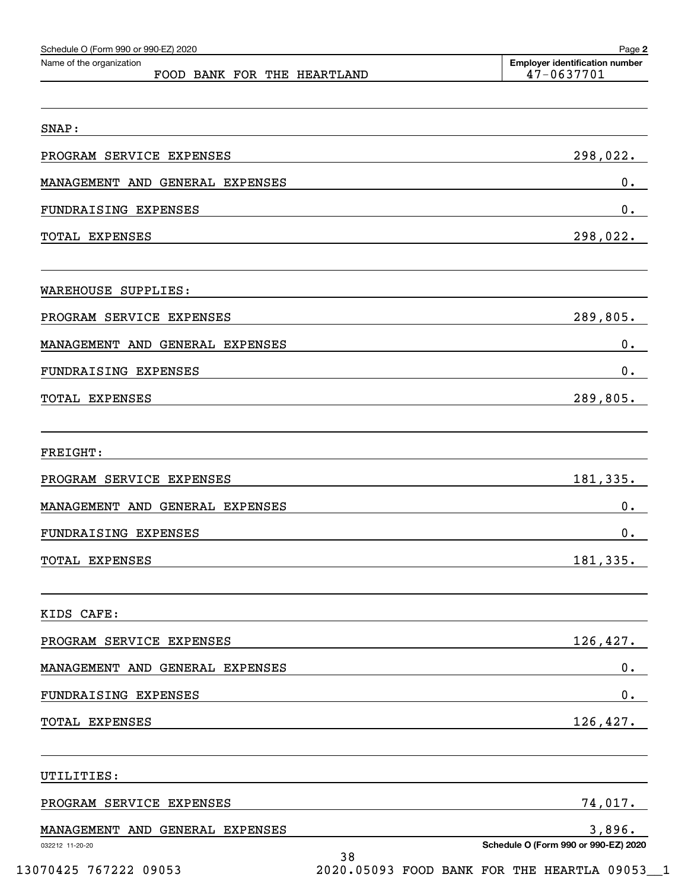| Schedule O (Form 990 or 990-EZ) 2020<br>Name of the organization | Page 2<br><b>Employer identification number</b> |
|------------------------------------------------------------------|-------------------------------------------------|
| FOOD BANK FOR THE HEARTLAND                                      | 47-0637701                                      |
|                                                                  |                                                 |
| SNAP:                                                            |                                                 |
| PROGRAM SERVICE EXPENSES                                         | 298,022.                                        |
| MANAGEMENT AND GENERAL EXPENSES                                  | 0.                                              |
| FUNDRAISING EXPENSES                                             | 0.                                              |
| TOTAL EXPENSES                                                   | 298,022.                                        |
|                                                                  |                                                 |
| WAREHOUSE SUPPLIES:                                              |                                                 |
| PROGRAM SERVICE EXPENSES                                         | 289,805.                                        |
| MANAGEMENT AND GENERAL EXPENSES                                  | 0.                                              |
| FUNDRAISING EXPENSES                                             | 0.                                              |
| TOTAL EXPENSES                                                   | 289,805.                                        |
|                                                                  |                                                 |
| <b>FREIGHT:</b>                                                  |                                                 |
| PROGRAM SERVICE EXPENSES                                         | 181, 335.                                       |
| MANAGEMENT AND GENERAL EXPENSES                                  | 0.                                              |
| FUNDRAISING EXPENSES                                             | 0.                                              |
| TOTAL EXPENSES                                                   | 181,335.                                        |
|                                                                  |                                                 |
| KIDS CAFE:                                                       |                                                 |
| PROGRAM SERVICE EXPENSES                                         | 126,427.                                        |
| MANAGEMENT AND GENERAL EXPENSES                                  | $0\cdot$                                        |
| FUNDRAISING EXPENSES                                             | $\mathbf 0$ .                                   |
| TOTAL EXPENSES                                                   | 126,427.                                        |
|                                                                  |                                                 |
| UTILITIES:                                                       |                                                 |
| PROGRAM SERVICE EXPENSES                                         | 74,017.                                         |
| MANAGEMENT AND GENERAL EXPENSES                                  | 3,896.                                          |
| 032212 11-20-20<br>38                                            | Schedule O (Form 990 or 990-EZ) 2020            |

13070425 767222 09053 2020.05093 FOOD BANK FOR THE HEARTLA 09053\_\_1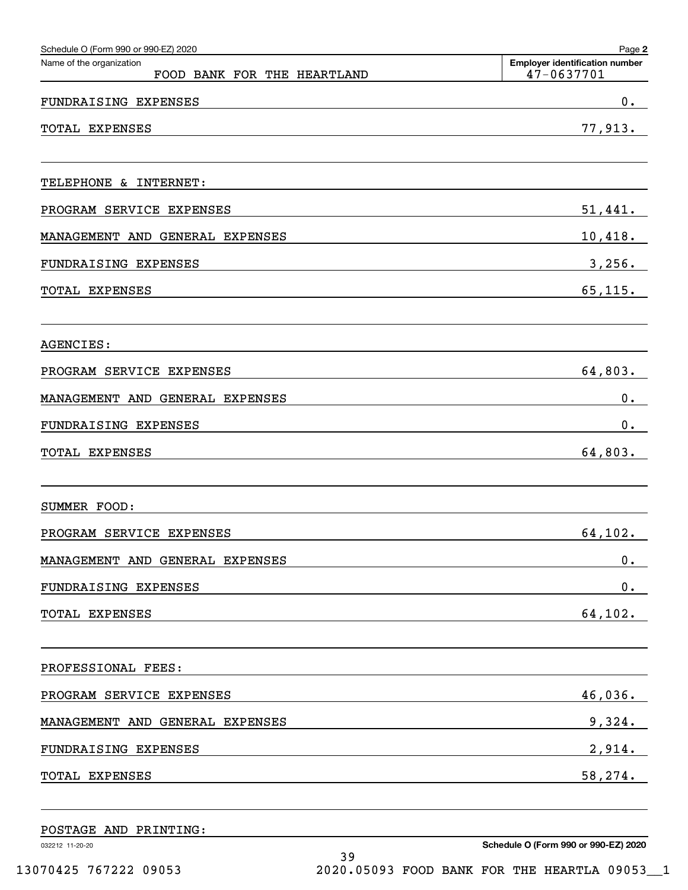| Schedule O (Form 990 or 990-EZ) 2020                    | Page 2                                              |
|---------------------------------------------------------|-----------------------------------------------------|
| Name of the organization<br>FOOD BANK FOR THE HEARTLAND | <b>Employer identification number</b><br>47-0637701 |
| FUNDRAISING EXPENSES                                    | $0$ .                                               |
| TOTAL EXPENSES                                          | 77,913.                                             |
| TELEPHONE & INTERNET:                                   |                                                     |
| PROGRAM SERVICE EXPENSES                                | 51,441.                                             |
| MANAGEMENT AND GENERAL EXPENSES                         | 10,418.                                             |
| FUNDRAISING EXPENSES                                    | 3,256.                                              |
| <b>TOTAL EXPENSES</b>                                   | 65, 115.                                            |
| AGENCIES:                                               |                                                     |
| PROGRAM SERVICE EXPENSES                                | 64,803.                                             |
| MANAGEMENT AND GENERAL EXPENSES                         | $0$ .                                               |
| FUNDRAISING EXPENSES                                    | $0$ .                                               |
| TOTAL EXPENSES                                          | 64,803.                                             |
| SUMMER FOOD:                                            |                                                     |
| PROGRAM SERVICE EXPENSES                                | 64,102.                                             |
| MANAGEMENT AND GENERAL EXPENSES                         | 0.                                                  |
| FUNDRAISING EXPENSES                                    | 0.                                                  |
| TOTAL EXPENSES                                          | 64,102.                                             |
| PROFESSIONAL FEES:                                      |                                                     |
| PROGRAM SERVICE EXPENSES                                | 46,036.                                             |
| MANAGEMENT AND GENERAL EXPENSES                         | 9,324.                                              |
| FUNDRAISING EXPENSES                                    | 2,914.                                              |
| TOTAL EXPENSES                                          | 58,274.                                             |
|                                                         |                                                     |

39

POSTAGE AND PRINTING:

032212 11-20-20